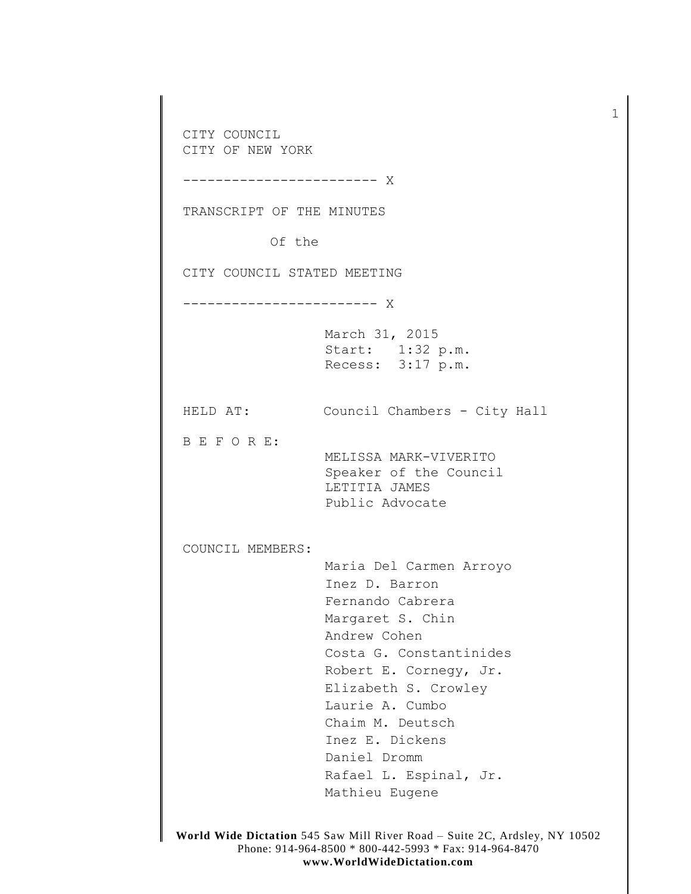CITY COUNCIL CITY OF NEW YORK ------------------------ X TRANSCRIPT OF THE MINUTES Of the CITY COUNCIL STATED MEETING ------------------------ X March 31, 2015 Start: 1:32 p.m. Recess: 3:17 p.m. HELD AT: Council Chambers - City Hall B E F O R E: MELISSA MARK-VIVERITO Speaker of the Council LETITIA JAMES Public Advocate COUNCIL MEMBERS: Maria Del Carmen Arroyo Inez D. Barron Fernando Cabrera Margaret S. Chin Andrew Cohen Costa G. Constantinides Robert E. Cornegy, Jr. Elizabeth S. Crowley Laurie A. Cumbo Chaim M. Deutsch Inez E. Dickens Daniel Dromm Rafael L. Espinal, Jr. Mathieu Eugene

1

**World Wide Dictation** 545 Saw Mill River Road – Suite 2C, Ardsley, NY 10502 Phone: 914-964-8500 \* 800-442-5993 \* Fax: 914-964-8470 **www.WorldWideDictation.com**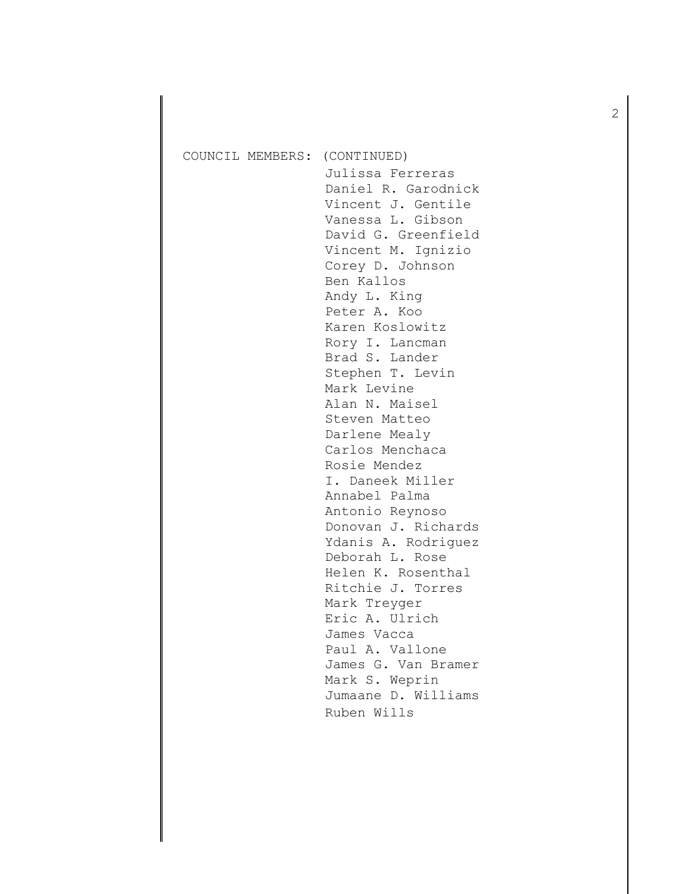| COUNCIL MEMBERS: | (CONTINUED)<br>Julissa Ferreras<br>Daniel R. Garodnick<br>Vincent J. Gentile<br>Vanessa L. Gibson<br>David G. Greenfield<br>Vincent M. Ignizio<br>Corey D. Johnson<br>Ben Kallos<br>Andy L. King<br>Peter A. Koo<br>Karen Koslowitz<br>Rory I. Lancman<br>Brad S. Lander<br>Stephen T. Levin<br>Mark Levine<br>Alan N. Maisel<br>Steven Matteo<br>Darlene Mealy<br>Carlos Menchaca<br>Rosie Mendez<br>I. Daneek Miller<br>Annabel Palma<br>Antonio Reynoso<br>Donovan J. Richards<br>Ydanis A. Rodriguez<br>Deborah L. Rose<br>Helen K. Rosenthal<br>Ritchie J. Torres<br>Mark Treyger<br>Eric A. Ulrich<br>James Vacca<br>Paul A. Vallone<br>James G. Van Bramer<br>Mark S. Weprin |
|------------------|-------------------------------------------------------------------------------------------------------------------------------------------------------------------------------------------------------------------------------------------------------------------------------------------------------------------------------------------------------------------------------------------------------------------------------------------------------------------------------------------------------------------------------------------------------------------------------------------------------------------------------------------------------------------------------------|
|                  | Jumaane D. Williams<br>Ruben Wills                                                                                                                                                                                                                                                                                                                                                                                                                                                                                                                                                                                                                                                  |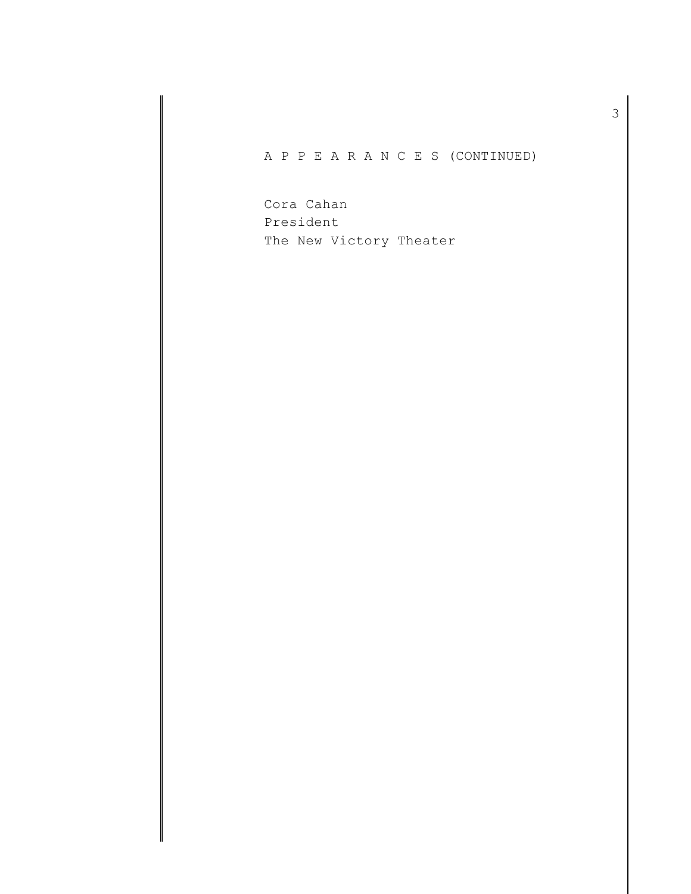A P P E A R A N C E S (CONTINUED)

Cora Cahan President The New Victory Theater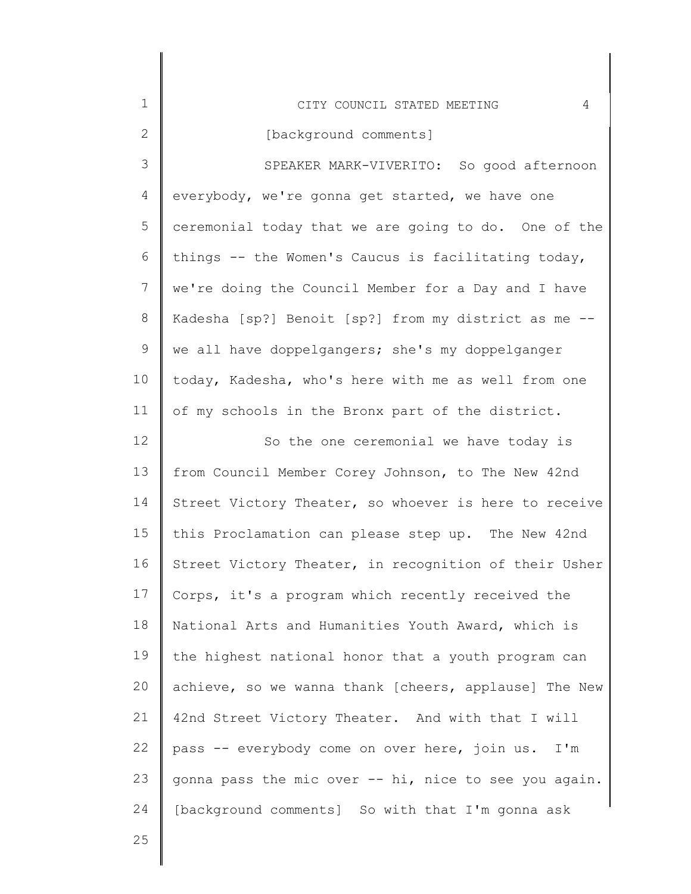| $\mathbf 1$    | 4<br>CITY COUNCIL STATED MEETING                      |
|----------------|-------------------------------------------------------|
| $\mathbf{2}$   | [background comments]                                 |
| 3              | SPEAKER MARK-VIVERITO: So good afternoon              |
| $\overline{4}$ | everybody, we're gonna get started, we have one       |
| 5              | ceremonial today that we are going to do. One of the  |
| 6              | things -- the Women's Caucus is facilitating today,   |
| $\overline{7}$ | we're doing the Council Member for a Day and I have   |
| 8              | Kadesha [sp?] Benoit [sp?] from my district as me --  |
| $\mathsf 9$    | we all have doppelgangers; she's my doppelganger      |
| 10             | today, Kadesha, who's here with me as well from one   |
| 11             | of my schools in the Bronx part of the district.      |
| 12             | So the one ceremonial we have today is                |
| 13             | from Council Member Corey Johnson, to The New 42nd    |
| 14             | Street Victory Theater, so whoever is here to receive |
| 15             | this Proclamation can please step up. The New 42nd    |
| 16             | Street Victory Theater, in recognition of their Usher |
| 17             | Corps, it's a program which recently received the     |
| 18             | National Arts and Humanities Youth Award, which is    |
| 19             | the highest national honor that a youth program can   |
| 20             | achieve, so we wanna thank [cheers, applause] The New |
| 21             | 42nd Street Victory Theater. And with that I will     |
| 22             | pass -- everybody come on over here, join us.<br>I'm  |
| 23             | gonna pass the mic over -- hi, nice to see you again. |
| 24             | [background comments] So with that I'm gonna ask      |
| 25             |                                                       |

I ∥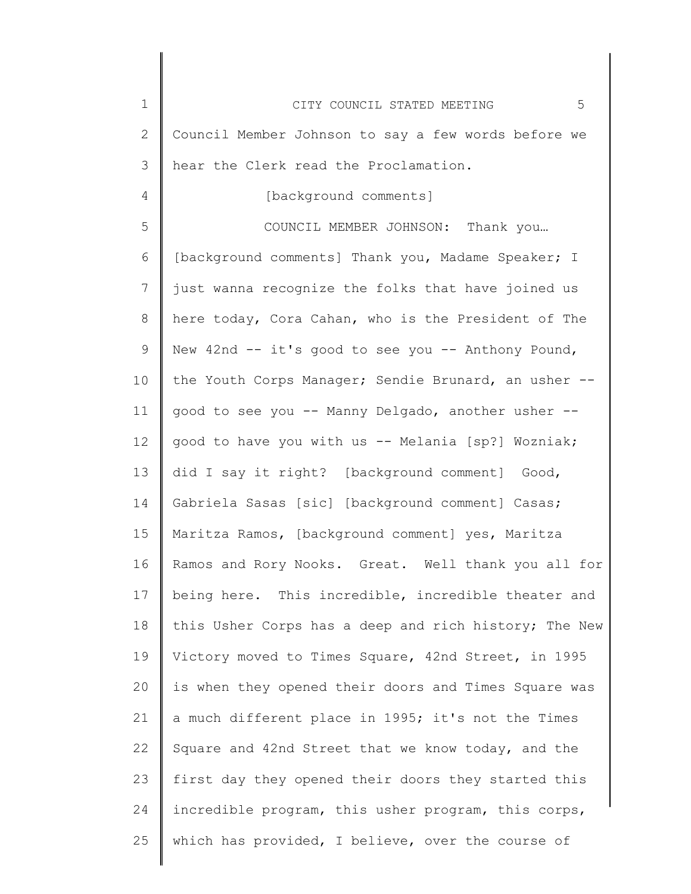| $\mathbf 1$     | 5<br>CITY COUNCIL STATED MEETING                      |
|-----------------|-------------------------------------------------------|
| $\mathbf{2}$    | Council Member Johnson to say a few words before we   |
| 3               | hear the Clerk read the Proclamation.                 |
| 4               | [background comments]                                 |
| 5               | COUNCIL MEMBER JOHNSON: Thank you                     |
| 6               | [background comments] Thank you, Madame Speaker; I    |
| 7               | just wanna recognize the folks that have joined us    |
| 8               | here today, Cora Cahan, who is the President of The   |
| 9               | New 42nd -- it's good to see you -- Anthony Pound,    |
| 10              | the Youth Corps Manager; Sendie Brunard, an usher --  |
| 11              | good to see you -- Manny Delgado, another usher --    |
| 12 <sup>°</sup> | good to have you with us -- Melania [sp?] Wozniak;    |
| 13              | did I say it right? [background comment] Good,        |
| 14              | Gabriela Sasas [sic] [background comment] Casas;      |
| 15              | Maritza Ramos, [background comment] yes, Maritza      |
| 16              | Ramos and Rory Nooks. Great. Well thank you all for   |
| 17              | being here. This incredible, incredible theater and   |
| 18              | this Usher Corps has a deep and rich history; The New |
| 19              | Victory moved to Times Square, 42nd Street, in 1995   |
| 20              | is when they opened their doors and Times Square was  |
| 21              | a much different place in 1995; it's not the Times    |
| 22              | Square and 42nd Street that we know today, and the    |
| 23              | first day they opened their doors they started this   |
| 24              | incredible program, this usher program, this corps,   |
| 25              | which has provided, I believe, over the course of     |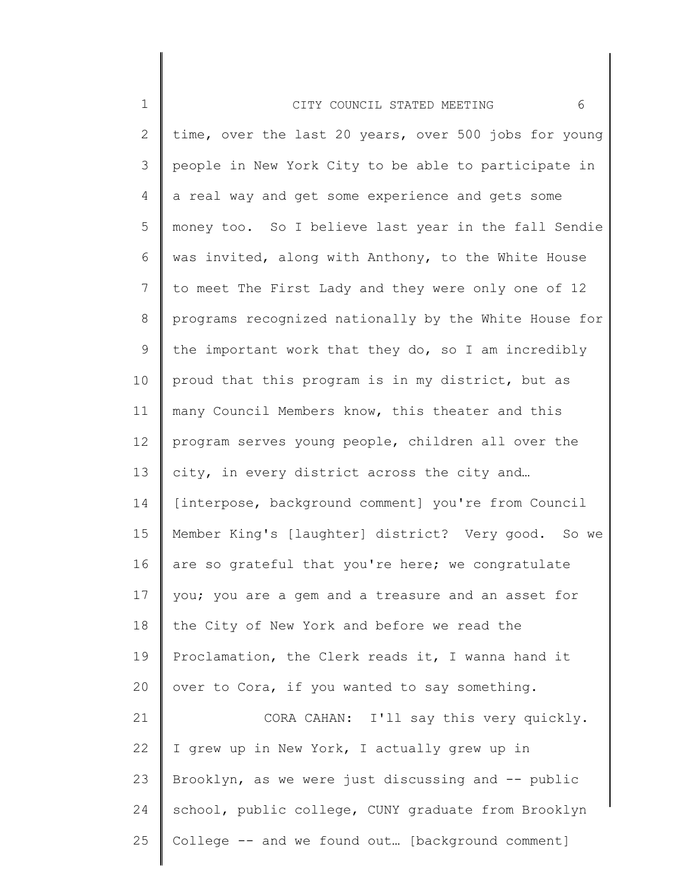| $\mathbf 1$     | 6<br>CITY COUNCIL STATED MEETING                      |
|-----------------|-------------------------------------------------------|
| 2               | time, over the last 20 years, over 500 jobs for young |
| 3               | people in New York City to be able to participate in  |
| 4               | a real way and get some experience and gets some      |
| 5               | money too. So I believe last year in the fall Sendie  |
| 6               | was invited, along with Anthony, to the White House   |
| $7\phantom{.0}$ | to meet The First Lady and they were only one of 12   |
| $8\,$           | programs recognized nationally by the White House for |
| 9               | the important work that they do, so I am incredibly   |
| 10              | proud that this program is in my district, but as     |
| 11              | many Council Members know, this theater and this      |
| 12              | program serves young people, children all over the    |
| 13              | city, in every district across the city and           |
| 14              | [interpose, background comment] you're from Council   |
| 15              | Member King's [laughter] district? Very good. So we   |
| 16              | are so grateful that you're here; we congratulate     |
| 17              | you; you are a gem and a treasure and an asset for    |
| 18              | the City of New York and before we read the           |
| 19              | Proclamation, the Clerk reads it, I wanna hand it     |
| 20              | over to Cora, if you wanted to say something.         |
| 21              | CORA CAHAN: I'll say this very quickly.               |
| 22              | I grew up in New York, I actually grew up in          |
| 23              | Brooklyn, as we were just discussing and -- public    |
| 24              | school, public college, CUNY graduate from Brooklyn   |
| 25              | College -- and we found out [background comment]      |
|                 |                                                       |

∥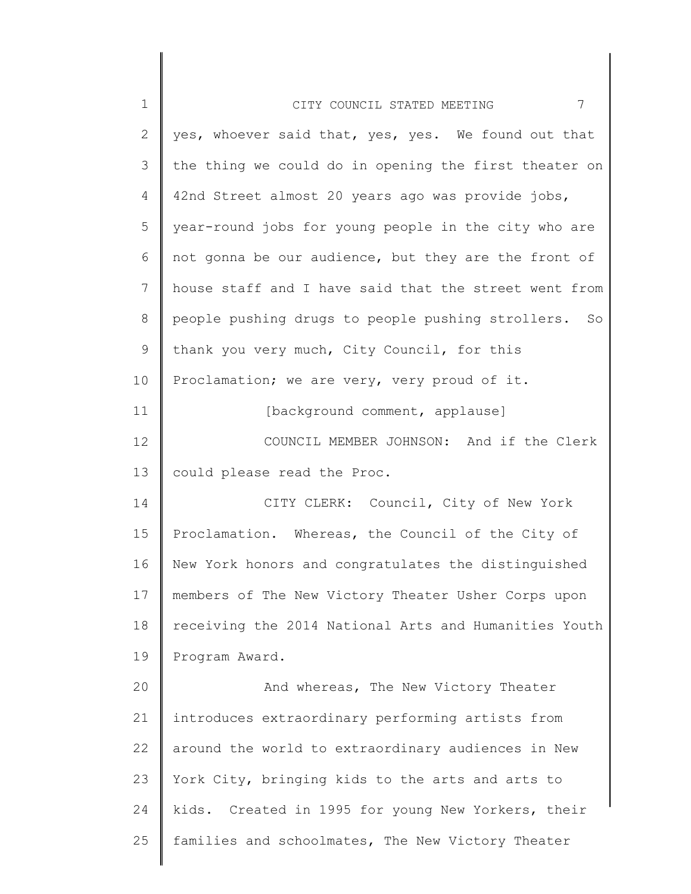| $\mathbf 1$  | 7<br>CITY COUNCIL STATED MEETING                        |
|--------------|---------------------------------------------------------|
| $\mathbf{2}$ | yes, whoever said that, yes, yes. We found out that     |
| 3            | the thing we could do in opening the first theater on   |
| 4            | 42nd Street almost 20 years ago was provide jobs,       |
| 5            | year-round jobs for young people in the city who are    |
| 6            | not gonna be our audience, but they are the front of    |
| 7            | house staff and I have said that the street went from   |
| $8\,$        | people pushing drugs to people pushing strollers.<br>So |
| $\mathsf 9$  | thank you very much, City Council, for this             |
| 10           | Proclamation; we are very, very proud of it.            |
| 11           | [background comment, applause]                          |
| 12           | COUNCIL MEMBER JOHNSON: And if the Clerk                |
| 13           | could please read the Proc.                             |
| 14           | CITY CLERK: Council, City of New York                   |
| 15           | Proclamation. Whereas, the Council of the City of       |
| 16           | New York honors and congratulates the distinguished     |
| 17           | members of The New Victory Theater Usher Corps upon     |
| 18           | receiving the 2014 National Arts and Humanities Youth   |
| 19           | Program Award.                                          |
| 20           | And whereas, The New Victory Theater                    |
| 21           | introduces extraordinary performing artists from        |
| 22           | around the world to extraordinary audiences in New      |
| 23           | York City, bringing kids to the arts and arts to        |
| 24           | kids. Created in 1995 for young New Yorkers, their      |
| 25           | families and schoolmates, The New Victory Theater       |
|              |                                                         |

║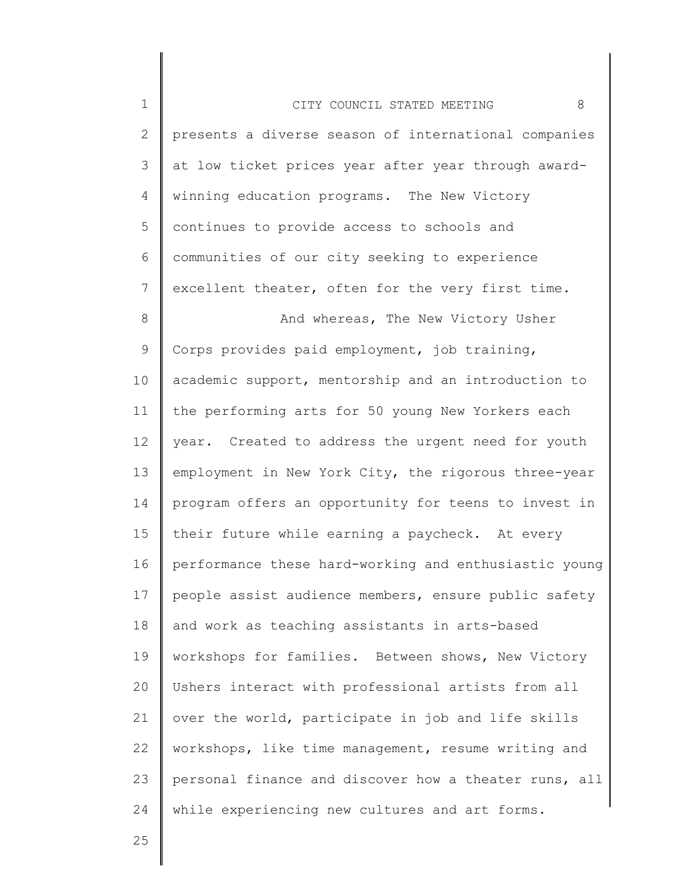1 2 3 4 5 6 7 8 9 10 11 12 13 14 15 16 17 18 19 20 21 22 23 24 CITY COUNCIL STATED MEETING 8 presents a diverse season of international companies at low ticket prices year after year through awardwinning education programs. The New Victory continues to provide access to schools and communities of our city seeking to experience excellent theater, often for the very first time. And whereas, The New Victory Usher Corps provides paid employment, job training, academic support, mentorship and an introduction to the performing arts for 50 young New Yorkers each year. Created to address the urgent need for youth employment in New York City, the rigorous three-year program offers an opportunity for teens to invest in their future while earning a paycheck. At every performance these hard-working and enthusiastic young people assist audience members, ensure public safety and work as teaching assistants in arts-based workshops for families. Between shows, New Victory Ushers interact with professional artists from all over the world, participate in job and life skills workshops, like time management, resume writing and personal finance and discover how a theater runs, all while experiencing new cultures and art forms.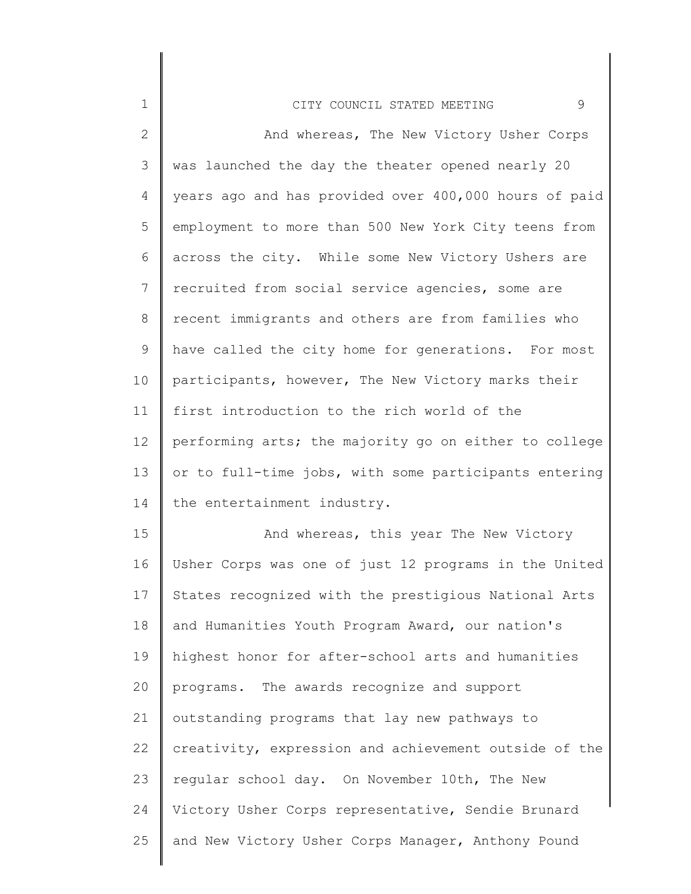| $\mathbf 1$  | 9<br>CITY COUNCIL STATED MEETING                      |
|--------------|-------------------------------------------------------|
| $\mathbf{2}$ | And whereas, The New Victory Usher Corps              |
| 3            | was launched the day the theater opened nearly 20     |
| 4            | years ago and has provided over 400,000 hours of paid |
| 5            | employment to more than 500 New York City teens from  |
| 6            | across the city. While some New Victory Ushers are    |
| 7            | recruited from social service agencies, some are      |
| 8            | recent immigrants and others are from families who    |
| $\mathsf 9$  | have called the city home for generations. For most   |
| 10           | participants, however, The New Victory marks their    |
| 11           | first introduction to the rich world of the           |
| 12           | performing arts; the majority go on either to college |
| 13           | or to full-time jobs, with some participants entering |
| 14           | the entertainment industry.                           |
| 15           | And whereas, this year The New Victory                |
| 16           | Usher Corps was one of just 12 programs in the United |
| 17           | States recognized with the prestigious National Arts  |
| 18           | and Humanities Youth Program Award, our nation's      |
| 19           | highest honor for after-school arts and humanities    |
| 20           | programs. The awards recognize and support            |
| 21           | outstanding programs that lay new pathways to         |
| 22           | creativity, expression and achievement outside of the |
| 23           | regular school day. On November 10th, The New         |
| 24           | Victory Usher Corps representative, Sendie Brunard    |
| 25           | and New Victory Usher Corps Manager, Anthony Pound    |
|              |                                                       |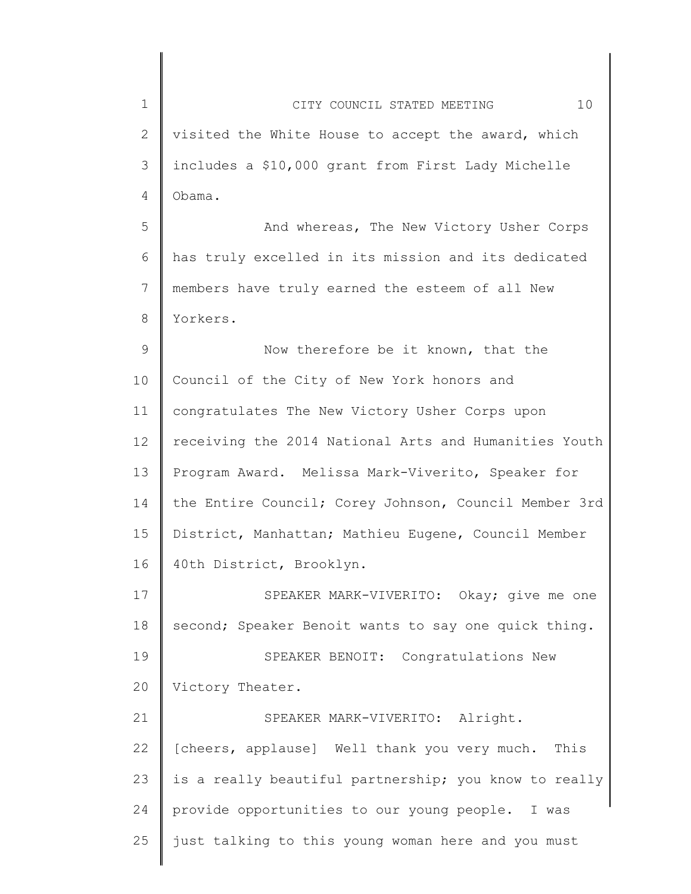1 2 3 4 5 6 7 8 9 10 11 12 13 14 15 16 17 18 19 20 21 22 23 24 25 CITY COUNCIL STATED MEETING 10 visited the White House to accept the award, which includes a \$10,000 grant from First Lady Michelle Obama. And whereas, The New Victory Usher Corps has truly excelled in its mission and its dedicated members have truly earned the esteem of all New Yorkers. Now therefore be it known, that the Council of the City of New York honors and congratulates The New Victory Usher Corps upon receiving the 2014 National Arts and Humanities Youth Program Award. Melissa Mark-Viverito, Speaker for the Entire Council; Corey Johnson, Council Member 3rd District, Manhattan; Mathieu Eugene, Council Member 40th District, Brooklyn. SPEAKER MARK-VIVERITO: Okay; give me one second; Speaker Benoit wants to say one quick thing. SPEAKER BENOIT: Congratulations New Victory Theater. SPEAKER MARK-VIVERITO: Alright. [cheers, applause] Well thank you very much. This is a really beautiful partnership; you know to really provide opportunities to our young people. I was just talking to this young woman here and you must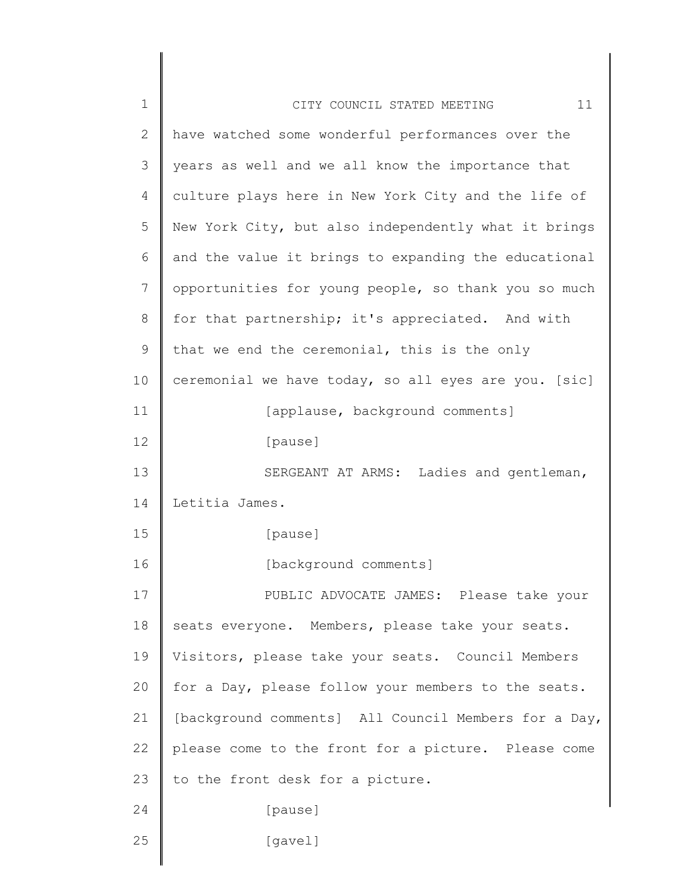| $\mathbf 1$  | 11<br>CITY COUNCIL STATED MEETING                    |
|--------------|------------------------------------------------------|
| $\mathbf{2}$ | have watched some wonderful performances over the    |
| 3            | years as well and we all know the importance that    |
| 4            | culture plays here in New York City and the life of  |
| 5            | New York City, but also independently what it brings |
| 6            | and the value it brings to expanding the educational |
| 7            | opportunities for young people, so thank you so much |
| 8            | for that partnership; it's appreciated. And with     |
| $\mathsf 9$  | that we end the ceremonial, this is the only         |
| 10           | ceremonial we have today, so all eyes are you. [sic] |
| 11           | [applause, background comments]                      |
| 12           | [pause]                                              |
| 13           | SERGEANT AT ARMS: Ladies and gentleman,              |
| 14           | Letitia James.                                       |
| 15           | [pause]                                              |
| 16           | [background comments]                                |
| 17           | PUBLIC ADVOCATE JAMES: Please take your              |
| 18           | seats everyone. Members, please take your seats.     |
| 19           | Visitors, please take your seats. Council Members    |
| 20           | for a Day, please follow your members to the seats.  |
| 21           | [background comments] All Council Members for a Day, |
| 22           | please come to the front for a picture. Please come  |
| 23           | to the front desk for a picture.                     |
| 24           | [pause]                                              |
| 25           | [gavel]                                              |
|              |                                                      |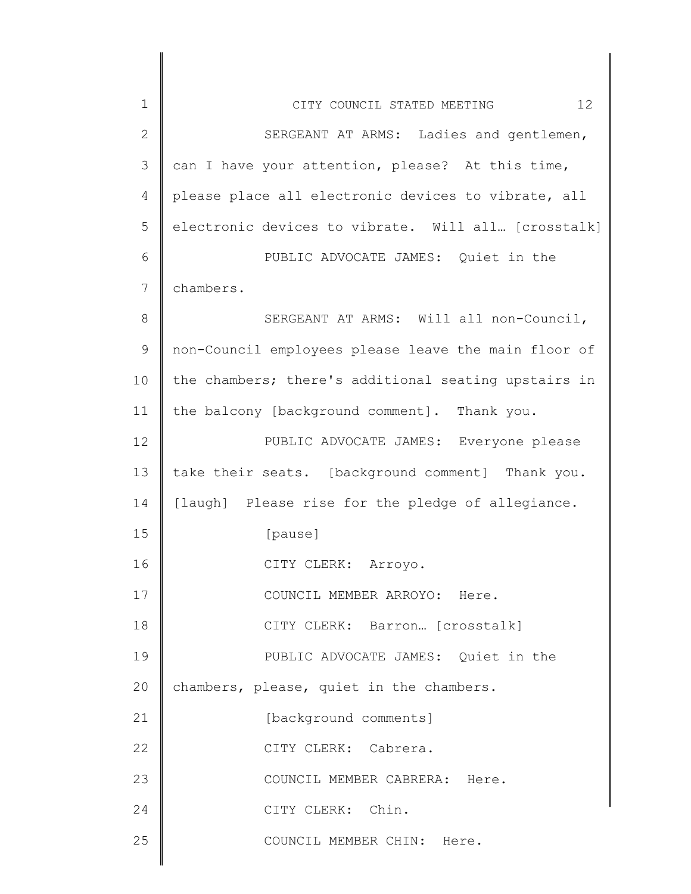| $\mathbf 1$  | 12<br>CITY COUNCIL STATED MEETING                    |
|--------------|------------------------------------------------------|
| $\mathbf{2}$ | SERGEANT AT ARMS: Ladies and gentlemen,              |
| 3            | can I have your attention, please? At this time,     |
| 4            | please place all electronic devices to vibrate, all  |
| 5            | electronic devices to vibrate. Will all [crosstalk]  |
| 6            | PUBLIC ADVOCATE JAMES: Quiet in the                  |
| 7            | chambers.                                            |
| 8            | SERGEANT AT ARMS: Will all non-Council,              |
| 9            | non-Council employees please leave the main floor of |
| 10           | the chambers; there's additional seating upstairs in |
| 11           | the balcony [background comment]. Thank you.         |
| 12           | PUBLIC ADVOCATE JAMES: Everyone please               |
| 13           | take their seats. [background comment] Thank you.    |
| 14           | [laugh] Please rise for the pledge of allegiance.    |
| 15           | [pause]                                              |
| 16           | CITY CLERK: Arroyo.                                  |
| 17           | COUNCIL MEMBER ARROYO: Here.                         |
| 18           | CITY CLERK: Barron [crosstalk]                       |
| 19           | PUBLIC ADVOCATE JAMES: Quiet in the                  |
| 20           | chambers, please, quiet in the chambers.             |
| 21           | [background comments]                                |
| 22           | CITY CLERK: Cabrera.                                 |
| 23           | COUNCIL MEMBER CABRERA: Here.                        |
| 24           | CITY CLERK: Chin.                                    |
| 25           | COUNCIL MEMBER CHIN: Here.                           |
|              |                                                      |

 $\begin{array}{c} \hline \end{array}$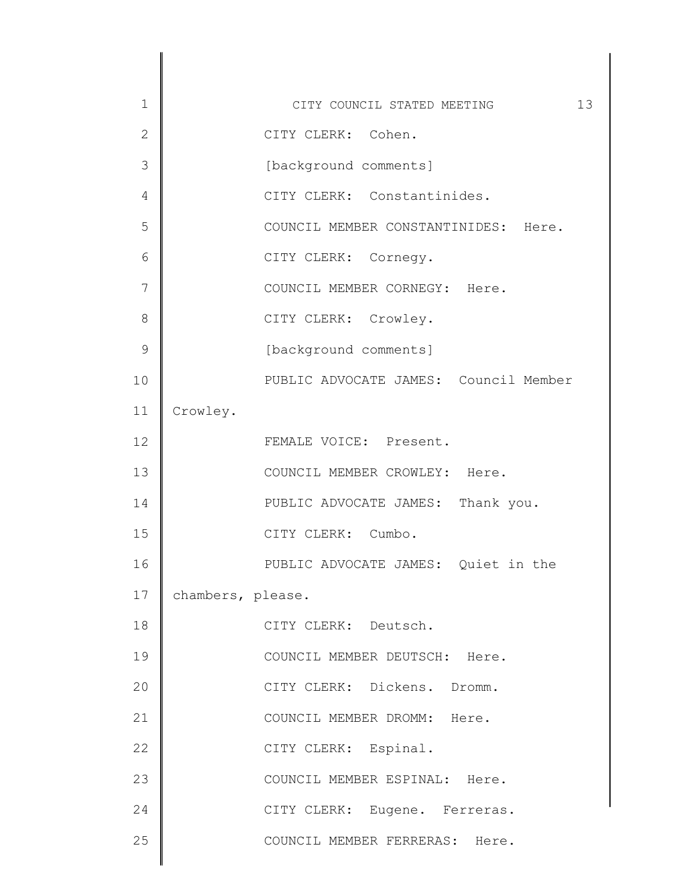| $\mathbf 1$  | 13<br>CITY COUNCIL STATED MEETING     |
|--------------|---------------------------------------|
| $\mathbf{2}$ | CITY CLERK: Cohen.                    |
| 3            | [background comments]                 |
| 4            | CITY CLERK: Constantinides.           |
| 5            | COUNCIL MEMBER CONSTANTINIDES: Here.  |
| 6            | CITY CLERK: Cornegy.                  |
| 7            | COUNCIL MEMBER CORNEGY: Here.         |
| 8            | CITY CLERK: Crowley.                  |
| 9            | [background comments]                 |
| 10           | PUBLIC ADVOCATE JAMES: Council Member |
| 11           | Crowley.                              |
| 12           | FEMALE VOICE: Present.                |
| 13           | COUNCIL MEMBER CROWLEY: Here.         |
| 14           | PUBLIC ADVOCATE JAMES: Thank you.     |
| 15           | CITY CLERK: Cumbo.                    |
| 16           | PUBLIC ADVOCATE JAMES: Quiet in the   |
| 17           | chambers, please.                     |
| 18           | CITY CLERK: Deutsch.                  |
| 19           | COUNCIL MEMBER DEUTSCH: Here.         |
| 20           | CITY CLERK: Dickens. Dromm.           |
| 21           | COUNCIL MEMBER DROMM: Here.           |
| 22           | CITY CLERK: Espinal.                  |
| 23           | COUNCIL MEMBER ESPINAL: Here.         |
| 24           | CITY CLERK: Eugene. Ferreras.         |
| 25           | COUNCIL MEMBER FERRERAS: Here.        |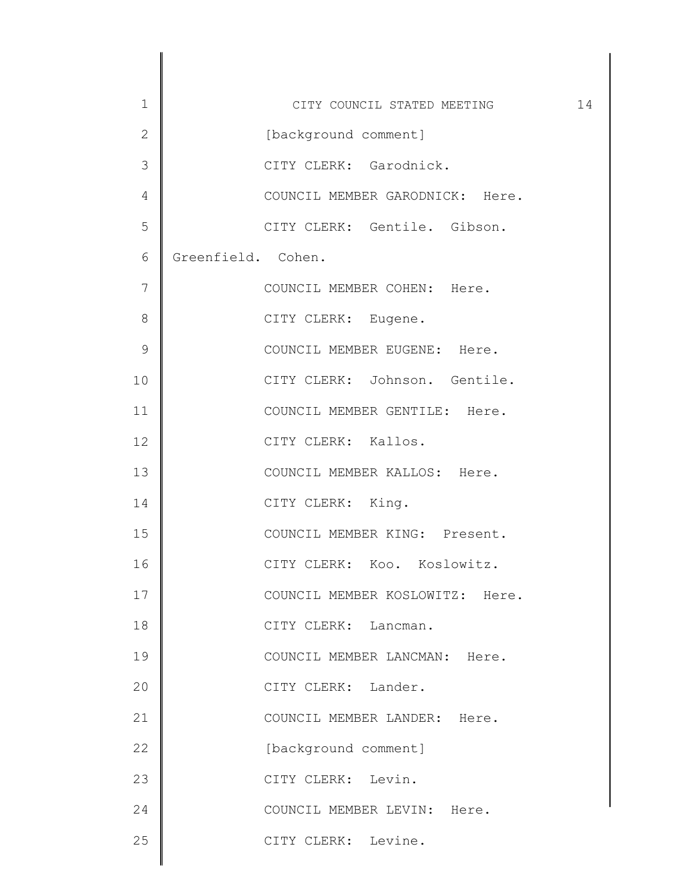| $\mathbf 1$    | CITY COUNCIL STATED MEETING     | 14 |
|----------------|---------------------------------|----|
| $\overline{2}$ | [background comment]            |    |
| 3              | CITY CLERK: Garodnick.          |    |
| 4              | COUNCIL MEMBER GARODNICK: Here. |    |
| 5              | CITY CLERK: Gentile. Gibson.    |    |
| 6              | Greenfield. Cohen.              |    |
| 7              | COUNCIL MEMBER COHEN: Here.     |    |
| 8              | CITY CLERK: Eugene.             |    |
| $\mathcal{G}$  | COUNCIL MEMBER EUGENE: Here.    |    |
| 10             | CITY CLERK: Johnson. Gentile.   |    |
| 11             | COUNCIL MEMBER GENTILE: Here.   |    |
| 12             | CITY CLERK: Kallos.             |    |
| 13             | COUNCIL MEMBER KALLOS: Here.    |    |
| 14             | CITY CLERK: King.               |    |
| 15             | COUNCIL MEMBER KING: Present.   |    |
| 16             | CITY CLERK: Koo. Koslowitz.     |    |
| 17             | COUNCIL MEMBER KOSLOWITZ: Here. |    |
| 18             | CITY CLERK: Lancman.            |    |
| 19             | COUNCIL MEMBER LANCMAN: Here.   |    |
| 20             | CITY CLERK: Lander.             |    |
| 21             | COUNCIL MEMBER LANDER: Here.    |    |
| 22             | [background comment]            |    |
| 23             | CITY CLERK: Levin.              |    |
| 24             | COUNCIL MEMBER LEVIN: Here.     |    |
| 25             | CITY CLERK: Levine.             |    |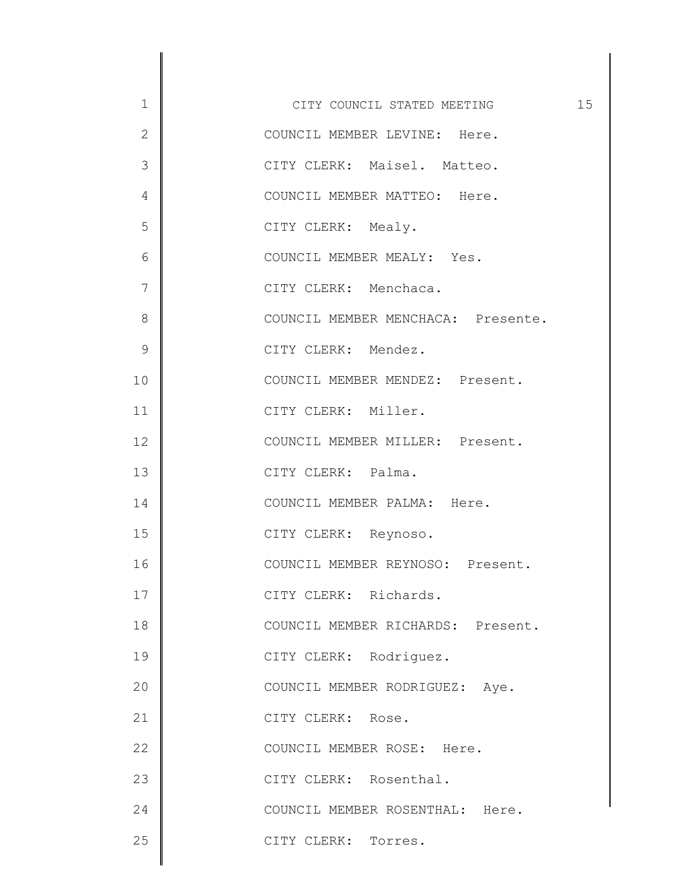| $\mathbf 1$   | 15<br>CITY COUNCIL STATED MEETING  |
|---------------|------------------------------------|
| $\mathbf{2}$  | COUNCIL MEMBER LEVINE: Here.       |
| 3             | CITY CLERK: Maisel. Matteo.        |
| 4             | COUNCIL MEMBER MATTEO: Here.       |
| 5             | CITY CLERK: Mealy.                 |
| 6             | COUNCIL MEMBER MEALY: Yes.         |
| 7             | CITY CLERK: Menchaca.              |
| 8             | COUNCIL MEMBER MENCHACA: Presente. |
| $\mathcal{G}$ | CITY CLERK: Mendez.                |
| 10            | COUNCIL MEMBER MENDEZ: Present.    |
| 11            | CITY CLERK: Miller.                |
| 12            | COUNCIL MEMBER MILLER: Present.    |
| 13            | CITY CLERK: Palma.                 |
| 14            | COUNCIL MEMBER PALMA: Here.        |
| 15            | CITY CLERK: Reynoso.               |
| 16            | COUNCIL MEMBER REYNOSO: Present.   |
| 17            | CITY CLERK: Richards.              |
| 18            | COUNCIL MEMBER RICHARDS: Present.  |
| 19            | CITY CLERK: Rodriguez.             |
| 20            | COUNCIL MEMBER RODRIGUEZ: Aye.     |
| 21            | CITY CLERK: Rose.                  |
| 22            | COUNCIL MEMBER ROSE: Here.         |
| 23            | CITY CLERK: Rosenthal.             |
| 24            | COUNCIL MEMBER ROSENTHAL: Here.    |
| 25            | CITY CLERK: Torres.                |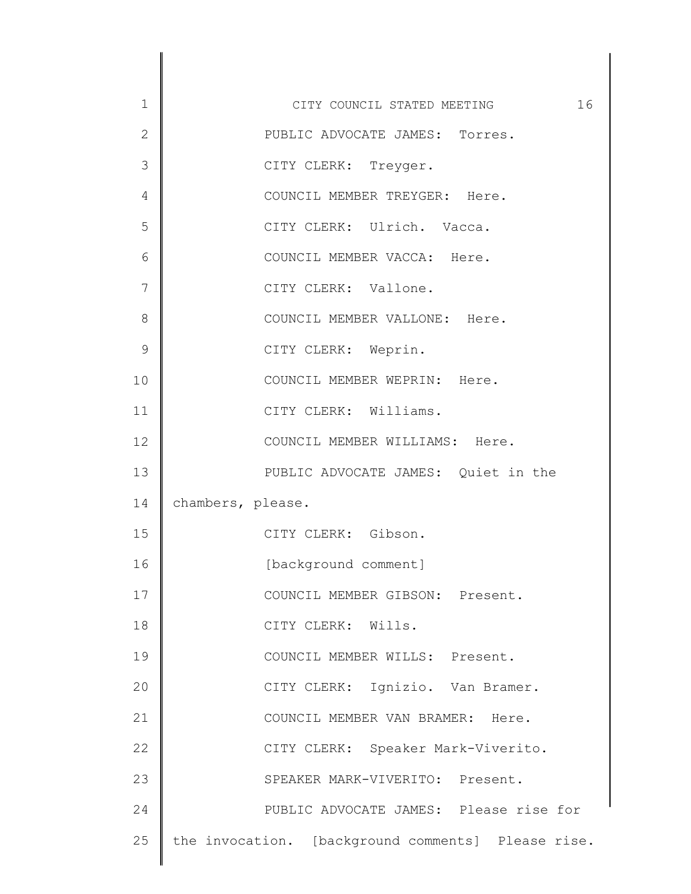| $\mathbf 1$    | 16<br>CITY COUNCIL STATED MEETING                  |
|----------------|----------------------------------------------------|
| $\overline{2}$ | PUBLIC ADVOCATE JAMES: Torres.                     |
| 3              | CITY CLERK: Treyger.                               |
| 4              | COUNCIL MEMBER TREYGER: Here.                      |
| 5              | CITY CLERK: Ulrich. Vacca.                         |
| 6              | COUNCIL MEMBER VACCA: Here.                        |
| 7              | CITY CLERK: Vallone.                               |
| 8              | COUNCIL MEMBER VALLONE: Here.                      |
| 9              | CITY CLERK: Weprin.                                |
| 10             | COUNCIL MEMBER WEPRIN: Here.                       |
| 11             | CITY CLERK: Williams.                              |
| 12             | COUNCIL MEMBER WILLIAMS: Here.                     |
| 13             | PUBLIC ADVOCATE JAMES: Quiet in the                |
| 14             | chambers, please.                                  |
| 15             | CITY CLERK: Gibson.                                |
| 16             | [background comment]                               |
| 17             | COUNCIL MEMBER GIBSON: Present.                    |
| 18             | CITY CLERK: Wills.                                 |
| 19             | COUNCIL MEMBER WILLS: Present.                     |
| 20             | CITY CLERK: Ignizio. Van Bramer.                   |
| 21             | COUNCIL MEMBER VAN BRAMER: Here.                   |
| 22             | CITY CLERK: Speaker Mark-Viverito.                 |
| 23             | SPEAKER MARK-VIVERITO: Present.                    |
| 24             | PUBLIC ADVOCATE JAMES: Please rise for             |
| 25             | the invocation. [background comments] Please rise. |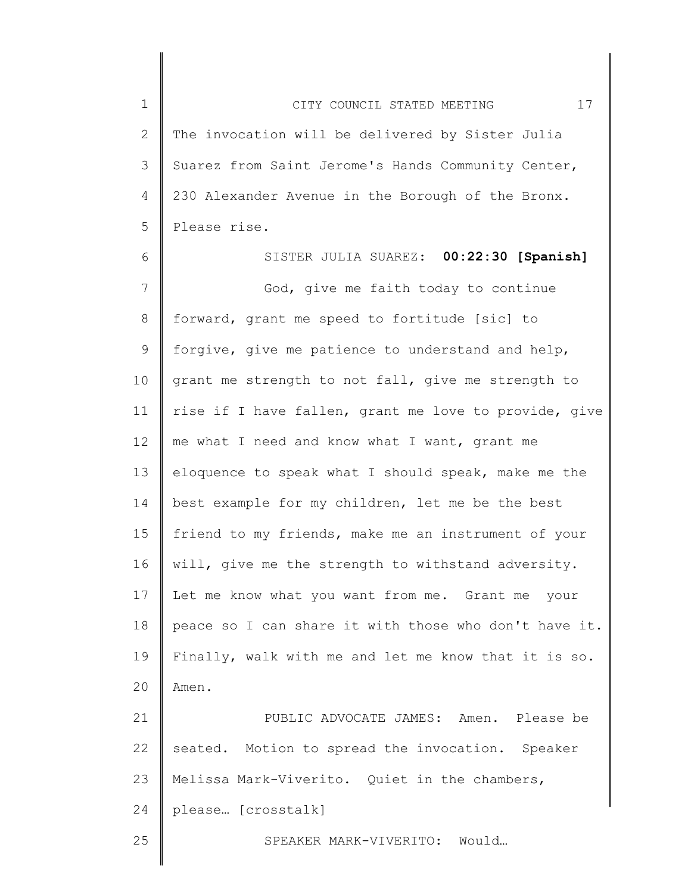1 2 3 4 5 CITY COUNCIL STATED MEETING 17 The invocation will be delivered by Sister Julia Suarez from Saint Jerome's Hands Community Center, 230 Alexander Avenue in the Borough of the Bronx. Please rise.

6 7 8 9 10 11 12 13 14 15 16 17 18 19 20 21 22 SISTER JULIA SUAREZ: **00:22:30 [Spanish]** God, give me faith today to continue forward, grant me speed to fortitude [sic] to forgive, give me patience to understand and help, grant me strength to not fall, give me strength to rise if I have fallen, grant me love to provide, give me what I need and know what I want, grant me eloquence to speak what I should speak, make me the best example for my children, let me be the best friend to my friends, make me an instrument of your will, give me the strength to withstand adversity. Let me know what you want from me. Grant me your peace so I can share it with those who don't have it. Finally, walk with me and let me know that it is so. Amen. PUBLIC ADVOCATE JAMES: Amen. Please be seated. Motion to spread the invocation. Speaker

23 Melissa Mark-Viverito. Quiet in the chambers,

24 please… [crosstalk]

SPEAKER MARK-VIVERITO: Would…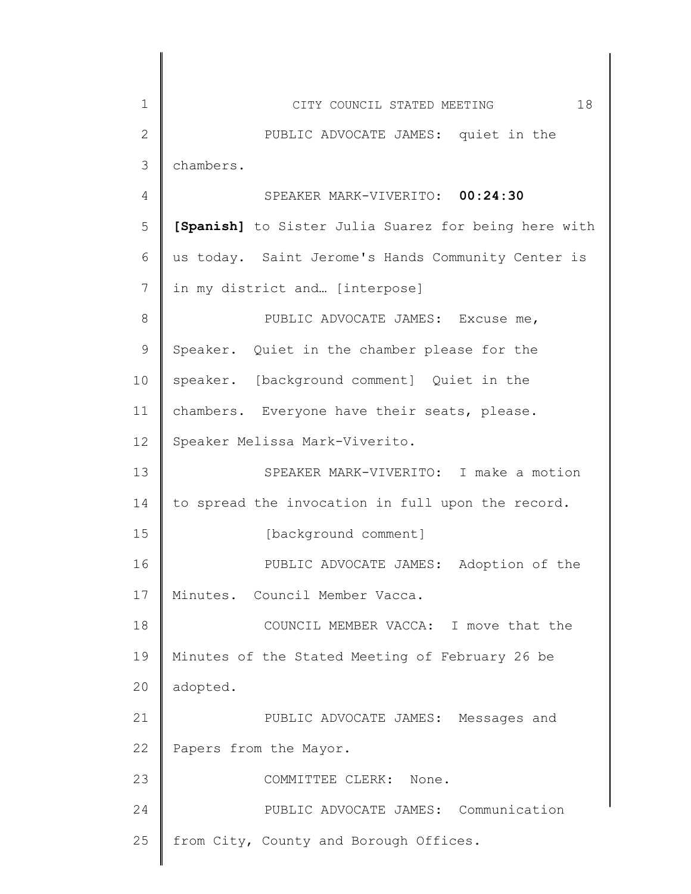| 1            | 18<br>CITY COUNCIL STATED MEETING                    |
|--------------|------------------------------------------------------|
| $\mathbf{2}$ | PUBLIC ADVOCATE JAMES: quiet in the                  |
| 3            | chambers.                                            |
| 4            | SPEAKER MARK-VIVERITO: 00:24:30                      |
| 5            | [Spanish] to Sister Julia Suarez for being here with |
| 6            | us today. Saint Jerome's Hands Community Center is   |
| 7            | in my district and [interpose]                       |
| 8            | PUBLIC ADVOCATE JAMES: Excuse me,                    |
| 9            | Speaker. Quiet in the chamber please for the         |
| 10           | speaker. [background comment] Quiet in the           |
| 11           | chambers. Everyone have their seats, please.         |
| 12           | Speaker Melissa Mark-Viverito.                       |
| 13           | SPEAKER MARK-VIVERITO: I make a motion               |
| 14           | to spread the invocation in full upon the record.    |
| 15           | [background comment]                                 |
| 16           | PUBLIC ADVOCATE JAMES: Adoption of the               |
| 17           | Minutes. Council Member Vacca.                       |
| 18           | COUNCIL MEMBER VACCA: I move that the                |
| 19           | Minutes of the Stated Meeting of February 26 be      |
| 20           | adopted.                                             |
| 21           | PUBLIC ADVOCATE JAMES: Messages and                  |
| 22           | Papers from the Mayor.                               |
| 23           | COMMITTEE CLERK:<br>None.                            |
| 24           | PUBLIC ADVOCATE JAMES: Communication                 |
| 25           | from City, County and Borough Offices.               |
|              |                                                      |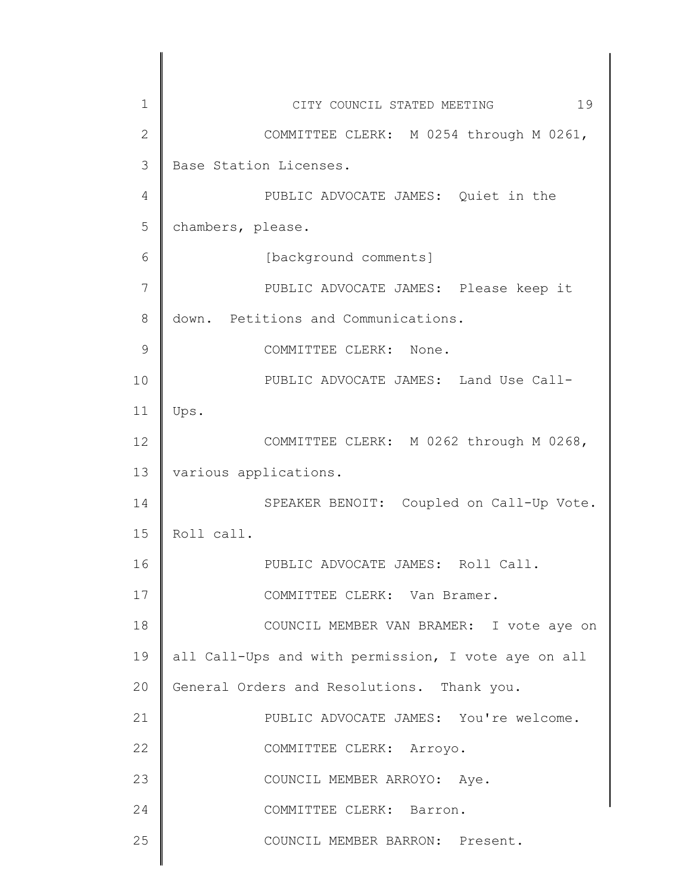| $\mathbf 1$  | 19<br>CITY COUNCIL STATED MEETING                   |
|--------------|-----------------------------------------------------|
| $\mathbf{2}$ | COMMITTEE CLERK: M 0254 through M 0261,             |
| 3            | Base Station Licenses.                              |
| 4            | PUBLIC ADVOCATE JAMES: Quiet in the                 |
| 5            | chambers, please.                                   |
| 6            | [background comments]                               |
| 7            | PUBLIC ADVOCATE JAMES: Please keep it               |
| 8            | down. Petitions and Communications.                 |
| 9            | COMMITTEE CLERK: None.                              |
| 10           | PUBLIC ADVOCATE JAMES: Land Use Call-               |
| 11           | Ups.                                                |
| 12           | COMMITTEE CLERK: M 0262 through M 0268,             |
| 13           | various applications.                               |
| 14           | SPEAKER BENOIT: Coupled on Call-Up Vote.            |
| 15           | Roll call.                                          |
| 16           | PUBLIC ADVOCATE JAMES: Roll Call.                   |
| 17           | COMMITTEE CLERK: Van Bramer.                        |
| 18           | COUNCIL MEMBER VAN BRAMER: I vote aye on            |
| 19           | all Call-Ups and with permission, I vote aye on all |
| 20           | General Orders and Resolutions. Thank you.          |
| 21           | PUBLIC ADVOCATE JAMES: You're welcome.              |
| 22           | COMMITTEE CLERK: Arroyo.                            |
| 23           | COUNCIL MEMBER ARROYO: Aye.                         |
| 24           | COMMITTEE CLERK: Barron.                            |
| 25           | COUNCIL MEMBER BARRON: Present.                     |
|              |                                                     |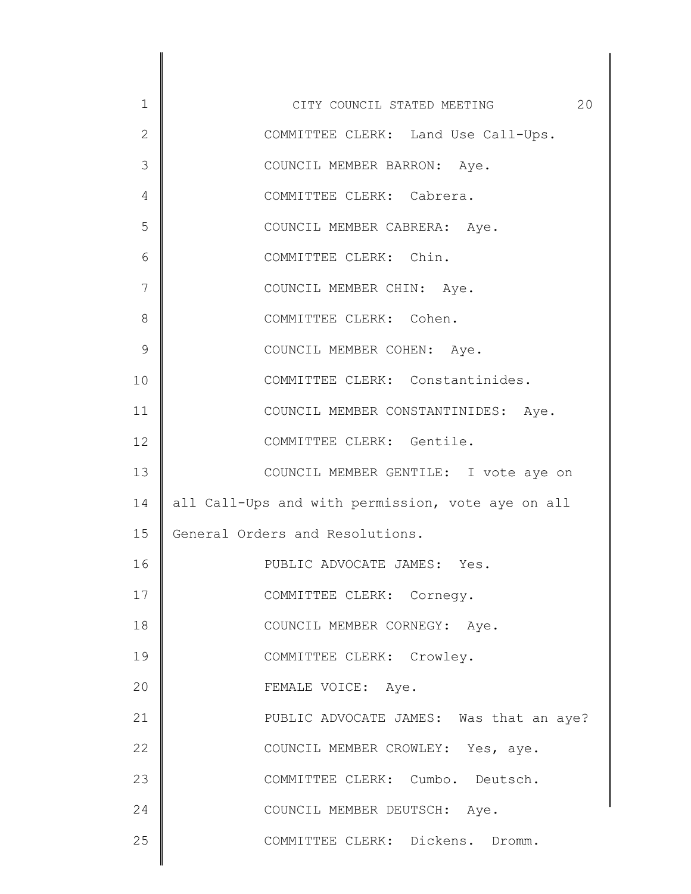1 2 3 4 5 6 7 8 9 10 11 12 13 14 15 16 17 18 19 20 21 22 23 24 25 CITY COUNCIL STATED MEETING 20 COMMITTEE CLERK: Land Use Call-Ups. COUNCIL MEMBER BARRON: Aye. COMMITTEE CLERK: Cabrera. COUNCIL MEMBER CABRERA: Aye. COMMITTEE CLERK: Chin. COUNCIL MEMBER CHIN: Aye. COMMITTEE CLERK: Cohen. COUNCIL MEMBER COHEN: Aye. COMMITTEE CLERK: Constantinides. COUNCIL MEMBER CONSTANTINIDES: Aye. COMMITTEE CLERK: Gentile. COUNCIL MEMBER GENTILE: I vote aye on all Call-Ups and with permission, vote aye on all General Orders and Resolutions. PUBLIC ADVOCATE JAMES: Yes. COMMITTEE CLERK: Cornegy. COUNCIL MEMBER CORNEGY: Aye. COMMITTEE CLERK: Crowley. FEMALE VOICE: Aye. PUBLIC ADVOCATE JAMES: Was that an aye? COUNCIL MEMBER CROWLEY: Yes, aye. COMMITTEE CLERK: Cumbo. Deutsch. COUNCIL MEMBER DEUTSCH: Aye. COMMITTEE CLERK: Dickens. Dromm.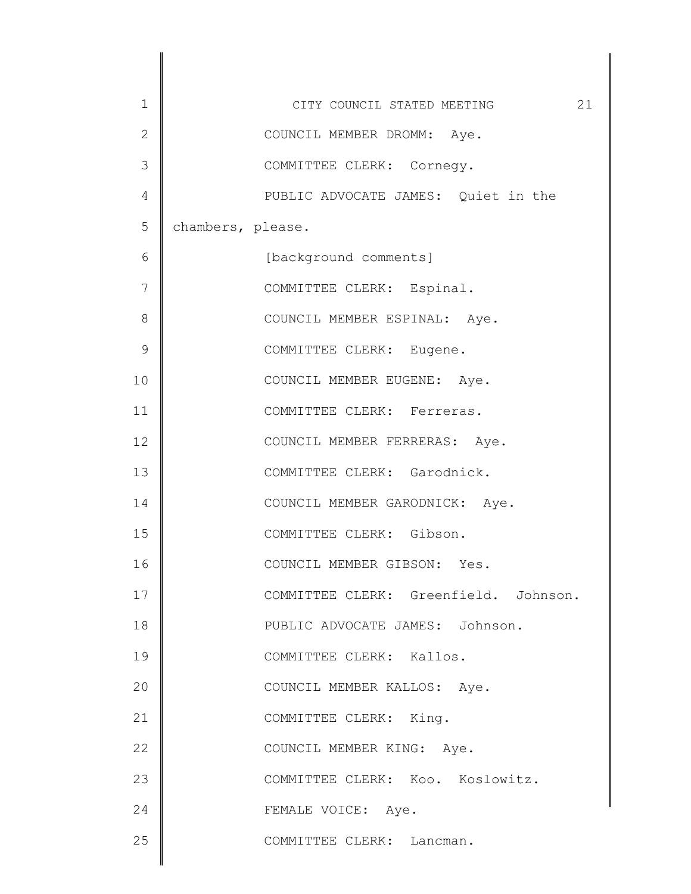| $1\,$         | 21<br>CITY COUNCIL STATED MEETING     |
|---------------|---------------------------------------|
| $\mathbf{2}$  | COUNCIL MEMBER DROMM: Aye.            |
| 3             | COMMITTEE CLERK: Cornegy.             |
| 4             | PUBLIC ADVOCATE JAMES: Quiet in the   |
| 5             | chambers, please.                     |
| 6             | [background comments]                 |
| 7             | COMMITTEE CLERK: Espinal.             |
| 8             | COUNCIL MEMBER ESPINAL: Aye.          |
| $\mathcal{G}$ | COMMITTEE CLERK: Eugene.              |
| 10            | COUNCIL MEMBER EUGENE: Aye.           |
| 11            | COMMITTEE CLERK: Ferreras.            |
| 12            | COUNCIL MEMBER FERRERAS: Aye.         |
| 13            | COMMITTEE CLERK: Garodnick.           |
| 14            | COUNCIL MEMBER GARODNICK: Aye.        |
| 15            | COMMITTEE CLERK: Gibson.              |
| 16            | COUNCIL MEMBER GIBSON: Yes.           |
| 17            | COMMITTEE CLERK: Greenfield. Johnson. |
| 18            | PUBLIC ADVOCATE JAMES: Johnson.       |
| 19            | COMMITTEE CLERK: Kallos.              |
| 20            | COUNCIL MEMBER KALLOS: Aye.           |
| 21            | COMMITTEE CLERK: King.                |
| 22            | COUNCIL MEMBER KING: Aye.             |
| 23            | COMMITTEE CLERK: Koo. Koslowitz.      |
| 24            | FEMALE VOICE: Aye.                    |
| 25            | COMMITTEE CLERK: Lancman.             |
|               |                                       |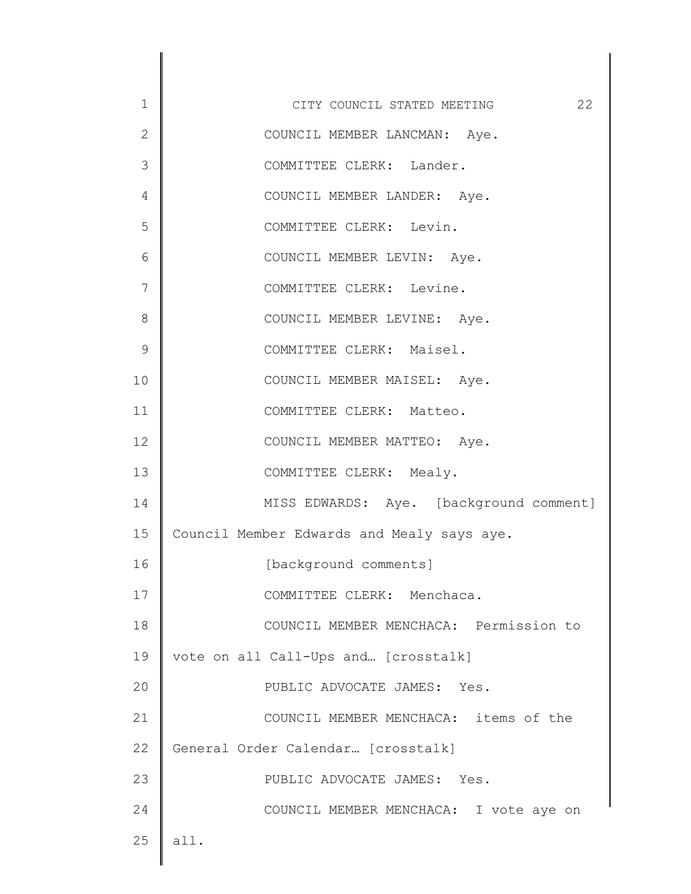1 2 3 4 5 6 7 8 9 10 11 12 13 14 15 16 17 18 19 20 21 22 23 24 25 CITY COUNCIL STATED MEETING 22 COUNCIL MEMBER LANCMAN: Aye. COMMITTEE CLERK: Lander. COUNCIL MEMBER LANDER: Aye. COMMITTEE CLERK: Levin. COUNCIL MEMBER LEVIN: Aye. COMMITTEE CLERK: Levine. COUNCIL MEMBER LEVINE: Aye. COMMITTEE CLERK: Maisel. COUNCIL MEMBER MAISEL: Aye. COMMITTEE CLERK: Matteo. COUNCIL MEMBER MATTEO: Aye. COMMITTEE CLERK: Mealy. MISS EDWARDS: Aye. [background comment] Council Member Edwards and Mealy says aye. [background comments] COMMITTEE CLERK: Menchaca. COUNCIL MEMBER MENCHACA: Permission to vote on all Call-Ups and… [crosstalk] PUBLIC ADVOCATE JAMES: Yes. COUNCIL MEMBER MENCHACA: items of the General Order Calendar… [crosstalk] PUBLIC ADVOCATE JAMES: Yes. COUNCIL MEMBER MENCHACA: I vote aye on all.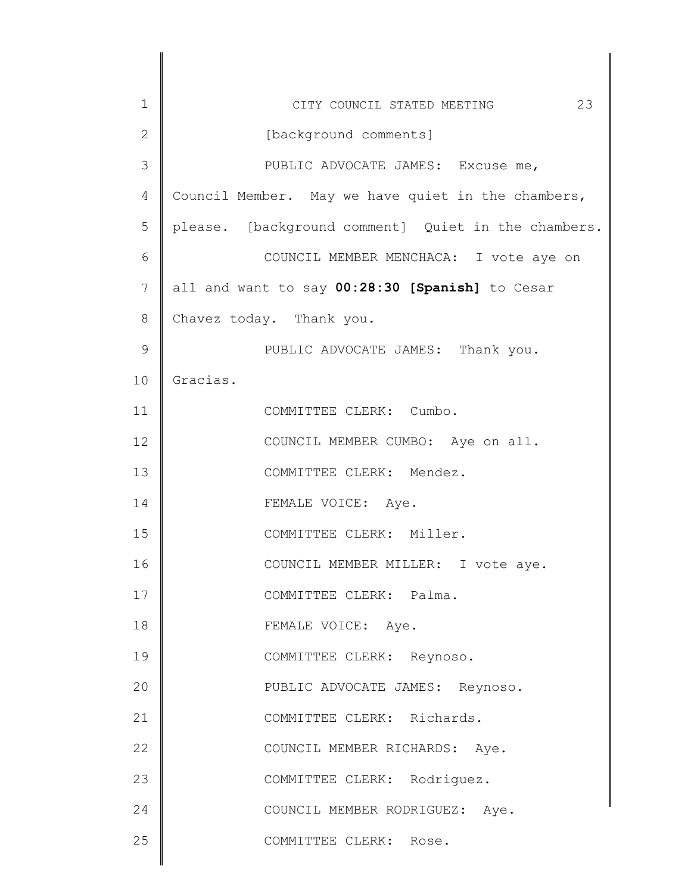| $\mathbf 1$    | 23<br>CITY COUNCIL STATED MEETING                   |
|----------------|-----------------------------------------------------|
| $\mathbf{2}$   | [background comments]                               |
| 3              | PUBLIC ADVOCATE JAMES: Excuse me,                   |
| $\overline{4}$ | Council Member. May we have quiet in the chambers,  |
| 5              | please. [background comment] Quiet in the chambers. |
| 6              | COUNCIL MEMBER MENCHACA: I vote aye on              |
| 7              | all and want to say 00:28:30 [Spanish] to Cesar     |
| $8\,$          | Chavez today. Thank you.                            |
| $\mathcal{G}$  | PUBLIC ADVOCATE JAMES: Thank you.                   |
| 10             | Gracias.                                            |
| 11             | COMMITTEE CLERK: Cumbo.                             |
| 12             | COUNCIL MEMBER CUMBO: Aye on all.                   |
| 13             | COMMITTEE CLERK: Mendez.                            |
| 14             | FEMALE VOICE: Aye.                                  |
| 15             | COMMITTEE CLERK: Miller.                            |
| 16             | COUNCIL MEMBER MILLER: I vote aye.                  |
| 17             | COMMITTEE CLERK: Palma.                             |
| 18             | FEMALE VOICE: Aye.                                  |
| 19             | COMMITTEE CLERK: Reynoso.                           |
| 20             | PUBLIC ADVOCATE JAMES: Reynoso.                     |
| 21             | COMMITTEE CLERK: Richards.                          |
| 22             | COUNCIL MEMBER RICHARDS: Aye.                       |
| 23             | COMMITTEE CLERK: Rodriguez.                         |
| 24             | COUNCIL MEMBER RODRIGUEZ: Aye.                      |
| 25             | COMMITTEE CLERK: Rose.                              |
|                |                                                     |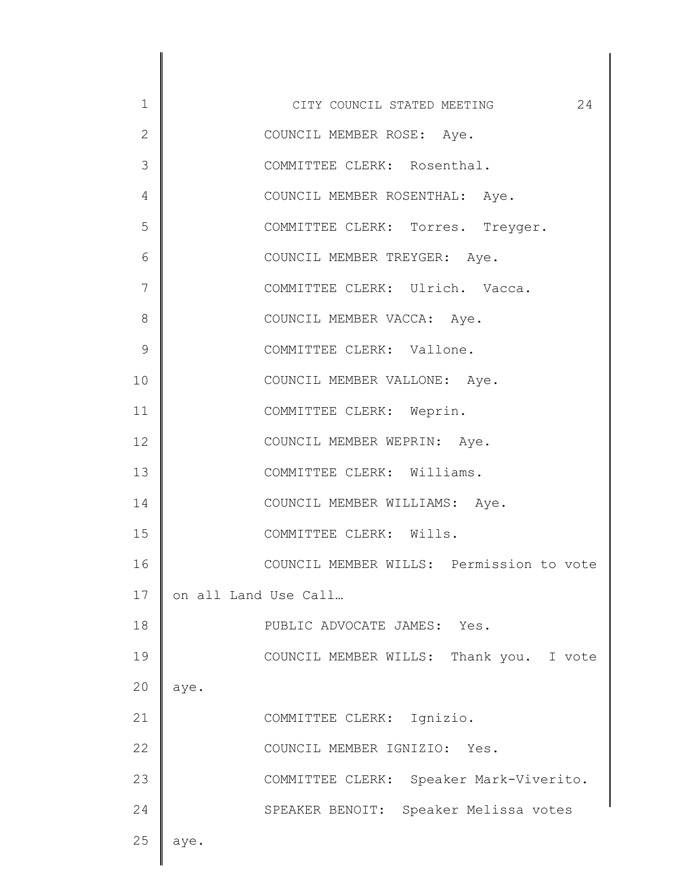| 1            | CITY COUNCIL STATED MEETING<br>24        |
|--------------|------------------------------------------|
| $\mathbf{2}$ | COUNCIL MEMBER ROSE: Aye.                |
| 3            | COMMITTEE CLERK: Rosenthal.              |
| 4            | COUNCIL MEMBER ROSENTHAL: Aye.           |
| 5            | COMMITTEE CLERK: Torres. Treyger.        |
| 6            | COUNCIL MEMBER TREYGER: Aye.             |
| 7            | COMMITTEE CLERK: Ulrich. Vacca.          |
| 8            | COUNCIL MEMBER VACCA: Aye.               |
| 9            | COMMITTEE CLERK: Vallone.                |
| 10           | COUNCIL MEMBER VALLONE: Aye.             |
| 11           | COMMITTEE CLERK: Weprin.                 |
| 12           | COUNCIL MEMBER WEPRIN: Aye.              |
| 13           | COMMITTEE CLERK: Williams.               |
| 14           | COUNCIL MEMBER WILLIAMS: Aye.            |
| 15           | COMMITTEE CLERK: Wills.                  |
| 16           | COUNCIL MEMBER WILLS: Permission to vote |
| 17           | on all Land Use Call                     |
| 18           | PUBLIC ADVOCATE JAMES: Yes.              |
| 19           | COUNCIL MEMBER WILLS: Thank you. I vote  |
| 20           | aye.                                     |
| 21           | COMMITTEE CLERK: Ignizio.                |
| 22           | COUNCIL MEMBER IGNIZIO: Yes.             |
| 23           | COMMITTEE CLERK: Speaker Mark-Viverito.  |
| 24           | SPEAKER BENOIT: Speaker Melissa votes    |
| 25           | aye.                                     |
|              |                                          |

 $\begin{array}{c} \hline \end{array}$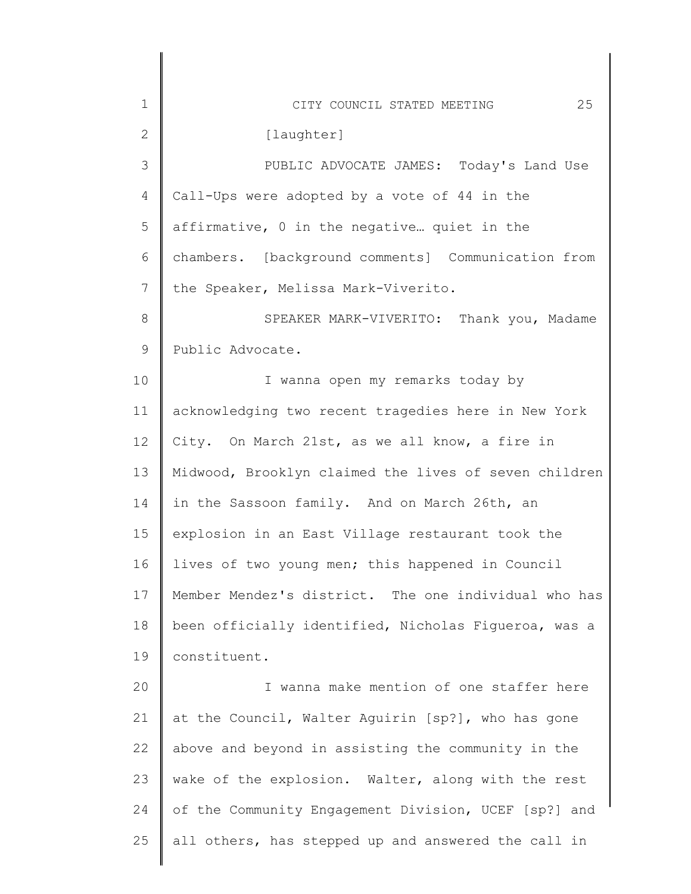| $\mathbf 1$     | 25<br>CITY COUNCIL STATED MEETING                     |
|-----------------|-------------------------------------------------------|
| $\mathbf{2}$    | [laughter]                                            |
| $\mathcal{S}$   | PUBLIC ADVOCATE JAMES: Today's Land Use               |
| 4               | Call-Ups were adopted by a vote of 44 in the          |
| 5               | affirmative, 0 in the negative quiet in the           |
| 6               | chambers. [background comments] Communication from    |
| $7\phantom{.0}$ | the Speaker, Melissa Mark-Viverito.                   |
| $8\,$           | SPEAKER MARK-VIVERITO: Thank you, Madame              |
| $\mathsf 9$     | Public Advocate.                                      |
| 10              | I wanna open my remarks today by                      |
| 11              | acknowledging two recent tragedies here in New York   |
| 12              | City. On March 21st, as we all know, a fire in        |
| 13              | Midwood, Brooklyn claimed the lives of seven children |
| 14              | in the Sassoon family. And on March 26th, an          |
| 15              | explosion in an East Village restaurant took the      |
| 16              | lives of two young men; this happened in Council      |
| 17              | Member Mendez's district. The one individual who has  |
| 18              | been officially identified, Nicholas Figueroa, was a  |
| 19              | constituent.                                          |
| 20              | I wanna make mention of one staffer here              |
| 21              | at the Council, Walter Aguirin [sp?], who has gone    |
| 22              | above and beyond in assisting the community in the    |
| 23              | wake of the explosion. Walter, along with the rest    |
| 24              | of the Community Engagement Division, UCEF [sp?] and  |
| 25              | all others, has stepped up and answered the call in   |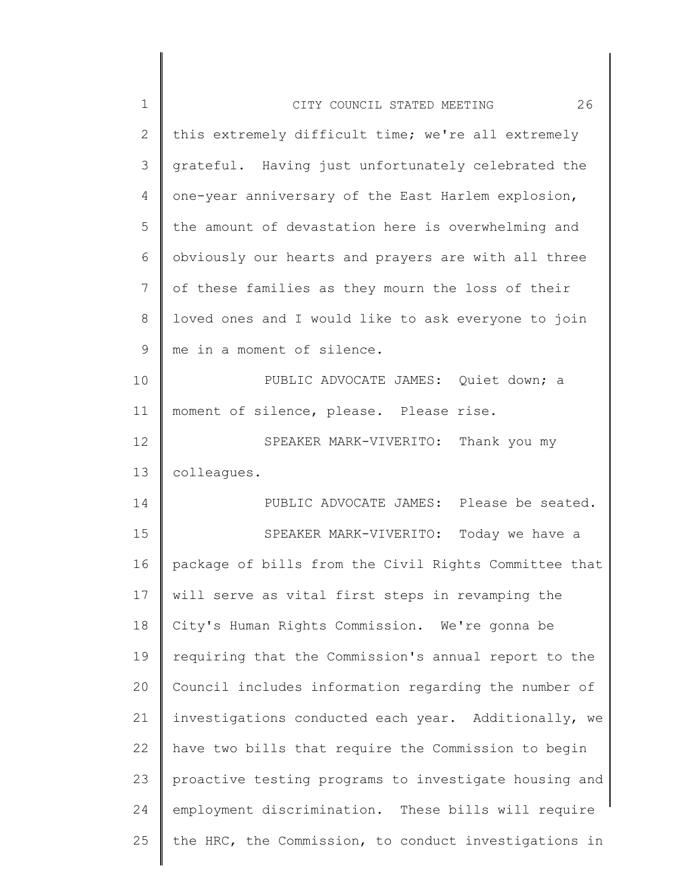| $\mathbf 1$ | 26<br>CITY COUNCIL STATED MEETING                     |
|-------------|-------------------------------------------------------|
| 2           | this extremely difficult time; we're all extremely    |
| 3           | grateful. Having just unfortunately celebrated the    |
| 4           | one-year anniversary of the East Harlem explosion,    |
| 5           | the amount of devastation here is overwhelming and    |
| 6           | obviously our hearts and prayers are with all three   |
| 7           | of these families as they mourn the loss of their     |
| 8           | loved ones and I would like to ask everyone to join   |
| 9           | me in a moment of silence.                            |
| 10          | PUBLIC ADVOCATE JAMES: Quiet down; a                  |
| 11          | moment of silence, please. Please rise.               |
| 12          | SPEAKER MARK-VIVERITO: Thank you my                   |
| 13          | colleagues.                                           |
| 14          | PUBLIC ADVOCATE JAMES: Please be seated.              |
| 15          | SPEAKER MARK-VIVERITO: Today we have a                |
| 16          | package of bills from the Civil Rights Committee that |
| 17          | will serve as vital first steps in revamping the      |
| 18          | City's Human Rights Commission. We're gonna be        |
| 19          | requiring that the Commission's annual report to the  |
| 20          | Council includes information regarding the number of  |
| 21          | investigations conducted each year. Additionally, we  |
| 22          | have two bills that require the Commission to begin   |
| 23          | proactive testing programs to investigate housing and |
| 24          | employment discrimination. These bills will require   |
| 25          | the HRC, the Commission, to conduct investigations in |
|             |                                                       |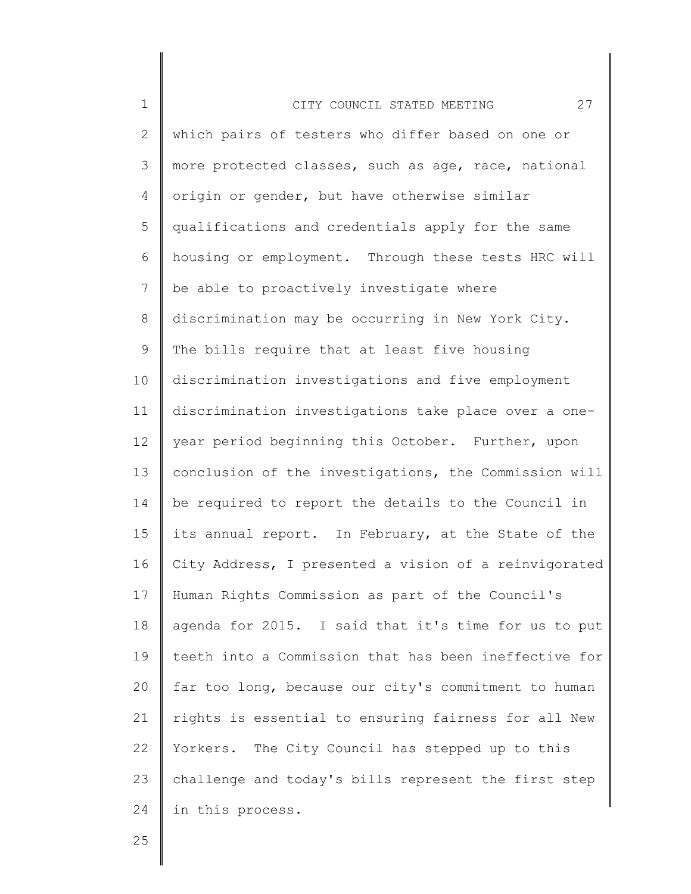| $\mathbf 1$     | 27<br>CITY COUNCIL STATED MEETING                     |
|-----------------|-------------------------------------------------------|
| 2               | which pairs of testers who differ based on one or     |
| 3               | more protected classes, such as age, race, national   |
| 4               | origin or gender, but have otherwise similar          |
| 5               | qualifications and credentials apply for the same     |
| 6               | housing or employment. Through these tests HRC will   |
| $7\phantom{.0}$ | be able to proactively investigate where              |
| 8               | discrimination may be occurring in New York City.     |
| 9               | The bills require that at least five housing          |
| 10              | discrimination investigations and five employment     |
| 11              | discrimination investigations take place over a one-  |
| 12              | year period beginning this October. Further, upon     |
| 13              | conclusion of the investigations, the Commission will |
| 14              | be required to report the details to the Council in   |
| 15              | its annual report. In February, at the State of the   |
| 16              | City Address, I presented a vision of a reinvigorated |
| 17              | Human Rights Commission as part of the Council's      |
| 18              | agenda for 2015. I said that it's time for us to put  |
| 19              | teeth into a Commission that has been ineffective for |
| 20              | far too long, because our city's commitment to human  |
| 21              | rights is essential to ensuring fairness for all New  |
| 22              | Yorkers. The City Council has stepped up to this      |
| 23              | challenge and today's bills represent the first step  |
| 24              | in this process.                                      |

║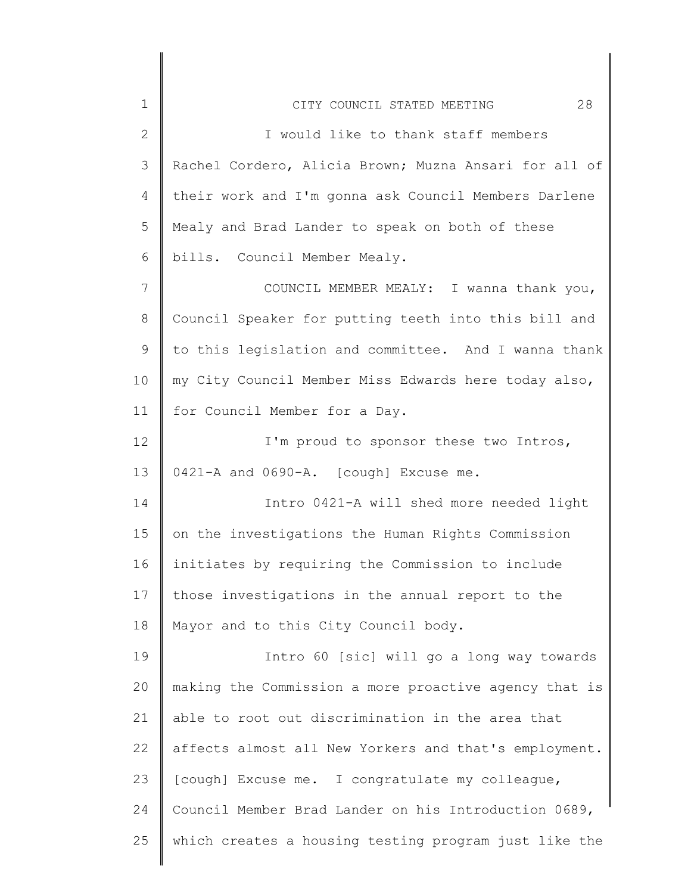| $\mathbf 1$    | 28<br>CITY COUNCIL STATED MEETING                     |
|----------------|-------------------------------------------------------|
| $\overline{2}$ | I would like to thank staff members                   |
| 3              | Rachel Cordero, Alicia Brown; Muzna Ansari for all of |
| 4              | their work and I'm gonna ask Council Members Darlene  |
| 5              | Mealy and Brad Lander to speak on both of these       |
| 6              | bills. Council Member Mealy.                          |
| 7              | COUNCIL MEMBER MEALY: I wanna thank you,              |
| 8              | Council Speaker for putting teeth into this bill and  |
| 9              | to this legislation and committee. And I wanna thank  |
| 10             | my City Council Member Miss Edwards here today also,  |
| 11             | for Council Member for a Day.                         |
| 12             | I'm proud to sponsor these two Intros,                |
| 13             | 0421-A and 0690-A. [cough] Excuse me.                 |
| 14             | Intro 0421-A will shed more needed light              |
| 15             | on the investigations the Human Rights Commission     |
| 16             | initiates by requiring the Commission to include      |
| 17             | those investigations in the annual report to the      |
| 18             | Mayor and to this City Council body.                  |
| 19             | Intro 60 [sic] will go a long way towards             |
| 20             | making the Commission a more proactive agency that is |
| 21             | able to root out discrimination in the area that      |
| 22             | affects almost all New Yorkers and that's employment. |
| 23             | [cough] Excuse me. I congratulate my colleague,       |
| 24             | Council Member Brad Lander on his Introduction 0689,  |
| 25             | which creates a housing testing program just like the |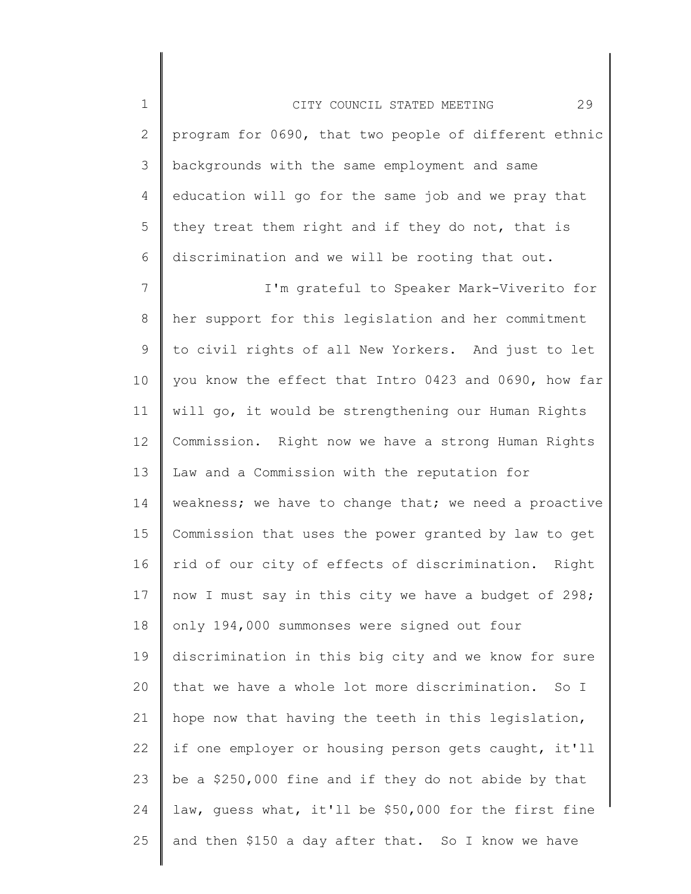1 2 3 4 5 6 CITY COUNCIL STATED MEETING 29 program for 0690, that two people of different ethnic backgrounds with the same employment and same education will go for the same job and we pray that they treat them right and if they do not, that is discrimination and we will be rooting that out.

7 8 9 10 11 12 13 14 15 16 17 18 19 20 21 22 23 24 25 I'm grateful to Speaker Mark-Viverito for her support for this legislation and her commitment to civil rights of all New Yorkers. And just to let you know the effect that Intro 0423 and 0690, how far will go, it would be strengthening our Human Rights Commission. Right now we have a strong Human Rights Law and a Commission with the reputation for weakness; we have to change that; we need a proactive Commission that uses the power granted by law to get rid of our city of effects of discrimination. Right now I must say in this city we have a budget of 298; only 194,000 summonses were signed out four discrimination in this big city and we know for sure that we have a whole lot more discrimination. So I hope now that having the teeth in this legislation, if one employer or housing person gets caught, it'll be a \$250,000 fine and if they do not abide by that law, guess what, it'll be \$50,000 for the first fine and then \$150 a day after that. So I know we have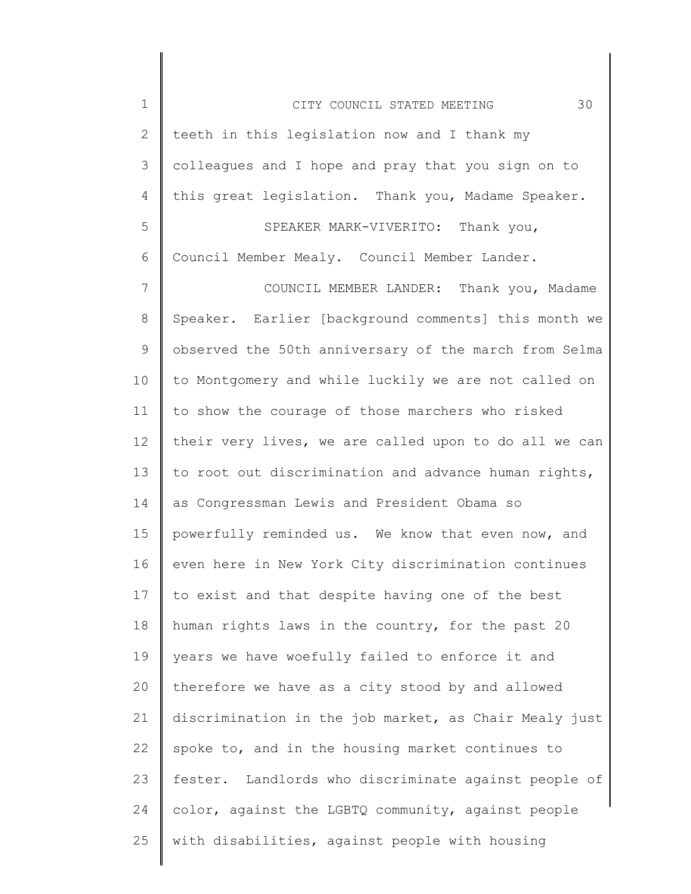| $\mathbf 1$    | 30<br>CITY COUNCIL STATED MEETING                     |
|----------------|-------------------------------------------------------|
| $\mathbf{2}$   | teeth in this legislation now and I thank my          |
| 3              | colleagues and I hope and pray that you sign on to    |
| 4              | this great legislation. Thank you, Madame Speaker.    |
| 5              | SPEAKER MARK-VIVERITO: Thank you,                     |
| 6              | Council Member Mealy. Council Member Lander.          |
| $\overline{7}$ | COUNCIL MEMBER LANDER: Thank you, Madame              |
| $8\,$          | Speaker. Earlier [background comments] this month we  |
| 9              | observed the 50th anniversary of the march from Selma |
| 10             | to Montgomery and while luckily we are not called on  |
| 11             | to show the courage of those marchers who risked      |
| 12             | their very lives, we are called upon to do all we can |
| 13             | to root out discrimination and advance human rights,  |
| 14             | as Congressman Lewis and President Obama so           |
| 15             | powerfully reminded us. We know that even now, and    |
| 16             | even here in New York City discrimination continues   |
| 17             | to exist and that despite having one of the best      |
| 18             | human rights laws in the country, for the past 20     |
| 19             | years we have woefully failed to enforce it and       |
| 20             | therefore we have as a city stood by and allowed      |
| 21             | discrimination in the job market, as Chair Mealy just |
| 22             | spoke to, and in the housing market continues to      |
| 23             | fester. Landlords who discriminate against people of  |
| 24             | color, against the LGBTQ community, against people    |
| 25             | with disabilities, against people with housing        |
|                |                                                       |

 $\begin{array}{c} \hline \end{array}$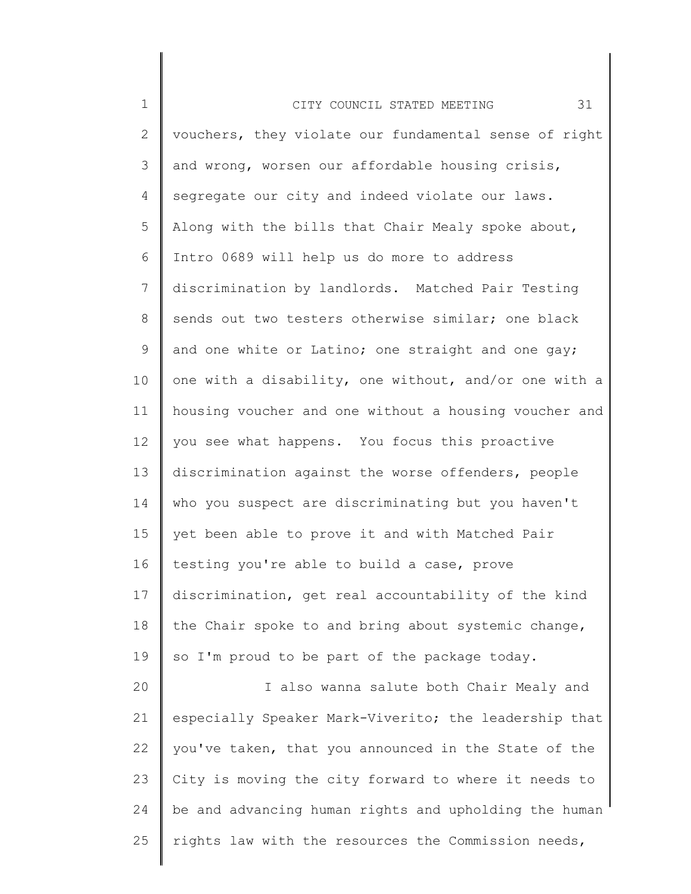| $\mathbf 1$     | 31<br>CITY COUNCIL STATED MEETING                     |
|-----------------|-------------------------------------------------------|
| $\mathbf{2}$    | vouchers, they violate our fundamental sense of right |
| 3               | and wrong, worsen our affordable housing crisis,      |
| $\overline{4}$  | segregate our city and indeed violate our laws.       |
| 5               | Along with the bills that Chair Mealy spoke about,    |
| 6               | Intro 0689 will help us do more to address            |
| $7\phantom{.0}$ | discrimination by landlords. Matched Pair Testing     |
| 8               | sends out two testers otherwise similar; one black    |
| 9               | and one white or Latino; one straight and one gay;    |
| 10              | one with a disability, one without, and/or one with a |
| 11              | housing voucher and one without a housing voucher and |
| 12              | you see what happens. You focus this proactive        |
| 13              | discrimination against the worse offenders, people    |
| 14              | who you suspect are discriminating but you haven't    |
| 15              | yet been able to prove it and with Matched Pair       |
| 16              | testing you're able to build a case, prove            |
| 17              | discrimination, get real accountability of the kind   |
| 18              | the Chair spoke to and bring about systemic change,   |
| 19              | so I'm proud to be part of the package today.         |
| 20              | I also wanna salute both Chair Mealy and              |
| 21              | especially Speaker Mark-Viverito; the leadership that |
| 22              | you've taken, that you announced in the State of the  |
| 23              | City is moving the city forward to where it needs to  |
| 24              | be and advancing human rights and upholding the human |
| 25              | rights law with the resources the Commission needs,   |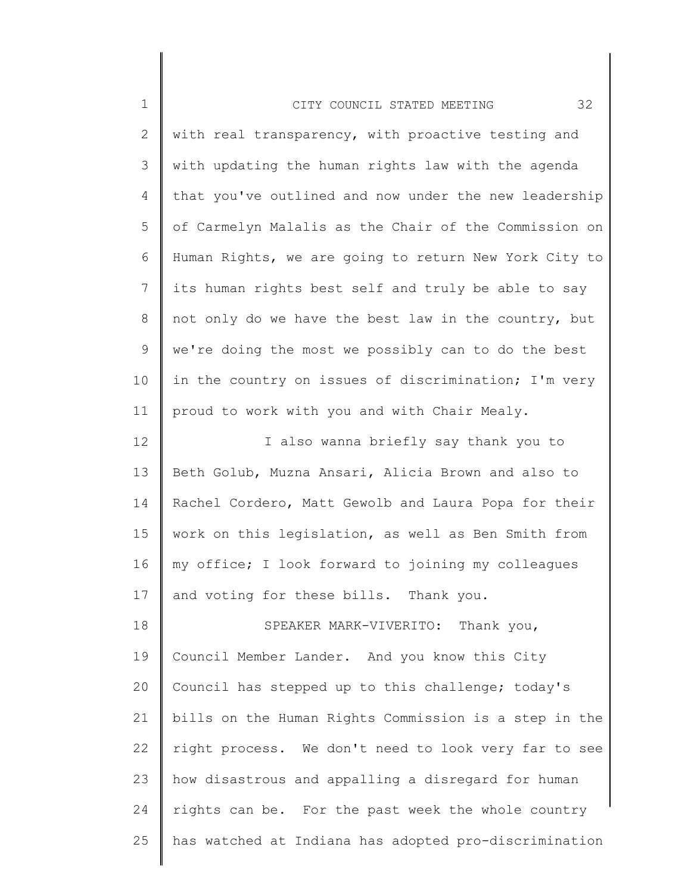| $\mathbf 1$ | 32<br>CITY COUNCIL STATED MEETING                     |
|-------------|-------------------------------------------------------|
| 2           | with real transparency, with proactive testing and    |
| 3           | with updating the human rights law with the agenda    |
| 4           | that you've outlined and now under the new leadership |
| 5           | of Carmelyn Malalis as the Chair of the Commission on |
| 6           | Human Rights, we are going to return New York City to |
| 7           | its human rights best self and truly be able to say   |
| 8           | not only do we have the best law in the country, but  |
| 9           | we're doing the most we possibly can to do the best   |
| 10          | in the country on issues of discrimination; I'm very  |
| 11          | proud to work with you and with Chair Mealy.          |
| 12          | I also wanna briefly say thank you to                 |
| 13          | Beth Golub, Muzna Ansari, Alicia Brown and also to    |
| 14          | Rachel Cordero, Matt Gewolb and Laura Popa for their  |
| 15          | work on this legislation, as well as Ben Smith from   |
| 16          | my office; I look forward to joining my colleagues    |
| 17          | and voting for these bills. Thank you.                |
| 18          | SPEAKER MARK-VIVERITO: Thank you,                     |
| 19          | Council Member Lander. And you know this City         |
| 20          | Council has stepped up to this challenge; today's     |
| 21          | bills on the Human Rights Commission is a step in the |
| 22          | right process. We don't need to look very far to see  |
| 23          | how disastrous and appalling a disregard for human    |
| 24          | rights can be. For the past week the whole country    |
| 25          | has watched at Indiana has adopted pro-discrimination |
|             |                                                       |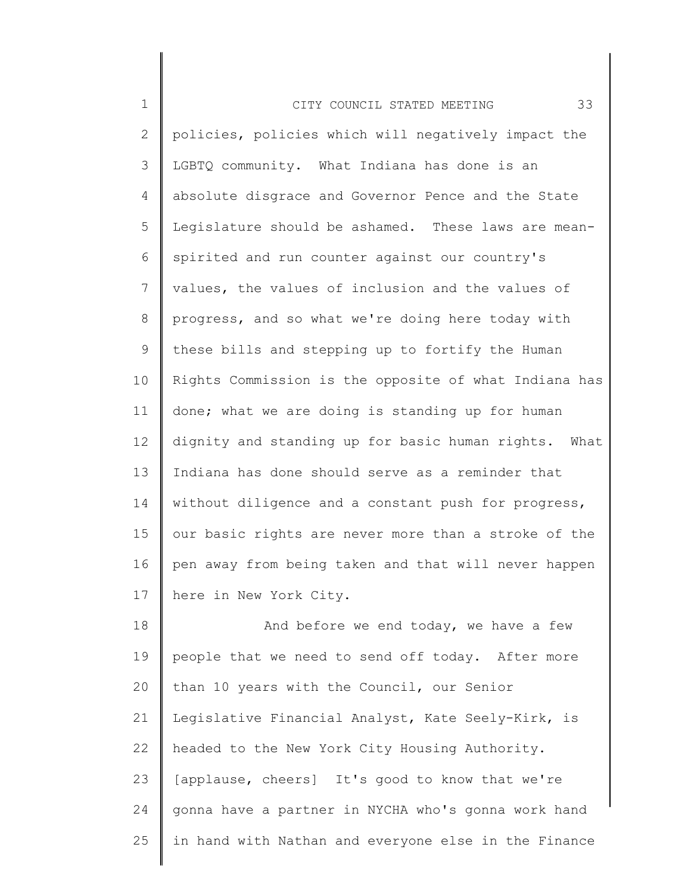| $\mathbf 1$    | 33<br>CITY COUNCIL STATED MEETING                     |
|----------------|-------------------------------------------------------|
| $\overline{2}$ | policies, policies which will negatively impact the   |
| 3              | LGBTQ community. What Indiana has done is an          |
| 4              | absolute disgrace and Governor Pence and the State    |
| 5              | Legislature should be ashamed. These laws are mean-   |
| 6              | spirited and run counter against our country's        |
| 7              | values, the values of inclusion and the values of     |
| 8              | progress, and so what we're doing here today with     |
| 9              | these bills and stepping up to fortify the Human      |
| 10             | Rights Commission is the opposite of what Indiana has |
| 11             | done; what we are doing is standing up for human      |
| 12             | dignity and standing up for basic human rights. What  |
| 13             | Indiana has done should serve as a reminder that      |
| 14             | without diligence and a constant push for progress,   |
| 15             | our basic rights are never more than a stroke of the  |
| 16             | pen away from being taken and that will never happen  |
| 17             | here in New York City.                                |
| 18             | And before we end today, we have a few                |
| 19             | people that we need to send off today. After more     |
| 20             | than 10 years with the Council, our Senior            |
| 21             | Legislative Financial Analyst, Kate Seely-Kirk, is    |
| 22             | headed to the New York City Housing Authority.        |
| 23             | [applause, cheers] It's good to know that we're       |
| 24             | gonna have a partner in NYCHA who's gonna work hand   |
| 25             | in hand with Nathan and everyone else in the Finance  |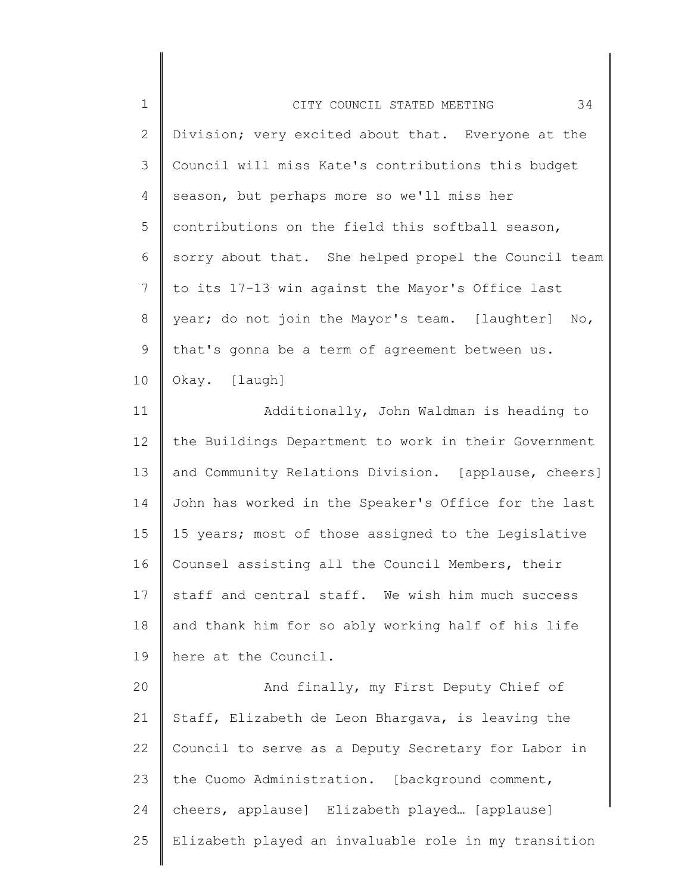| $\mathbf 1$    | 34<br>CITY COUNCIL STATED MEETING                    |
|----------------|------------------------------------------------------|
| $\mathbf{2}$   | Division; very excited about that. Everyone at the   |
| 3              | Council will miss Kate's contributions this budget   |
| $\overline{4}$ | season, but perhaps more so we'll miss her           |
| 5              | contributions on the field this softball season,     |
| 6              | sorry about that. She helped propel the Council team |
| $\overline{7}$ | to its 17-13 win against the Mayor's Office last     |
| 8              | year; do not join the Mayor's team. [laughter] No,   |
| $\mathsf 9$    | that's gonna be a term of agreement between us.      |
| 10             | Okay. [laugh]                                        |
| 11             | Additionally, John Waldman is heading to             |
| 12             | the Buildings Department to work in their Government |
| 13             | and Community Relations Division. [applause, cheers] |
| 14             | John has worked in the Speaker's Office for the last |
| 15             | 15 years; most of those assigned to the Legislative  |
| 16             | Counsel assisting all the Council Members, their     |
| 17             | staff and central staff. We wish him much success    |
| 18             | and thank him for so ably working half of his life   |
| 19             | here at the Council.                                 |
| 20             | And finally, my First Deputy Chief of                |
| 21             | Staff, Elizabeth de Leon Bhargava, is leaving the    |
| 22             | Council to serve as a Deputy Secretary for Labor in  |
| 23             | the Cuomo Administration. [background comment,       |
| 24             | cheers, applause] Elizabeth played [applause]        |
| 25             | Elizabeth played an invaluable role in my transition |
|                |                                                      |

║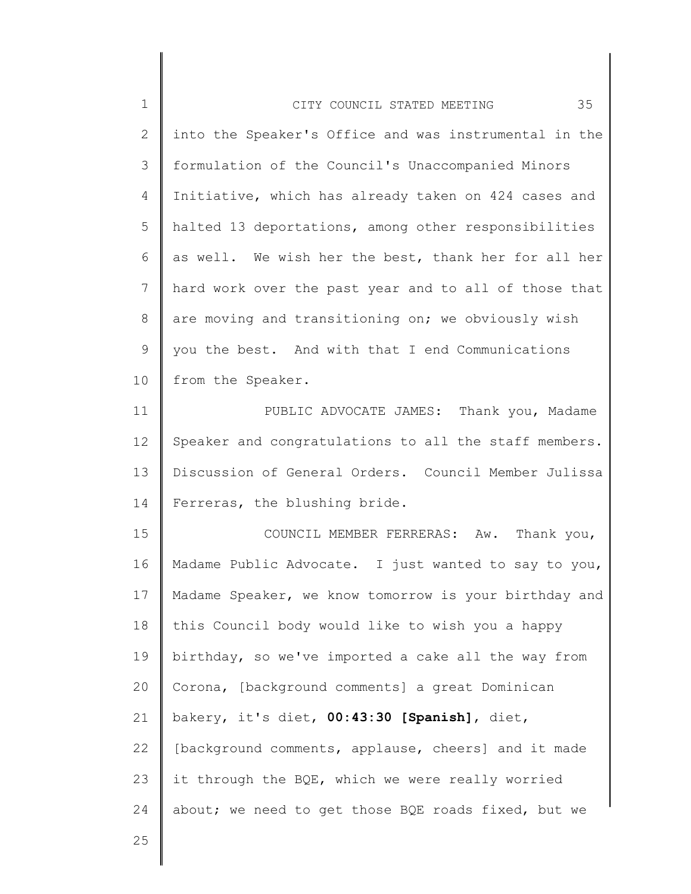| $\mathbf 1$  | 35<br>CITY COUNCIL STATED MEETING                     |
|--------------|-------------------------------------------------------|
| $\mathbf{2}$ | into the Speaker's Office and was instrumental in the |
| 3            | formulation of the Council's Unaccompanied Minors     |
| 4            | Initiative, which has already taken on 424 cases and  |
| 5            | halted 13 deportations, among other responsibilities  |
| 6            | as well. We wish her the best, thank her for all her  |
| 7            | hard work over the past year and to all of those that |
| 8            | are moving and transitioning on; we obviously wish    |
| $\mathsf 9$  | you the best. And with that I end Communications      |
| 10           | from the Speaker.                                     |
| 11           | PUBLIC ADVOCATE JAMES: Thank you, Madame              |
| 12           | Speaker and congratulations to all the staff members. |
| 13           | Discussion of General Orders. Council Member Julissa  |
| 14           | Ferreras, the blushing bride.                         |
| 15           | COUNCIL MEMBER FERRERAS: Aw. Thank you,               |
| 16           | Madame Public Advocate. I just wanted to say to you,  |
| 17           | Madame Speaker, we know tomorrow is your birthday and |
| 18           | this Council body would like to wish you a happy      |
| 19           | birthday, so we've imported a cake all the way from   |
| 20           | Corona, [background comments] a great Dominican       |
| 21           | bakery, it's diet, 00:43:30 [Spanish], diet,          |
| 22           | [background comments, applause, cheers] and it made   |
| 23           | it through the BQE, which we were really worried      |
| 24           | about; we need to get those BQE roads fixed, but we   |
| 25           |                                                       |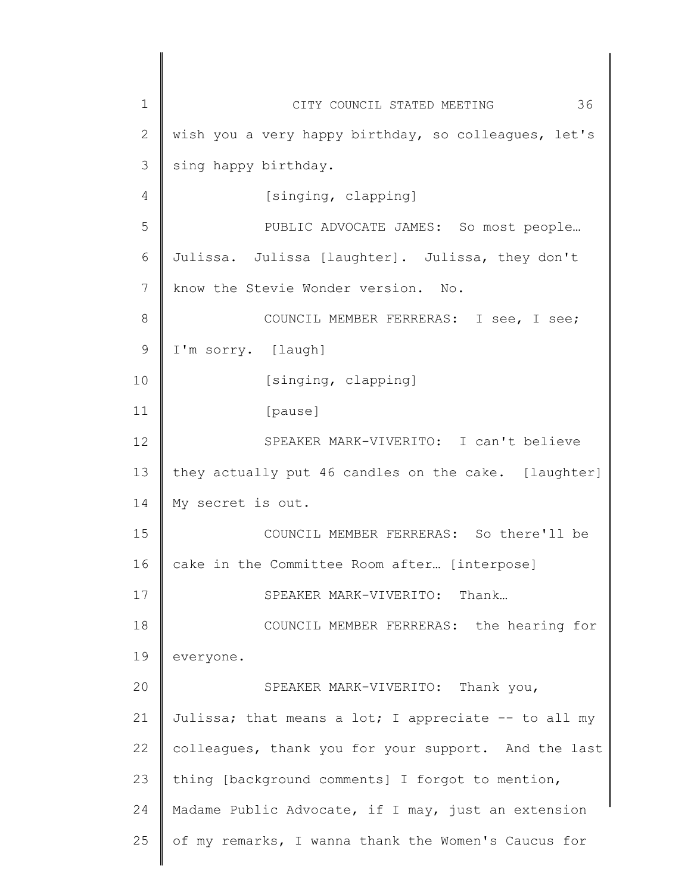1 2 3 4 5 6 7 8 9 10 11 12 13 14 15 16 17 18 19 20 21 22 23 24 25 CITY COUNCIL STATED MEETING 36 wish you a very happy birthday, so colleagues, let's sing happy birthday. [singing, clapping] PUBLIC ADVOCATE JAMES: So most people… Julissa. Julissa [laughter]. Julissa, they don't know the Stevie Wonder version. No. COUNCIL MEMBER FERRERAS: I see, I see; I'm sorry. [laugh] [singing, clapping] [pause] SPEAKER MARK-VIVERITO: I can't believe they actually put 46 candles on the cake. [laughter] My secret is out. COUNCIL MEMBER FERRERAS: So there'll be cake in the Committee Room after… [interpose] SPEAKER MARK-VIVERITO: Thank… COUNCIL MEMBER FERRERAS: the hearing for everyone. SPEAKER MARK-VIVERITO: Thank you, Julissa; that means a lot; I appreciate  $-$  to all my colleagues, thank you for your support. And the last thing [background comments] I forgot to mention, Madame Public Advocate, if I may, just an extension of my remarks, I wanna thank the Women's Caucus for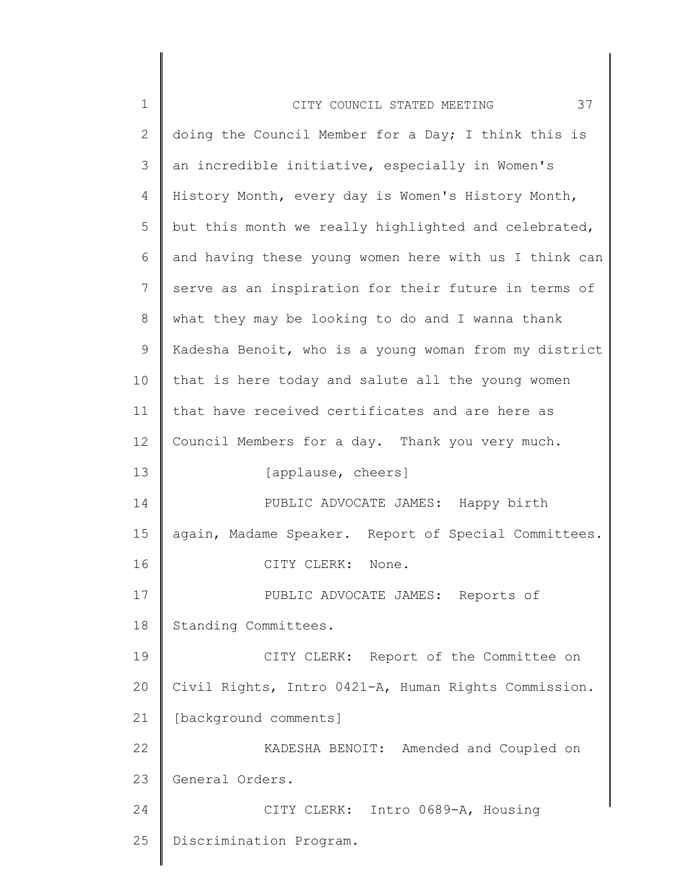| $\mathbf 1$  | 37<br>CITY COUNCIL STATED MEETING                     |
|--------------|-------------------------------------------------------|
| $\mathbf{2}$ | doing the Council Member for a Day; I think this is   |
| 3            | an incredible initiative, especially in Women's       |
| 4            | History Month, every day is Women's History Month,    |
| 5            | but this month we really highlighted and celebrated,  |
| 6            | and having these young women here with us I think can |
| 7            | serve as an inspiration for their future in terms of  |
| 8            | what they may be looking to do and I wanna thank      |
| 9            | Kadesha Benoit, who is a young woman from my district |
| 10           | that is here today and salute all the young women     |
| 11           | that have received certificates and are here as       |
| 12           | Council Members for a day. Thank you very much.       |
| 13           | [applause, cheers]                                    |
| 14           | PUBLIC ADVOCATE JAMES: Happy birth                    |
| 15           | again, Madame Speaker. Report of Special Committees.  |
| 16           | CITY CLERK: None.                                     |
| 17           | PUBLIC ADVOCATE JAMES: Reports of                     |
| 18           | Standing Committees.                                  |
| 19           | CITY CLERK: Report of the Committee on                |
| 20           | Civil Rights, Intro 0421-A, Human Rights Commission.  |
| 21           | [background comments]                                 |
| 22           | KADESHA BENOIT: Amended and Coupled on                |
| 23           | General Orders.                                       |
| 24           | CITY CLERK: Intro 0689-A, Housing                     |
| 25           | Discrimination Program.                               |
|              |                                                       |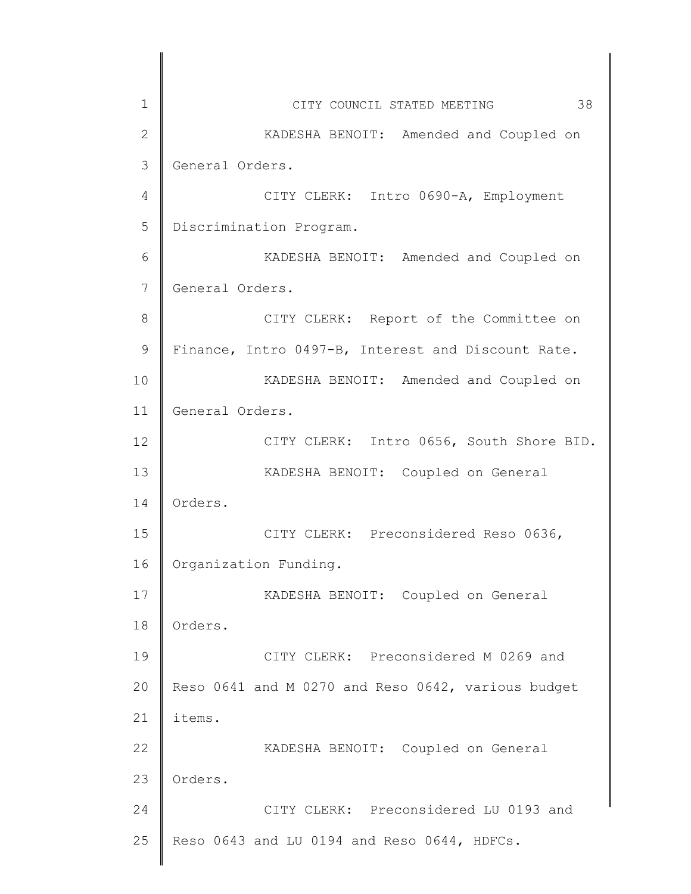| 1               | 38<br>CITY COUNCIL STATED MEETING                  |
|-----------------|----------------------------------------------------|
| $\mathbf{2}$    | KADESHA BENOIT: Amended and Coupled on             |
| 3               | General Orders.                                    |
| 4               | CITY CLERK: Intro 0690-A, Employment               |
| 5               | Discrimination Program.                            |
| 6               | KADESHA BENOIT: Amended and Coupled on             |
| 7               | General Orders.                                    |
| 8               | CITY CLERK: Report of the Committee on             |
| 9               | Finance, Intro 0497-B, Interest and Discount Rate. |
| 10              | KADESHA BENOIT: Amended and Coupled on             |
| 11              | General Orders.                                    |
| 12 <sup>°</sup> | CITY CLERK: Intro 0656, South Shore BID.           |
| 13              | KADESHA BENOIT: Coupled on General                 |
| 14              | Orders.                                            |
| 15              | CITY CLERK: Preconsidered Reso 0636,               |
| 16              | Organization Funding.                              |
| 17              | KADESHA BENOIT: Coupled on General                 |
| 18              | Orders.                                            |
| 19              | CITY CLERK: Preconsidered M 0269 and               |
| 20              | Reso 0641 and M 0270 and Reso 0642, various budget |
| 21              | items.                                             |
| 22              | KADESHA BENOIT: Coupled on General                 |
| 23              | Orders.                                            |
| 24              | CITY CLERK: Preconsidered LU 0193 and              |
| 25              | Reso 0643 and LU 0194 and Reso 0644, HDFCs.        |
|                 |                                                    |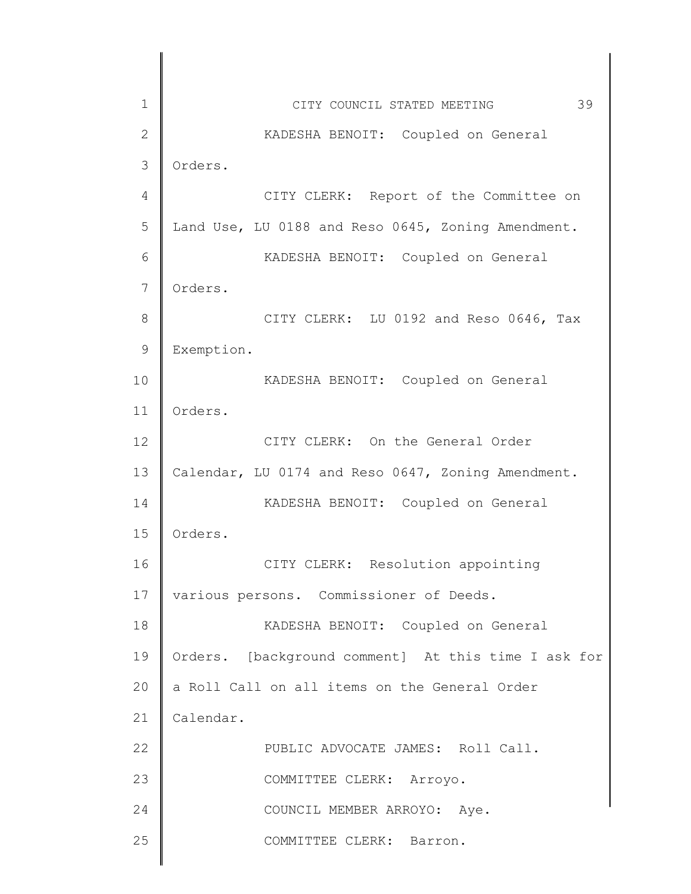| $\mathbf 1$    | 39<br>CITY COUNCIL STATED MEETING                   |
|----------------|-----------------------------------------------------|
| $\mathbf{2}$   | KADESHA BENOIT: Coupled on General                  |
| 3              | Orders.                                             |
| $\overline{4}$ | CITY CLERK: Report of the Committee on              |
| 5              | Land Use, LU 0188 and Reso 0645, Zoning Amendment.  |
| 6              | KADESHA BENOIT: Coupled on General                  |
| 7              | Orders.                                             |
| $\,8\,$        | CITY CLERK: LU 0192 and Reso 0646, Tax              |
| $\mathsf 9$    | Exemption.                                          |
| 10             | KADESHA BENOIT: Coupled on General                  |
| 11             | Orders.                                             |
| 12             | CITY CLERK: On the General Order                    |
| 13             | Calendar, LU 0174 and Reso 0647, Zoning Amendment.  |
| 14             | KADESHA BENOIT: Coupled on General                  |
| 15             | Orders.                                             |
| 16             | CITY CLERK: Resolution appointing                   |
| 17             | various persons. Commissioner of Deeds.             |
| 18             | KADESHA BENOIT: Coupled on General                  |
| 19             | Orders. [background comment] At this time I ask for |
| 20             | a Roll Call on all items on the General Order       |
| 21             | Calendar.                                           |
| 22             | PUBLIC ADVOCATE JAMES: Roll Call.                   |
| 23             | COMMITTEE CLERK: Arroyo.                            |
| 24             | COUNCIL MEMBER ARROYO: Aye.                         |
| 25             | COMMITTEE CLERK: Barron.                            |
|                |                                                     |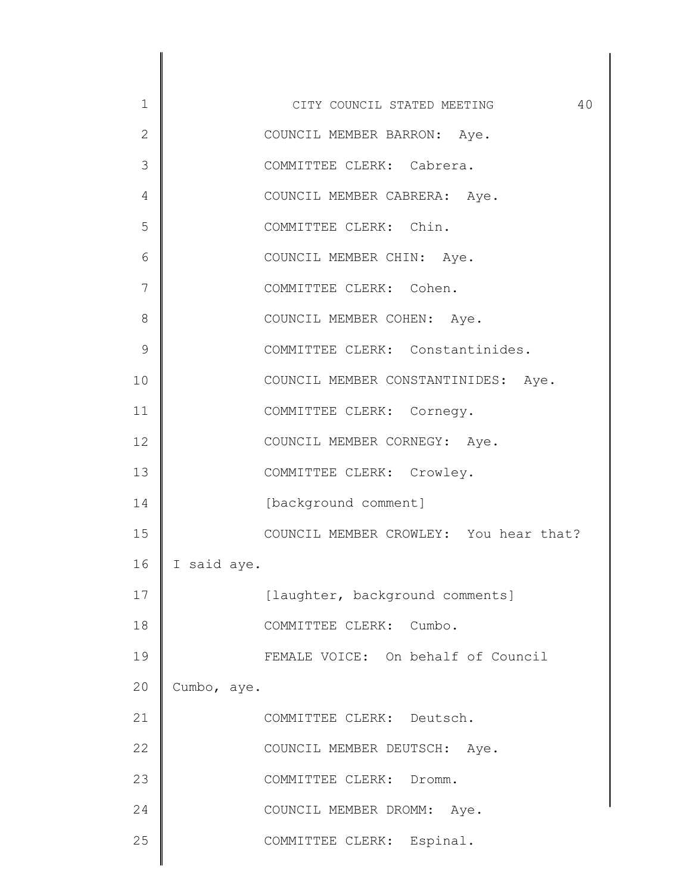| $\mathbf 1$  | 40<br>CITY COUNCIL STATED MEETING      |
|--------------|----------------------------------------|
| $\mathbf{2}$ | COUNCIL MEMBER BARRON: Aye.            |
| 3            | COMMITTEE CLERK: Cabrera.              |
| 4            | COUNCIL MEMBER CABRERA: Aye.           |
| 5            | COMMITTEE CLERK: Chin.                 |
| 6            | COUNCIL MEMBER CHIN: Aye.              |
| 7            | COMMITTEE CLERK: Cohen.                |
| 8            | COUNCIL MEMBER COHEN: Aye.             |
| 9            | COMMITTEE CLERK: Constantinides.       |
| 10           | COUNCIL MEMBER CONSTANTINIDES: Aye.    |
| 11           | COMMITTEE CLERK: Cornegy.              |
| 12           | COUNCIL MEMBER CORNEGY: Aye.           |
| 13           | COMMITTEE CLERK: Crowley.              |
| 14           | [background comment]                   |
| 15           | COUNCIL MEMBER CROWLEY: You hear that? |
| 16           | I said aye.                            |
| 17           | [laughter, background comments]        |
| 18           | COMMITTEE CLERK: Cumbo.                |
| 19           | FEMALE VOICE: On behalf of Council     |
| 20           | Cumbo, aye.                            |
| 21           | COMMITTEE CLERK: Deutsch.              |
| 22           | COUNCIL MEMBER DEUTSCH: Aye.           |
| 23           | COMMITTEE CLERK: Dromm.                |
| 24           | COUNCIL MEMBER DROMM: Aye.             |
| 25           | COMMITTEE CLERK: Espinal.              |
|              |                                        |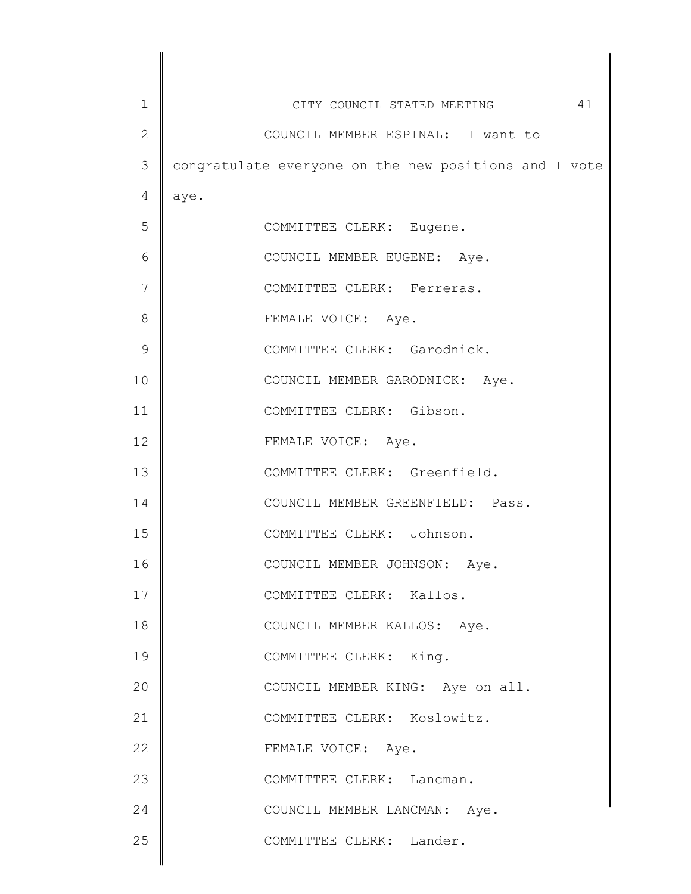| $\mathbf 1$  | 41<br>CITY COUNCIL STATED MEETING                     |
|--------------|-------------------------------------------------------|
| $\mathbf{2}$ | COUNCIL MEMBER ESPINAL: I want to                     |
| 3            | congratulate everyone on the new positions and I vote |
| 4            | aye.                                                  |
| 5            | COMMITTEE CLERK: Eugene.                              |
| 6            | COUNCIL MEMBER EUGENE: Aye.                           |
| 7            | COMMITTEE CLERK: Ferreras.                            |
| 8            | FEMALE VOICE: Aye.                                    |
| 9            | COMMITTEE CLERK: Garodnick.                           |
| 10           | COUNCIL MEMBER GARODNICK: Aye.                        |
| 11           | COMMITTEE CLERK: Gibson.                              |
| 12           | FEMALE VOICE: Aye.                                    |
| 13           | COMMITTEE CLERK: Greenfield.                          |
| 14           | COUNCIL MEMBER GREENFIELD: Pass.                      |
| 15           | COMMITTEE CLERK: Johnson.                             |
| 16           | COUNCIL MEMBER JOHNSON: Aye.                          |
| 17           | COMMITTEE CLERK: Kallos.                              |
| 18           | COUNCIL MEMBER KALLOS: Aye.                           |
| 19           | COMMITTEE CLERK: King.                                |
| 20           | COUNCIL MEMBER KING: Aye on all.                      |
| 21           | COMMITTEE CLERK: Koslowitz.                           |
| 22           | FEMALE VOICE: Aye.                                    |
| 23           | COMMITTEE CLERK: Lancman.                             |
| 24           | COUNCIL MEMBER LANCMAN: Aye.                          |
| 25           | COMMITTEE CLERK: Lander.                              |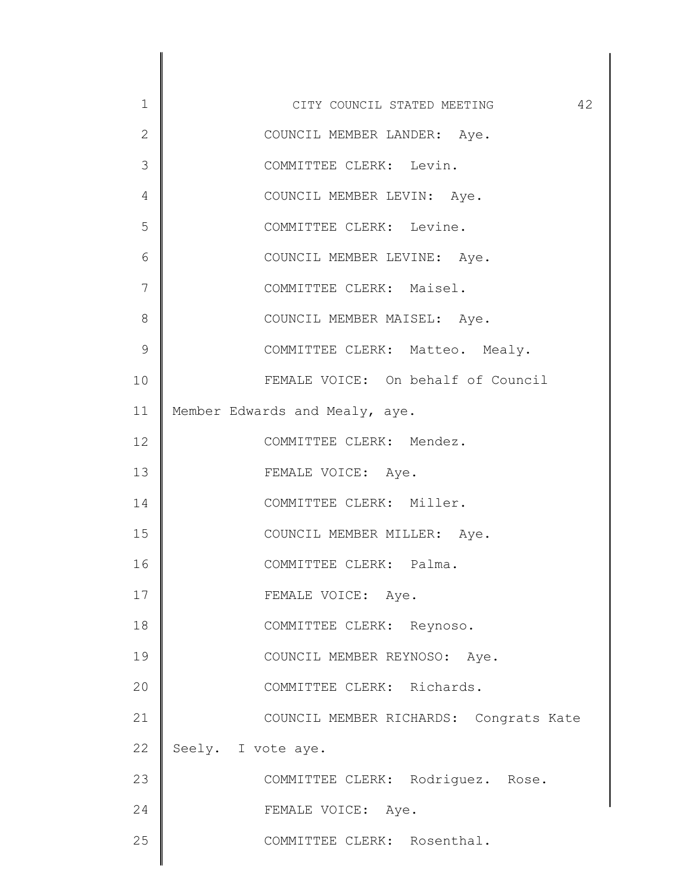| $\mathbf 1$   | 42<br>CITY COUNCIL STATED MEETING      |
|---------------|----------------------------------------|
| $\mathbf{2}$  | COUNCIL MEMBER LANDER: Aye.            |
| 3             | COMMITTEE CLERK: Levin.                |
| 4             | COUNCIL MEMBER LEVIN: Aye.             |
| 5             | COMMITTEE CLERK: Levine.               |
| 6             | COUNCIL MEMBER LEVINE: Aye.            |
| 7             | COMMITTEE CLERK: Maisel.               |
| 8             | COUNCIL MEMBER MAISEL: Aye.            |
| $\mathcal{G}$ | COMMITTEE CLERK: Matteo. Mealy.        |
| 10            | FEMALE VOICE: On behalf of Council     |
| 11            | Member Edwards and Mealy, aye.         |
| 12            | COMMITTEE CLERK: Mendez.               |
| 13            | FEMALE VOICE: Aye.                     |
| 14            | COMMITTEE CLERK: Miller.               |
| 15            | COUNCIL MEMBER MILLER: Aye.            |
| 16            | COMMITTEE CLERK: Palma.                |
| 17            | FEMALE VOICE: Aye.                     |
| 18            | COMMITTEE CLERK: Reynoso.              |
| 19            | COUNCIL MEMBER REYNOSO: Aye.           |
| 20            | COMMITTEE CLERK: Richards.             |
| 21            | COUNCIL MEMBER RICHARDS: Congrats Kate |
| 22            | Seely. I vote aye.                     |
| 23            | COMMITTEE CLERK: Rodriguez. Rose.      |
| 24            | FEMALE VOICE: Aye.                     |
| 25            | COMMITTEE CLERK: Rosenthal.            |
|               |                                        |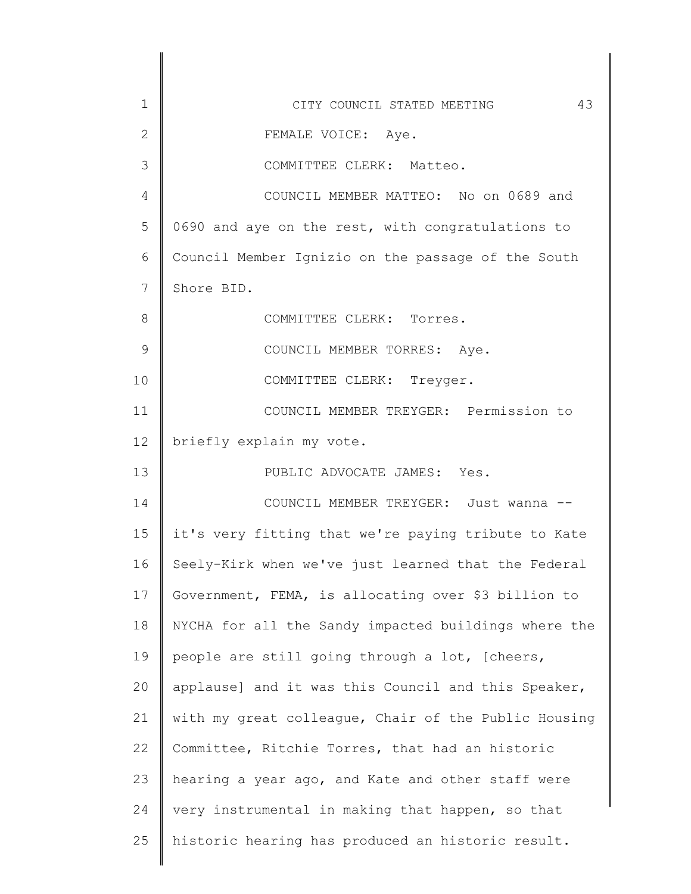| 1            | 43<br>CITY COUNCIL STATED MEETING                    |
|--------------|------------------------------------------------------|
| $\mathbf{2}$ | FEMALE VOICE: Aye.                                   |
| 3            | COMMITTEE CLERK: Matteo.                             |
| 4            | COUNCIL MEMBER MATTEO: No on 0689 and                |
| 5            | 0690 and aye on the rest, with congratulations to    |
| 6            | Council Member Ignizio on the passage of the South   |
| 7            | Shore BID.                                           |
| 8            | COMMITTEE CLERK: Torres.                             |
| 9            | COUNCIL MEMBER TORRES: Aye.                          |
| 10           | COMMITTEE CLERK: Treyger.                            |
| 11           | COUNCIL MEMBER TREYGER: Permission to                |
| 12           | briefly explain my vote.                             |
| 13           | PUBLIC ADVOCATE JAMES: Yes.                          |
| 14           | COUNCIL MEMBER TREYGER: Just wanna --                |
| 15           | it's very fitting that we're paying tribute to Kate  |
| 16           | Seely-Kirk when we've just learned that the Federal  |
| 17           | Government, FEMA, is allocating over \$3 billion to  |
| 18           | NYCHA for all the Sandy impacted buildings where the |
| 19           | people are still going through a lot, [cheers,       |
| 20           | applause] and it was this Council and this Speaker,  |
| 21           | with my great colleague, Chair of the Public Housing |
| 22           | Committee, Ritchie Torres, that had an historic      |
| 23           | hearing a year ago, and Kate and other staff were    |
| 24           | very instrumental in making that happen, so that     |
| 25           | historic hearing has produced an historic result.    |
|              |                                                      |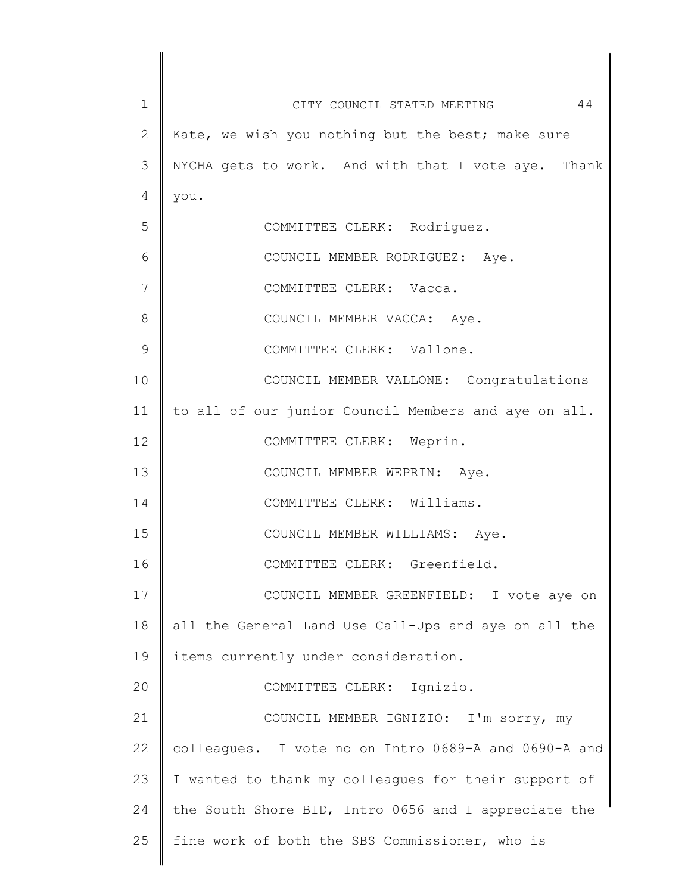| $\mathbf 1$  | 44<br>CITY COUNCIL STATED MEETING                    |
|--------------|------------------------------------------------------|
| $\mathbf{2}$ | Kate, we wish you nothing but the best; make sure    |
| 3            | NYCHA gets to work. And with that I vote aye. Thank  |
| 4            | you.                                                 |
| 5            | COMMITTEE CLERK: Rodriguez.                          |
| 6            | COUNCIL MEMBER RODRIGUEZ: Aye.                       |
| 7            | COMMITTEE CLERK: Vacca.                              |
| 8            | COUNCIL MEMBER VACCA: Aye.                           |
| $\mathsf 9$  | COMMITTEE CLERK: Vallone.                            |
| 10           | COUNCIL MEMBER VALLONE: Congratulations              |
| 11           | to all of our junior Council Members and aye on all. |
| 12           | COMMITTEE CLERK: Weprin.                             |
| 13           | COUNCIL MEMBER WEPRIN: Aye.                          |
| 14           | COMMITTEE CLERK: Williams.                           |
| 15           | COUNCIL MEMBER WILLIAMS: Aye.                        |
| 16           | COMMITTEE CLERK: Greenfield.                         |
| 17           | COUNCIL MEMBER GREENFIELD: I vote aye on             |
| 18           | all the General Land Use Call-Ups and aye on all the |
| 19           | items currently under consideration.                 |
| 20           | COMMITTEE CLERK: Ignizio.                            |
| 21           | COUNCIL MEMBER IGNIZIO: I'm sorry, my                |
| 22           | colleagues. I vote no on Intro 0689-A and 0690-A and |
| 23           | I wanted to thank my colleagues for their support of |
| 24           | the South Shore BID, Intro 0656 and I appreciate the |
| 25           | fine work of both the SBS Commissioner, who is       |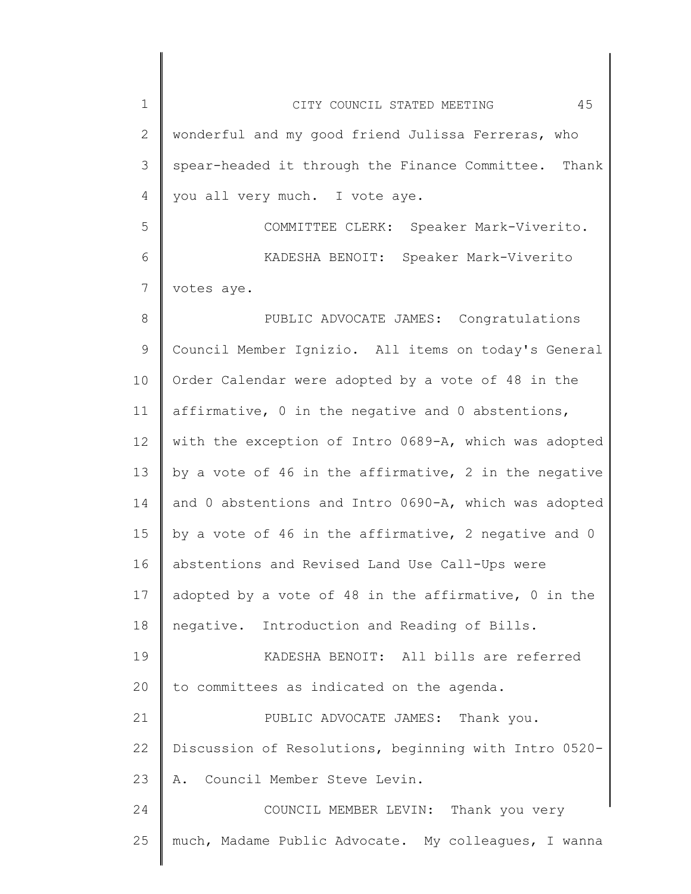1 2 3 4 5 6 7 8 9 10 11 12 13 14 15 16 17 18 19 20 21 22 23 24 25 CITY COUNCIL STATED MEETING 45 wonderful and my good friend Julissa Ferreras, who spear-headed it through the Finance Committee. Thank you all very much. I vote aye. COMMITTEE CLERK: Speaker Mark-Viverito. KADESHA BENOIT: Speaker Mark-Viverito votes aye. PUBLIC ADVOCATE JAMES: Congratulations Council Member Ignizio. All items on today's General Order Calendar were adopted by a vote of 48 in the affirmative, 0 in the negative and 0 abstentions, with the exception of Intro 0689-A, which was adopted by a vote of 46 in the affirmative, 2 in the negative and 0 abstentions and Intro 0690-A, which was adopted by a vote of 46 in the affirmative, 2 negative and 0 abstentions and Revised Land Use Call-Ups were adopted by a vote of 48 in the affirmative, 0 in the negative. Introduction and Reading of Bills. KADESHA BENOIT: All bills are referred to committees as indicated on the agenda. PUBLIC ADVOCATE JAMES: Thank you. Discussion of Resolutions, beginning with Intro 0520- A. Council Member Steve Levin. COUNCIL MEMBER LEVIN: Thank you very much, Madame Public Advocate. My colleagues, I wanna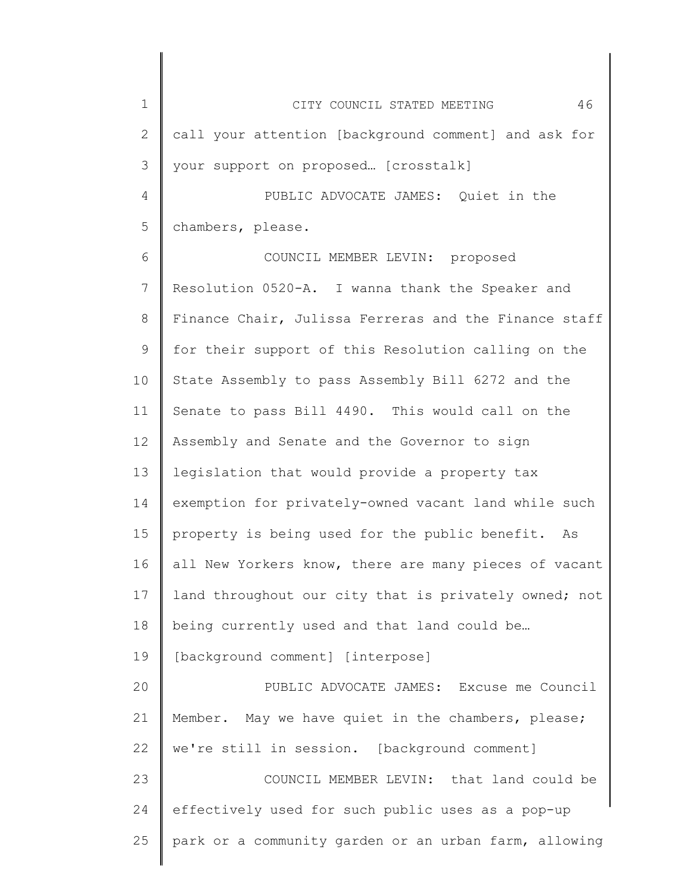1 2 3 4 5 6 7 8 9 10 11 12 13 14 15 16 17 18 19 20 21 22 23 24 25 CITY COUNCIL STATED MEETING 46 call your attention [background comment] and ask for your support on proposed… [crosstalk] PUBLIC ADVOCATE JAMES: Quiet in the chambers, please. COUNCIL MEMBER LEVIN: proposed Resolution 0520-A. I wanna thank the Speaker and Finance Chair, Julissa Ferreras and the Finance staff for their support of this Resolution calling on the State Assembly to pass Assembly Bill 6272 and the Senate to pass Bill 4490. This would call on the Assembly and Senate and the Governor to sign legislation that would provide a property tax exemption for privately-owned vacant land while such property is being used for the public benefit. As all New Yorkers know, there are many pieces of vacant land throughout our city that is privately owned; not being currently used and that land could be… [background comment] [interpose] PUBLIC ADVOCATE JAMES: Excuse me Council Member. May we have quiet in the chambers, please; we're still in session. [background comment] COUNCIL MEMBER LEVIN: that land could be effectively used for such public uses as a pop-up park or a community garden or an urban farm, allowing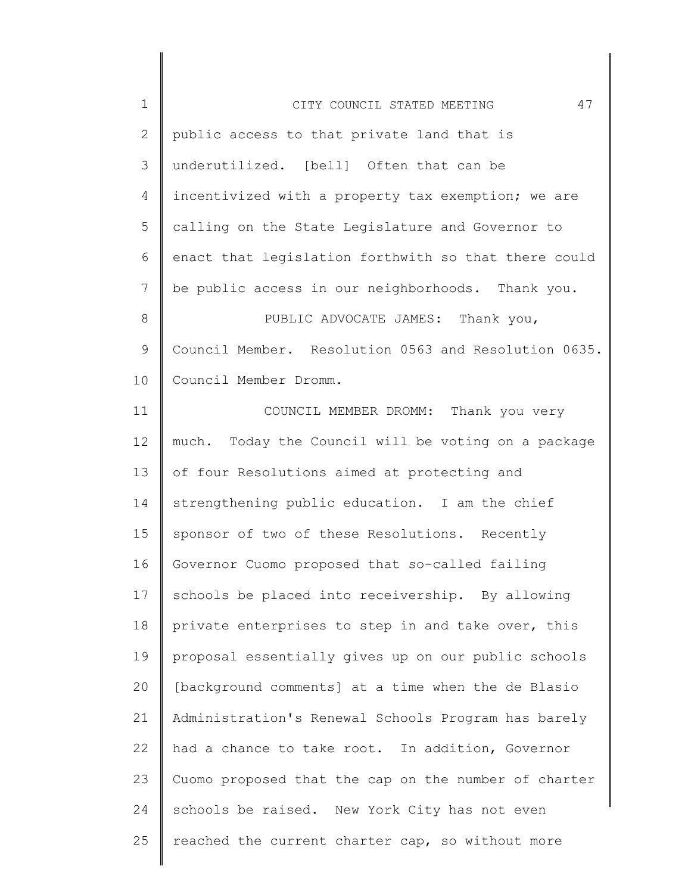| $\mathbf 1$  | 47<br>CITY COUNCIL STATED MEETING                    |
|--------------|------------------------------------------------------|
| $\mathbf{2}$ | public access to that private land that is           |
| 3            | underutilized. [bell] Often that can be              |
| 4            | incentivized with a property tax exemption; we are   |
| 5            | calling on the State Legislature and Governor to     |
| 6            | enact that legislation forthwith so that there could |
| 7            | be public access in our neighborhoods. Thank you.    |
| 8            | PUBLIC ADVOCATE JAMES: Thank you,                    |
| 9            | Council Member. Resolution 0563 and Resolution 0635. |
| 10           | Council Member Dromm.                                |
| 11           | COUNCIL MEMBER DROMM: Thank you very                 |
| 12           | much. Today the Council will be voting on a package  |
| 13           | of four Resolutions aimed at protecting and          |
| 14           | strengthening public education. I am the chief       |
| 15           | sponsor of two of these Resolutions. Recently        |
| 16           | Governor Cuomo proposed that so-called failing       |
| 17           | schools be placed into receivership. By allowing     |
| 18           | private enterprises to step in and take over, this   |
| 19           | proposal essentially gives up on our public schools  |
| 20           | [background comments] at a time when the de Blasio   |
| 21           | Administration's Renewal Schools Program has barely  |
| 22           | had a chance to take root. In addition, Governor     |
| 23           | Cuomo proposed that the cap on the number of charter |
| 24           | schools be raised. New York City has not even        |
| 25           | reached the current charter cap, so without more     |
|              |                                                      |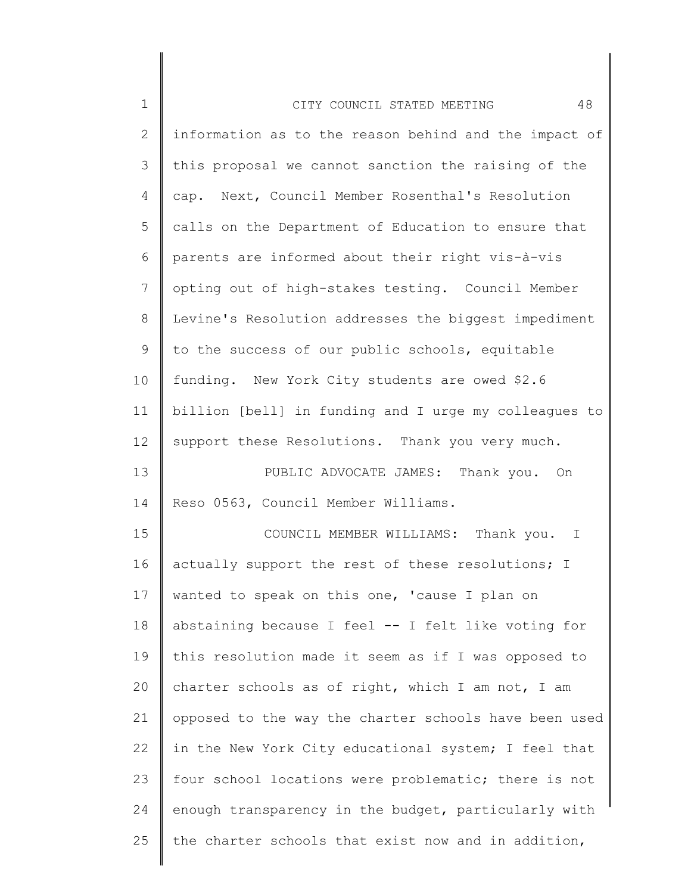| $\mathbf 1$  | 48<br>CITY COUNCIL STATED MEETING                     |
|--------------|-------------------------------------------------------|
| $\mathbf{2}$ | information as to the reason behind and the impact of |
| 3            | this proposal we cannot sanction the raising of the   |
| 4            | cap. Next, Council Member Rosenthal's Resolution      |
| 5            | calls on the Department of Education to ensure that   |
| 6            | parents are informed about their right vis-à-vis      |
| 7            | opting out of high-stakes testing. Council Member     |
| $8\,$        | Levine's Resolution addresses the biggest impediment  |
| $\mathsf 9$  | to the success of our public schools, equitable       |
| 10           | funding. New York City students are owed \$2.6        |
| 11           | billion [bell] in funding and I urge my colleagues to |
| 12           | support these Resolutions. Thank you very much.       |
| 13           | PUBLIC ADVOCATE JAMES: Thank you. On                  |
| 14           | Reso 0563, Council Member Williams.                   |
| 15           | COUNCIL MEMBER WILLIAMS: Thank you. I                 |
| 16           | actually support the rest of these resolutions; I     |
| 17           | wanted to speak on this one, 'cause I plan on         |
| 18           | abstaining because I feel -- I felt like voting for   |
| 19           | this resolution made it seem as if I was opposed to   |
| 20           | charter schools as of right, which I am not, I am     |
| 21           | opposed to the way the charter schools have been used |
| 22           | in the New York City educational system; I feel that  |
| 23           | four school locations were problematic; there is not  |
| 24           | enough transparency in the budget, particularly with  |
| 25           | the charter schools that exist now and in addition,   |
|              |                                                       |

 $\begin{array}{c} \hline \end{array}$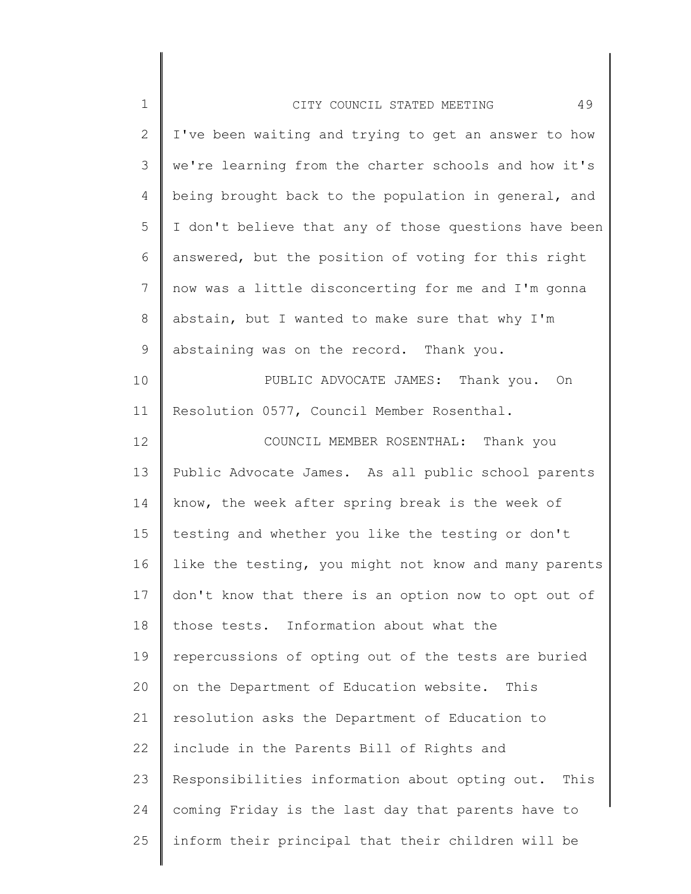| $1\,$          | 49<br>CITY COUNCIL STATED MEETING                      |
|----------------|--------------------------------------------------------|
| $\mathbf{2}$   | I've been waiting and trying to get an answer to how   |
| 3              | we're learning from the charter schools and how it's   |
| 4              | being brought back to the population in general, and   |
| 5              | I don't believe that any of those questions have been  |
| 6              | answered, but the position of voting for this right    |
| $\overline{7}$ | now was a little disconcerting for me and I'm gonna    |
| $8\,$          | abstain, but I wanted to make sure that why I'm        |
| $\mathsf 9$    | abstaining was on the record. Thank you.               |
| 10             | PUBLIC ADVOCATE JAMES: Thank you. On                   |
| 11             | Resolution 0577, Council Member Rosenthal.             |
| 12             | COUNCIL MEMBER ROSENTHAL: Thank you                    |
| 13             | Public Advocate James. As all public school parents    |
| 14             | know, the week after spring break is the week of       |
| 15             | testing and whether you like the testing or don't      |
| 16             | like the testing, you might not know and many parents  |
| 17             | don't know that there is an option now to opt out of   |
| 18             | those tests. Information about what the                |
| 19             | repercussions of opting out of the tests are buried    |
| 20             | on the Department of Education website.<br>This        |
| 21             | resolution asks the Department of Education to         |
| 22             | include in the Parents Bill of Rights and              |
| 23             | Responsibilities information about opting out.<br>This |
| 24             | coming Friday is the last day that parents have to     |
| 25             | inform their principal that their children will be     |
|                |                                                        |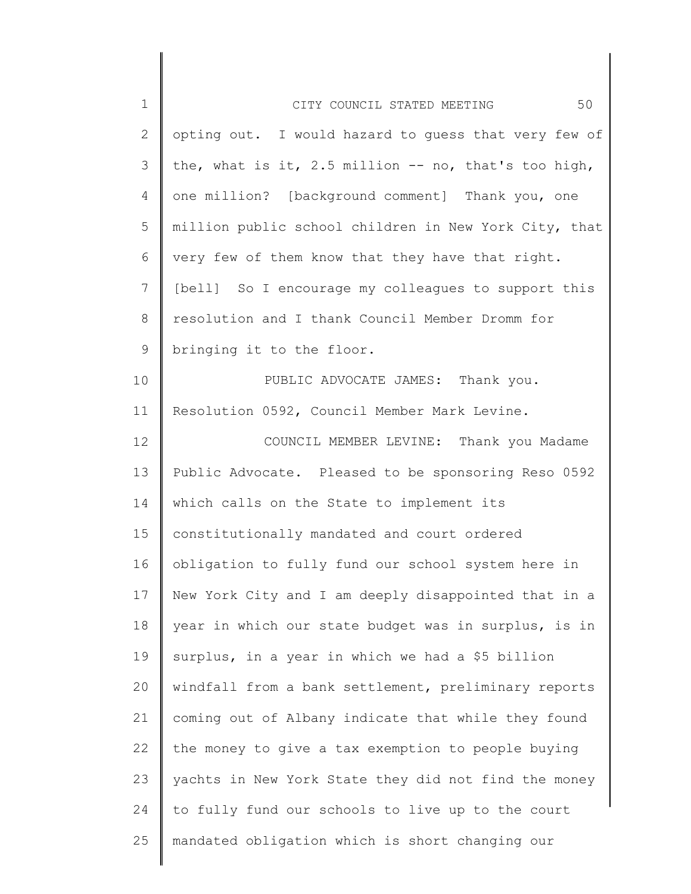| $\mathbf 1$  | 50<br>CITY COUNCIL STATED MEETING                      |
|--------------|--------------------------------------------------------|
| $\mathbf{2}$ | opting out. I would hazard to guess that very few of   |
| 3            | the, what is it, 2.5 million $--$ no, that's too high, |
| 4            | one million? [background comment] Thank you, one       |
| 5            | million public school children in New York City, that  |
| 6            | very few of them know that they have that right.       |
| 7            | [bell] So I encourage my colleagues to support this    |
| $8\,$        | resolution and I thank Council Member Dromm for        |
| 9            | bringing it to the floor.                              |
| 10           | PUBLIC ADVOCATE JAMES: Thank you.                      |
| 11           | Resolution 0592, Council Member Mark Levine.           |
| 12           | COUNCIL MEMBER LEVINE: Thank you Madame                |
| 13           | Public Advocate. Pleased to be sponsoring Reso 0592    |
| 14           | which calls on the State to implement its              |
| 15           | constitutionally mandated and court ordered            |
| 16           | obligation to fully fund our school system here in     |
| 17           | New York City and I am deeply disappointed that in a   |
| 18           | year in which our state budget was in surplus, is in   |
| 19           | surplus, in a year in which we had a \$5 billion       |
| 20           | windfall from a bank settlement, preliminary reports   |
| 21           | coming out of Albany indicate that while they found    |
| 22           | the money to give a tax exemption to people buying     |
| 23           | yachts in New York State they did not find the money   |
| 24           | to fully fund our schools to live up to the court      |
| 25           | mandated obligation which is short changing our        |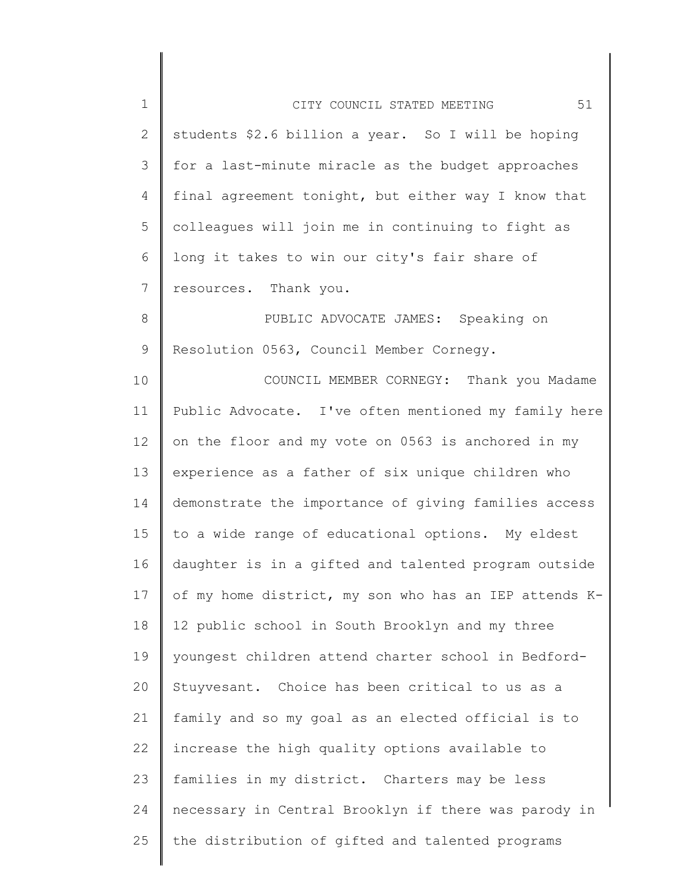| $\mathbf 1$    | 51<br>CITY COUNCIL STATED MEETING                     |
|----------------|-------------------------------------------------------|
| $\mathbf{2}$   | students \$2.6 billion a year. So I will be hoping    |
| $\mathcal{S}$  | for a last-minute miracle as the budget approaches    |
| 4              | final agreement tonight, but either way I know that   |
| 5              | colleagues will join me in continuing to fight as     |
| 6              | long it takes to win our city's fair share of         |
| $7\phantom{.}$ | resources. Thank you.                                 |
| $8\,$          | PUBLIC ADVOCATE JAMES: Speaking on                    |
| 9              | Resolution 0563, Council Member Cornegy.              |
| 10             | COUNCIL MEMBER CORNEGY: Thank you Madame              |
| 11             | Public Advocate. I've often mentioned my family here  |
| 12             | on the floor and my vote on 0563 is anchored in my    |
| 13             | experience as a father of six unique children who     |
| 14             | demonstrate the importance of giving families access  |
| 15             | to a wide range of educational options. My eldest     |
| 16             | daughter is in a gifted and talented program outside  |
| 17             | of my home district, my son who has an IEP attends K- |
| 18             | 12 public school in South Brooklyn and my three       |
| 19             | youngest children attend charter school in Bedford-   |
| 20             | Stuyvesant. Choice has been critical to us as a       |
| 21             | family and so my goal as an elected official is to    |
| 22             | increase the high quality options available to        |
| 23             | families in my district. Charters may be less         |
| 24             | necessary in Central Brooklyn if there was parody in  |
| 25             | the distribution of gifted and talented programs      |
|                |                                                       |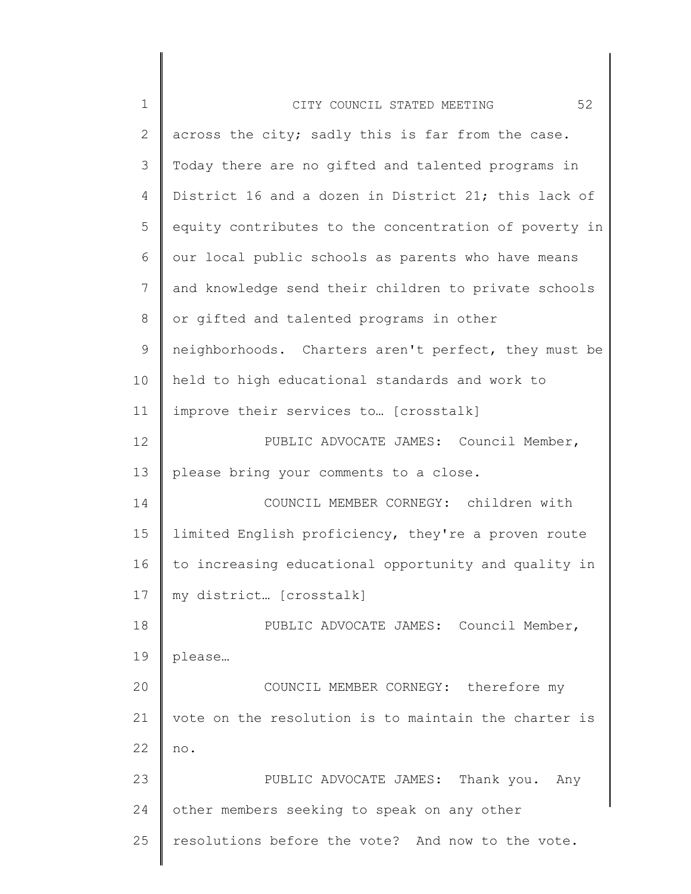| $\mathbf 1$    | 52<br>CITY COUNCIL STATED MEETING                     |
|----------------|-------------------------------------------------------|
| $\overline{2}$ | across the city; sadly this is far from the case.     |
| 3              | Today there are no gifted and talented programs in    |
| 4              | District 16 and a dozen in District 21; this lack of  |
| 5              | equity contributes to the concentration of poverty in |
| 6              | our local public schools as parents who have means    |
| 7              | and knowledge send their children to private schools  |
| 8              | or gifted and talented programs in other              |
| 9              | neighborhoods. Charters aren't perfect, they must be  |
| 10             | held to high educational standards and work to        |
| 11             | improve their services to [crosstalk]                 |
| 12             | PUBLIC ADVOCATE JAMES: Council Member,                |
| 13             | please bring your comments to a close.                |
| 14             | COUNCIL MEMBER CORNEGY: children with                 |
| 15             | limited English proficiency, they're a proven route   |
| 16             | to increasing educational opportunity and quality in  |
| 17             | my district [crosstalk]                               |
| 18             | PUBLIC ADVOCATE JAMES: Council Member,                |
| 19             | please                                                |
| 20             | COUNCIL MEMBER CORNEGY: therefore my                  |
| 21             | vote on the resolution is to maintain the charter is  |
| 22             | no.                                                   |
| 23             | PUBLIC ADVOCATE JAMES: Thank you. Any                 |
| 24             | other members seeking to speak on any other           |
| 25             | resolutions before the vote? And now to the vote.     |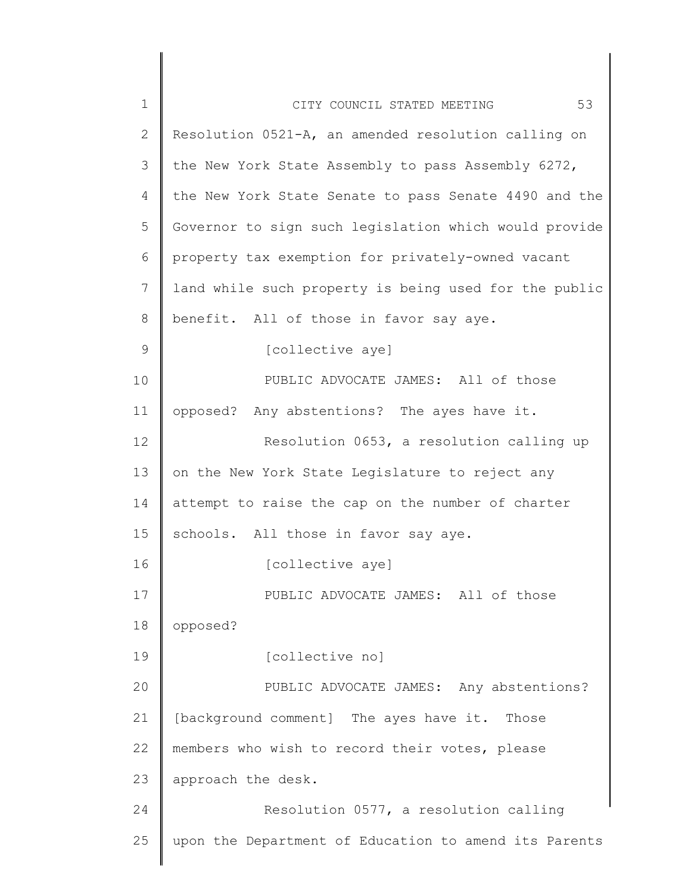| 1              | 53<br>CITY COUNCIL STATED MEETING                     |
|----------------|-------------------------------------------------------|
| $\overline{2}$ | Resolution 0521-A, an amended resolution calling on   |
| 3              | the New York State Assembly to pass Assembly 6272,    |
| 4              | the New York State Senate to pass Senate 4490 and the |
| 5              | Governor to sign such legislation which would provide |
| 6              | property tax exemption for privately-owned vacant     |
| 7              | land while such property is being used for the public |
| 8              | benefit. All of those in favor say aye.               |
| 9              | [collective aye]                                      |
| 10             | PUBLIC ADVOCATE JAMES: All of those                   |
| 11             | opposed? Any abstentions? The ayes have it.           |
| 12             | Resolution 0653, a resolution calling up              |
| 13             | on the New York State Legislature to reject any       |
| 14             | attempt to raise the cap on the number of charter     |
| 15             | schools. All those in favor say aye.                  |
| 16             | [collective aye]                                      |
| 17             | PUBLIC ADVOCATE JAMES: All of those                   |
| 18             | opposed?                                              |
| 19             | [collective no]                                       |
| 20             | PUBLIC ADVOCATE JAMES: Any abstentions?               |
| 21             | [background comment] The ayes have it.<br>Those       |
| 22             | members who wish to record their votes, please        |
| 23             | approach the desk.                                    |
| 24             | Resolution 0577, a resolution calling                 |
| 25             | upon the Department of Education to amend its Parents |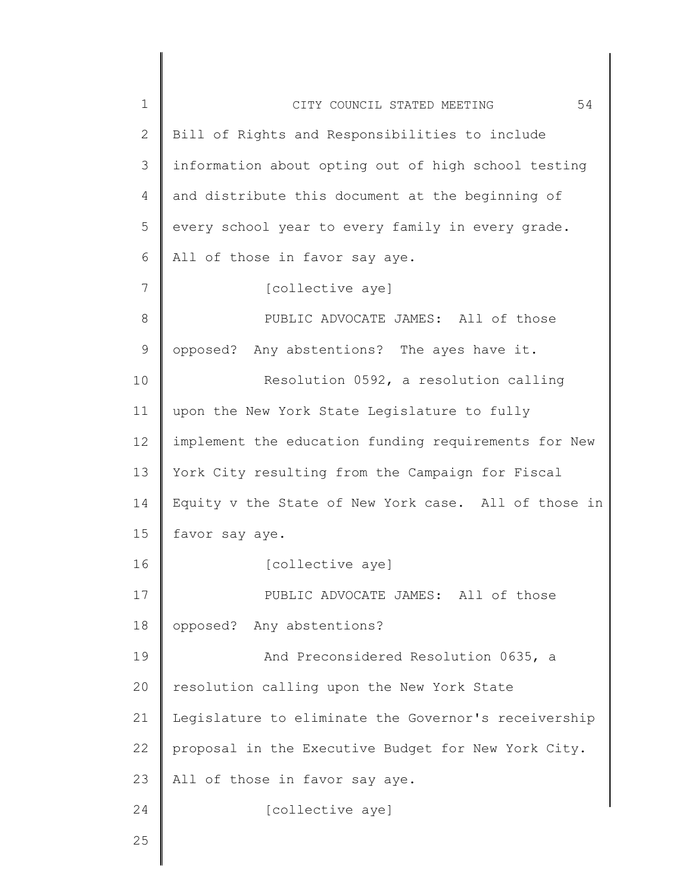| $\mathbf 1$  | 54<br>CITY COUNCIL STATED MEETING                    |
|--------------|------------------------------------------------------|
| $\mathbf{2}$ | Bill of Rights and Responsibilities to include       |
| 3            | information about opting out of high school testing  |
| 4            | and distribute this document at the beginning of     |
| 5            | every school year to every family in every grade.    |
| 6            | All of those in favor say aye.                       |
| 7            | [collective aye]                                     |
| 8            | PUBLIC ADVOCATE JAMES: All of those                  |
| $\mathsf 9$  | opposed? Any abstentions? The ayes have it.          |
| 10           | Resolution 0592, a resolution calling                |
| 11           | upon the New York State Legislature to fully         |
| 12           | implement the education funding requirements for New |
| 13           | York City resulting from the Campaign for Fiscal     |
| 14           | Equity v the State of New York case. All of those in |
| 15           | favor say aye.                                       |
| 16           | [collective aye]                                     |
| 17           | PUBLIC ADVOCATE JAMES: All of those                  |
| 18           | opposed? Any abstentions?                            |
| 19           | And Preconsidered Resolution 0635, a                 |
| 20           | resolution calling upon the New York State           |
| 21           | Legislature to eliminate the Governor's receivership |
| 22           | proposal in the Executive Budget for New York City.  |
| 23           | All of those in favor say aye.                       |
| 24           | [collective aye]                                     |
| 25           |                                                      |
|              |                                                      |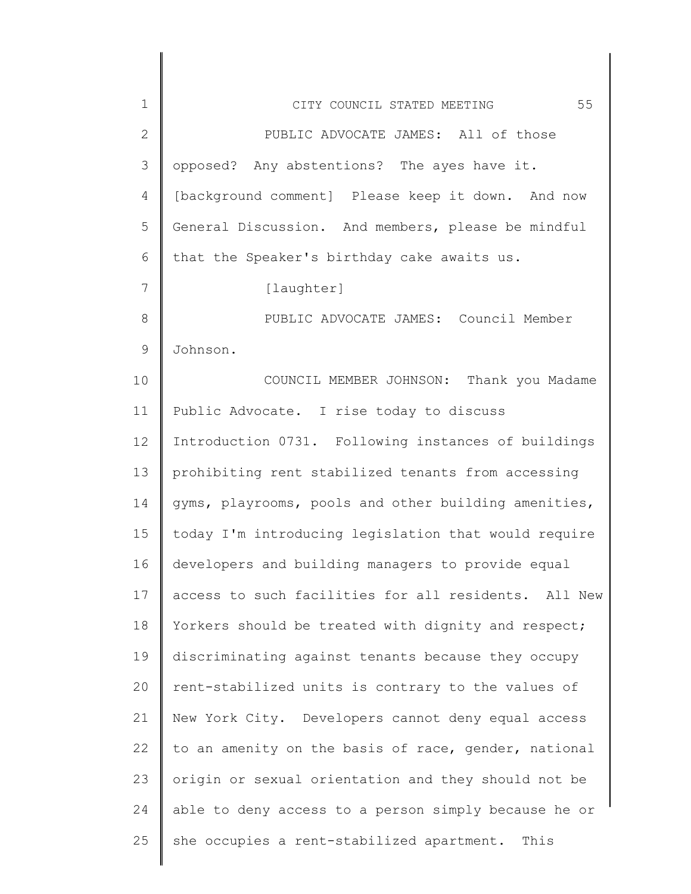| $\mathbf 1$     | 55<br>CITY COUNCIL STATED MEETING                    |
|-----------------|------------------------------------------------------|
| $\mathbf{2}$    | PUBLIC ADVOCATE JAMES: All of those                  |
| 3               | opposed? Any abstentions? The ayes have it.          |
| 4               | [background comment] Please keep it down. And now    |
| 5               | General Discussion. And members, please be mindful   |
| 6               | that the Speaker's birthday cake awaits us.          |
| $7\phantom{.0}$ | [laughter]                                           |
| 8               | PUBLIC ADVOCATE JAMES: Council Member                |
| $\mathcal{G}$   | Johnson.                                             |
| 10              | COUNCIL MEMBER JOHNSON: Thank you Madame             |
| 11              | Public Advocate. I rise today to discuss             |
| 12              | Introduction 0731. Following instances of buildings  |
| 13              | prohibiting rent stabilized tenants from accessing   |
| 14              | gyms, playrooms, pools and other building amenities, |
| 15              | today I'm introducing legislation that would require |
| 16              | developers and building managers to provide equal    |
| 17              | access to such facilities for all residents. All New |
| 18              | Yorkers should be treated with dignity and respect;  |
| 19              | discriminating against tenants because they occupy   |
| 20              | rent-stabilized units is contrary to the values of   |
| 21              | New York City. Developers cannot deny equal access   |
| 22              | to an amenity on the basis of race, gender, national |
| 23              | origin or sexual orientation and they should not be  |
| 24              | able to deny access to a person simply because he or |
| 25              | she occupies a rent-stabilized apartment. This       |
|                 |                                                      |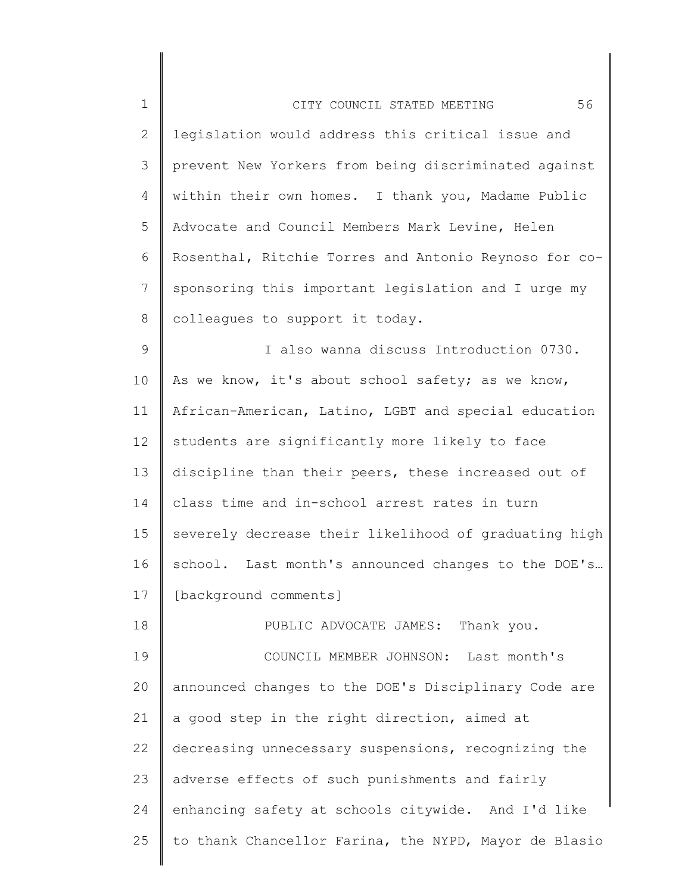| $\mathbf 1$  | 56<br>CITY COUNCIL STATED MEETING                     |
|--------------|-------------------------------------------------------|
| $\mathbf{2}$ | legislation would address this critical issue and     |
| 3            | prevent New Yorkers from being discriminated against  |
| 4            | within their own homes. I thank you, Madame Public    |
| 5            | Advocate and Council Members Mark Levine, Helen       |
| 6            | Rosenthal, Ritchie Torres and Antonio Reynoso for co- |
| 7            | sponsoring this important legislation and I urge my   |
| 8            | colleagues to support it today.                       |
| 9            | I also wanna discuss Introduction 0730.               |
| 10           | As we know, it's about school safety; as we know,     |
| 11           | African-American, Latino, LGBT and special education  |
| 12           | students are significantly more likely to face        |
| 13           | discipline than their peers, these increased out of   |
| 14           | class time and in-school arrest rates in turn         |
| 15           | severely decrease their likelihood of graduating high |
| 16           | school. Last month's announced changes to the DOE's   |
| 17           | [background comments]                                 |
| 18           | PUBLIC ADVOCATE JAMES:<br>Thank you.                  |
| 19           | COUNCIL MEMBER JOHNSON:<br>Last month's               |
| 20           | announced changes to the DOE's Disciplinary Code are  |
| 21           | a good step in the right direction, aimed at          |
| 22           | decreasing unnecessary suspensions, recognizing the   |
| 23           | adverse effects of such punishments and fairly        |
| 24           | enhancing safety at schools citywide. And I'd like    |
| 25           | to thank Chancellor Farina, the NYPD, Mayor de Blasio |

∥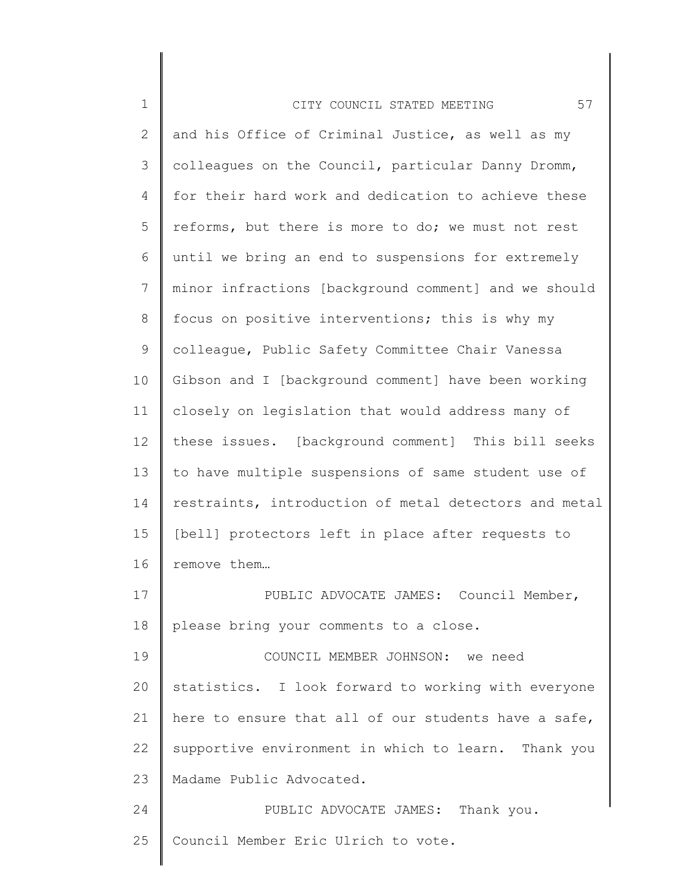| $\mathbf 1$  | 57<br>CITY COUNCIL STATED MEETING                     |
|--------------|-------------------------------------------------------|
| $\mathbf{2}$ | and his Office of Criminal Justice, as well as my     |
| 3            | colleagues on the Council, particular Danny Dromm,    |
| 4            | for their hard work and dedication to achieve these   |
| 5            | reforms, but there is more to do; we must not rest    |
| 6            | until we bring an end to suspensions for extremely    |
| 7            | minor infractions [background comment] and we should  |
| 8            | focus on positive interventions; this is why my       |
| 9            | colleague, Public Safety Committee Chair Vanessa      |
| 10           | Gibson and I [background comment] have been working   |
| 11           | closely on legislation that would address many of     |
| 12           | these issues. [background comment] This bill seeks    |
| 13           | to have multiple suspensions of same student use of   |
| 14           | restraints, introduction of metal detectors and metal |
| 15           | [bell] protectors left in place after requests to     |
| 16           | remove them                                           |
| 17           | PUBLIC ADVOCATE JAMES: Council Member,                |
| 18           | please bring your comments to a close.                |
| 19           | COUNCIL MEMBER JOHNSON: we need                       |
| 20           | statistics. I look forward to working with everyone   |
| 21           | here to ensure that all of our students have a safe,  |
| 22           | supportive environment in which to learn. Thank you   |
| 23           | Madame Public Advocated.                              |
| 24           | PUBLIC ADVOCATE JAMES: Thank you.                     |
| 25           | Council Member Eric Ulrich to vote.                   |
|              |                                                       |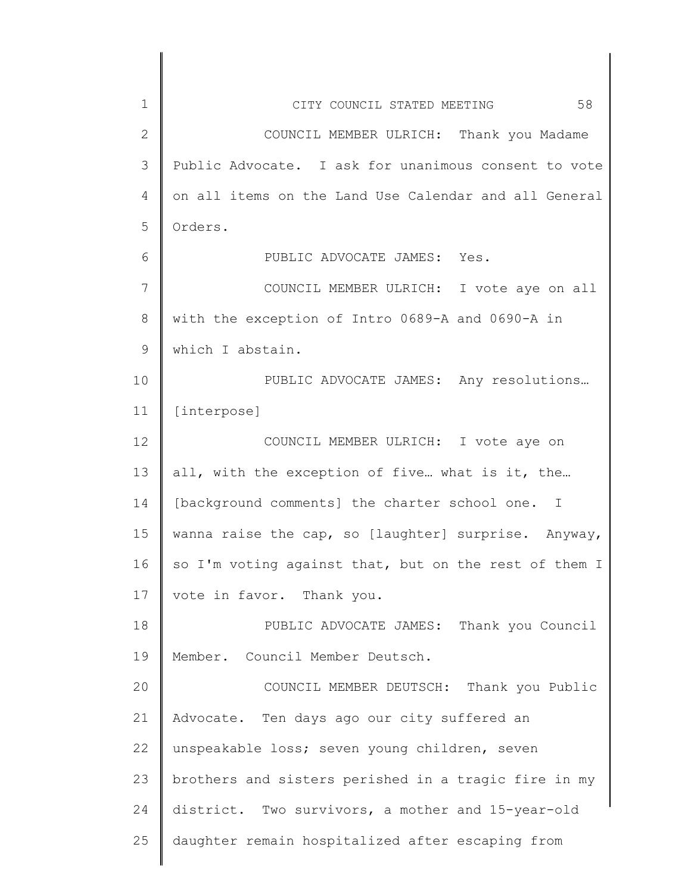| 1            | 58<br>CITY COUNCIL STATED MEETING                     |
|--------------|-------------------------------------------------------|
| $\mathbf{2}$ | COUNCIL MEMBER ULRICH: Thank you Madame               |
| 3            | Public Advocate. I ask for unanimous consent to vote  |
| 4            | on all items on the Land Use Calendar and all General |
| 5            | Orders.                                               |
| 6            | PUBLIC ADVOCATE JAMES: Yes.                           |
| 7            | COUNCIL MEMBER ULRICH: I vote aye on all              |
| 8            | with the exception of Intro 0689-A and 0690-A in      |
| 9            | which I abstain.                                      |
| 10           | PUBLIC ADVOCATE JAMES: Any resolutions                |
| 11           | [interpose]                                           |
| 12           | COUNCIL MEMBER ULRICH: I vote aye on                  |
| 13           | all, with the exception of five what is it, the       |
| 14           | [background comments] the charter school one. I       |
| 15           | wanna raise the cap, so [laughter] surprise. Anyway,  |
| 16           | so I'm voting against that, but on the rest of them I |
| 17           | vote in favor. Thank you.                             |
| 18           | PUBLIC ADVOCATE JAMES: Thank you Council              |
| 19           | Member. Council Member Deutsch.                       |
| 20           | COUNCIL MEMBER DEUTSCH: Thank you Public              |
| 21           | Advocate. Ten days ago our city suffered an           |
| 22           | unspeakable loss; seven young children, seven         |
| 23           | brothers and sisters perished in a tragic fire in my  |
| 24           | district. Two survivors, a mother and 15-year-old     |
| 25           | daughter remain hospitalized after escaping from      |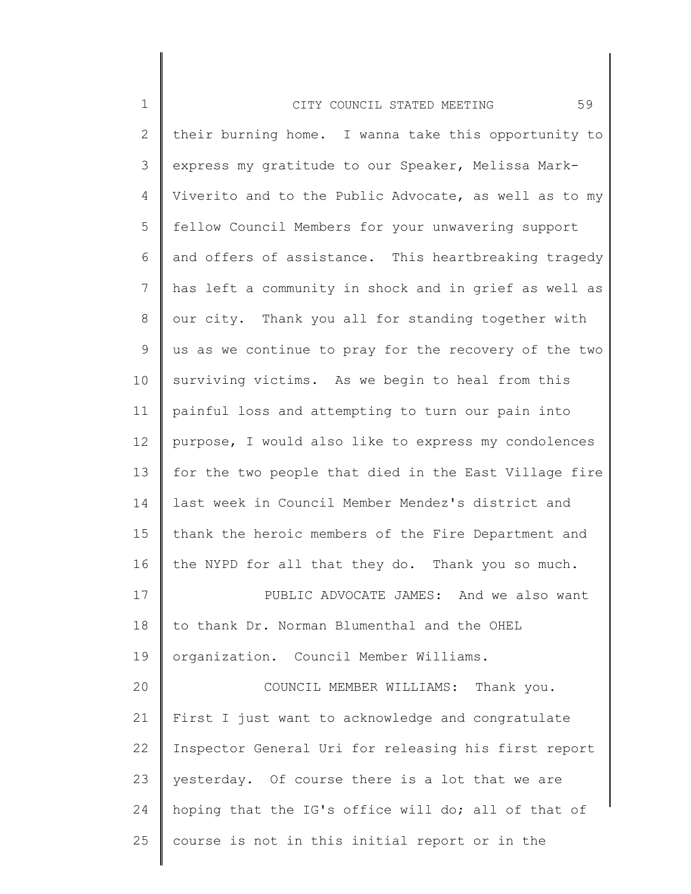| $\mathbf 1$     | 59<br>CITY COUNCIL STATED MEETING                     |
|-----------------|-------------------------------------------------------|
| $\mathbf{2}$    | their burning home. I wanna take this opportunity to  |
| 3               | express my gratitude to our Speaker, Melissa Mark-    |
| 4               | Viverito and to the Public Advocate, as well as to my |
| 5               | fellow Council Members for your unwavering support    |
| 6               | and offers of assistance. This heartbreaking tragedy  |
| $7\phantom{.0}$ | has left a community in shock and in grief as well as |
| 8               | our city. Thank you all for standing together with    |
| 9               | us as we continue to pray for the recovery of the two |
| 10              | surviving victims. As we begin to heal from this      |
| 11              | painful loss and attempting to turn our pain into     |
| 12              | purpose, I would also like to express my condolences  |
| 13              | for the two people that died in the East Village fire |
| 14              | last week in Council Member Mendez's district and     |
| 15              | thank the heroic members of the Fire Department and   |
| 16              | the NYPD for all that they do. Thank you so much.     |
| 17              | PUBLIC ADVOCATE JAMES: And we also want               |
| 18              | to thank Dr. Norman Blumenthal and the OHEL           |
| 19              | organization. Council Member Williams.                |
| 20              | COUNCIL MEMBER WILLIAMS: Thank you.                   |
| 21              | First I just want to acknowledge and congratulate     |
| 22              | Inspector General Uri for releasing his first report  |
| 23              | yesterday. Of course there is a lot that we are       |
| 24              | hoping that the IG's office will do; all of that of   |
| 25              | course is not in this initial report or in the        |
|                 |                                                       |

 $\begin{array}{c} \hline \end{array}$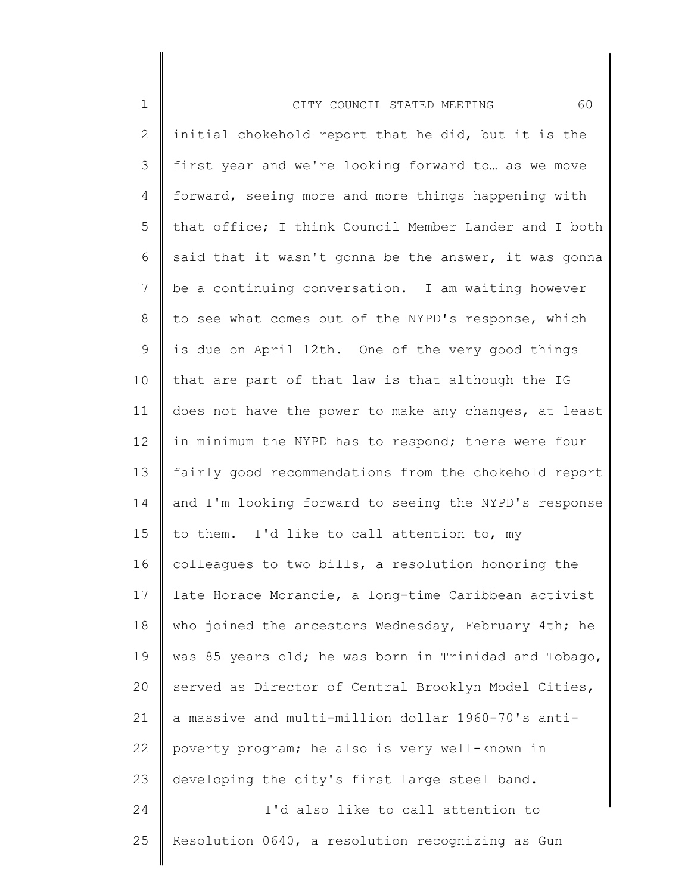| $\mathbf 1$     | 60<br>CITY COUNCIL STATED MEETING                     |
|-----------------|-------------------------------------------------------|
| 2               | initial chokehold report that he did, but it is the   |
| 3               | first year and we're looking forward to as we move    |
| 4               | forward, seeing more and more things happening with   |
| 5               | that office; I think Council Member Lander and I both |
| 6               | said that it wasn't gonna be the answer, it was gonna |
| $7\phantom{.0}$ | be a continuing conversation. I am waiting however    |
| 8               | to see what comes out of the NYPD's response, which   |
| 9               | is due on April 12th. One of the very good things     |
| 10              | that are part of that law is that although the IG     |
| 11              | does not have the power to make any changes, at least |
| 12              | in minimum the NYPD has to respond; there were four   |
| 13              | fairly good recommendations from the chokehold report |
| 14              | and I'm looking forward to seeing the NYPD's response |
| 15              | to them. I'd like to call attention to, my            |
| 16              | colleagues to two bills, a resolution honoring the    |
| 17              | late Horace Morancie, a long-time Caribbean activist  |
| 18              | who joined the ancestors Wednesday, February 4th; he  |
| 19              | was 85 years old; he was born in Trinidad and Tobago, |
| 20              | served as Director of Central Brooklyn Model Cities,  |
| 21              | a massive and multi-million dollar 1960-70's anti-    |
| 22              | poverty program; he also is very well-known in        |
| 23              | developing the city's first large steel band.         |
| 24              | I'd also like to call attention to                    |
| 25              | Resolution 0640, a resolution recognizing as Gun      |
|                 |                                                       |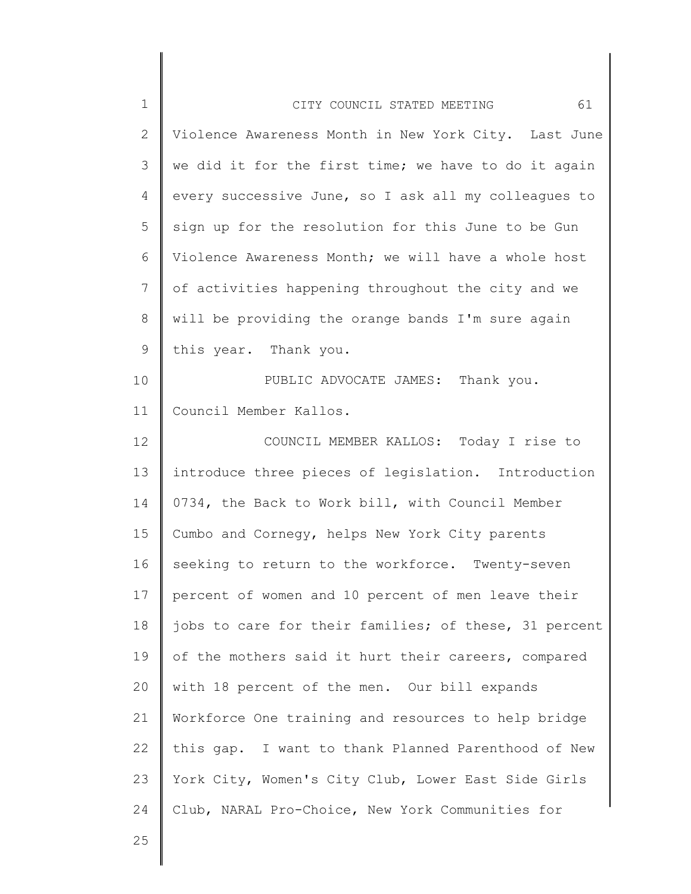| $\mathbf 1$  | 61<br>CITY COUNCIL STATED MEETING                     |
|--------------|-------------------------------------------------------|
| $\mathbf{2}$ | Violence Awareness Month in New York City. Last June  |
| 3            | we did it for the first time; we have to do it again  |
| 4            | every successive June, so I ask all my colleagues to  |
| 5            | sign up for the resolution for this June to be Gun    |
| 6            | Violence Awareness Month; we will have a whole host   |
| 7            | of activities happening throughout the city and we    |
| $8\,$        | will be providing the orange bands I'm sure again     |
| 9            | this year. Thank you.                                 |
| 10           | PUBLIC ADVOCATE JAMES: Thank you.                     |
| 11           | Council Member Kallos.                                |
| 12           | COUNCIL MEMBER KALLOS: Today I rise to                |
| 13           | introduce three pieces of legislation. Introduction   |
| 14           | 0734, the Back to Work bill, with Council Member      |
| 15           | Cumbo and Cornegy, helps New York City parents        |
| 16           | seeking to return to the workforce. Twenty-seven      |
| 17           | percent of women and 10 percent of men leave their    |
| 18           | jobs to care for their families; of these, 31 percent |
| 19           | of the mothers said it hurt their careers, compared   |
| 20           | with 18 percent of the men. Our bill expands          |
| 21           | Workforce One training and resources to help bridge   |
| 22           | this gap. I want to thank Planned Parenthood of New   |
| 23           | York City, Women's City Club, Lower East Side Girls   |
| 24           | Club, NARAL Pro-Choice, New York Communities for      |
| 25           |                                                       |
|              |                                                       |

 $\mathsf I$ ∥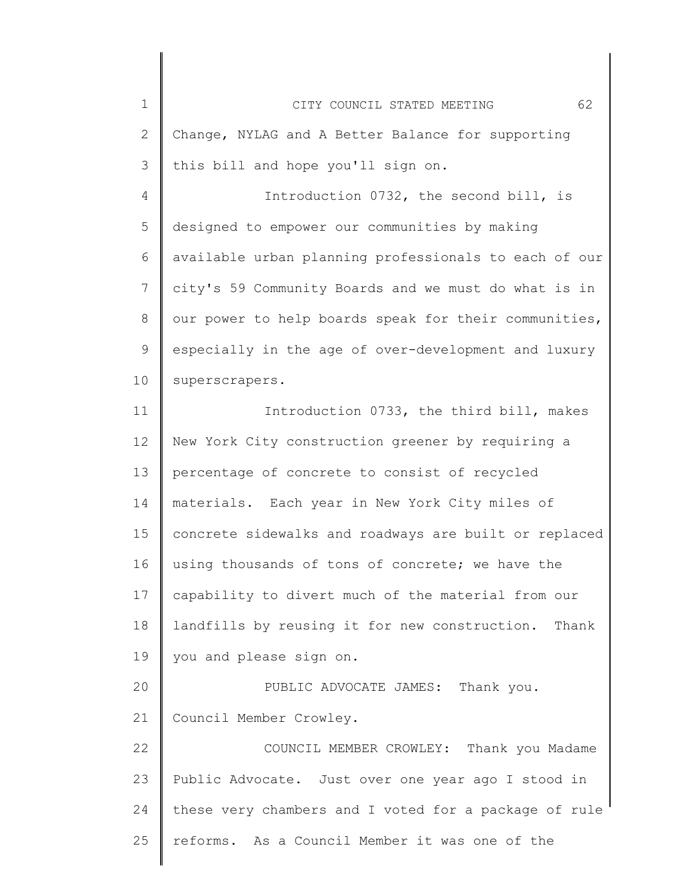| $\mathbf 1$   | 62<br>CITY COUNCIL STATED MEETING                     |
|---------------|-------------------------------------------------------|
| $\mathbf{2}$  | Change, NYLAG and A Better Balance for supporting     |
| $\mathcal{S}$ | this bill and hope you'll sign on.                    |
| 4             | Introduction 0732, the second bill, is                |
| 5             | designed to empower our communities by making         |
| 6             | available urban planning professionals to each of our |
| 7             | city's 59 Community Boards and we must do what is in  |
| 8             | our power to help boards speak for their communities, |
| 9             | especially in the age of over-development and luxury  |
| 10            | superscrapers.                                        |
| 11            | Introduction 0733, the third bill, makes              |
| 12            | New York City construction greener by requiring a     |
| 13            | percentage of concrete to consist of recycled         |
| 14            | materials. Each year in New York City miles of        |
| 15            | concrete sidewalks and roadways are built or replaced |
| 16            | using thousands of tons of concrete; we have the      |
| 17            | capability to divert much of the material from our    |
| 18            | landfills by reusing it for new construction. Thank   |
| 19            | you and please sign on.                               |
| 20            | PUBLIC ADVOCATE JAMES: Thank you.                     |
| 21            | Council Member Crowley.                               |
| 22            | COUNCIL MEMBER CROWLEY: Thank you Madame              |
| 23            | Public Advocate. Just over one year ago I stood in    |
| 24            | these very chambers and I voted for a package of rule |
| 25            | reforms. As a Council Member it was one of the        |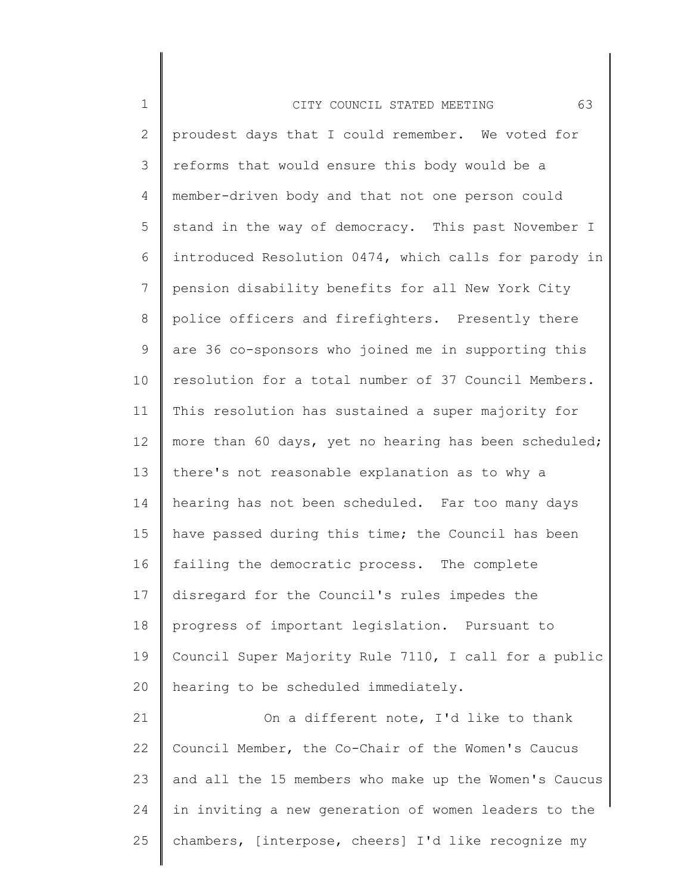| $\mathbf 1$    | 63<br>CITY COUNCIL STATED MEETING                     |
|----------------|-------------------------------------------------------|
| $\overline{2}$ | proudest days that I could remember. We voted for     |
| 3              | reforms that would ensure this body would be a        |
| 4              | member-driven body and that not one person could      |
| 5              | stand in the way of democracy. This past November I   |
| 6              | introduced Resolution 0474, which calls for parody in |
| $\overline{7}$ | pension disability benefits for all New York City     |
| 8              | police officers and firefighters. Presently there     |
| $\mathsf 9$    | are 36 co-sponsors who joined me in supporting this   |
| 10             | resolution for a total number of 37 Council Members.  |
| 11             | This resolution has sustained a super majority for    |
| 12             | more than 60 days, yet no hearing has been scheduled; |
| 13             | there's not reasonable explanation as to why a        |
| 14             | hearing has not been scheduled. Far too many days     |
| 15             | have passed during this time; the Council has been    |
| 16             | failing the democratic process. The complete          |
| 17             | disregard for the Council's rules impedes the         |
| 18             | progress of important legislation. Pursuant to        |
| 19             | Council Super Majority Rule 7110, I call for a public |
| 20             | hearing to be scheduled immediately.                  |
| 21             | On a different note, I'd like to thank                |
| 22             | Council Member, the Co-Chair of the Women's Caucus    |
| 23             | and all the 15 members who make up the Women's Caucus |
| 24             | in inviting a new generation of women leaders to the  |
| 25             | chambers, [interpose, cheers] I'd like recognize my   |
|                |                                                       |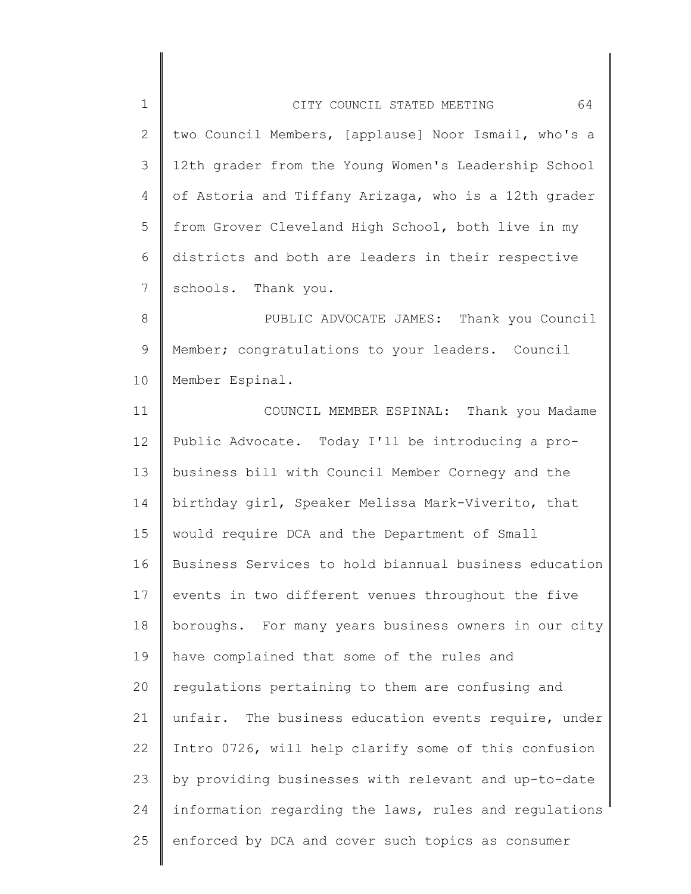| $\mathbf{1}$    | 64<br>CITY COUNCIL STATED MEETING                     |
|-----------------|-------------------------------------------------------|
| $\overline{2}$  | two Council Members, [applause] Noor Ismail, who's a  |
| 3               | 12th grader from the Young Women's Leadership School  |
| 4               | of Astoria and Tiffany Arizaga, who is a 12th grader  |
| 5               | from Grover Cleveland High School, both live in my    |
| 6               | districts and both are leaders in their respective    |
| $7\phantom{.0}$ | schools. Thank you.                                   |
| 8               | PUBLIC ADVOCATE JAMES: Thank you Council              |
| 9               | Member; congratulations to your leaders. Council      |
| 10              | Member Espinal.                                       |
| 11              | COUNCIL MEMBER ESPINAL: Thank you Madame              |
| 12              | Public Advocate. Today I'll be introducing a pro-     |
| 13              | business bill with Council Member Cornegy and the     |
| 14              | birthday girl, Speaker Melissa Mark-Viverito, that    |
| 15              | would require DCA and the Department of Small         |
| 16              | Business Services to hold biannual business education |
| 17              | events in two different venues throughout the five    |
| 18              | boroughs. For many years business owners in our city  |
| 19              | have complained that some of the rules and            |
| 20              | regulations pertaining to them are confusing and      |
| 21              | unfair. The business education events require, under  |
| 22              | Intro 0726, will help clarify some of this confusion  |
| 23              | by providing businesses with relevant and up-to-date  |
| 24              | information regarding the laws, rules and regulations |
| 25              | enforced by DCA and cover such topics as consumer     |
|                 |                                                       |

∥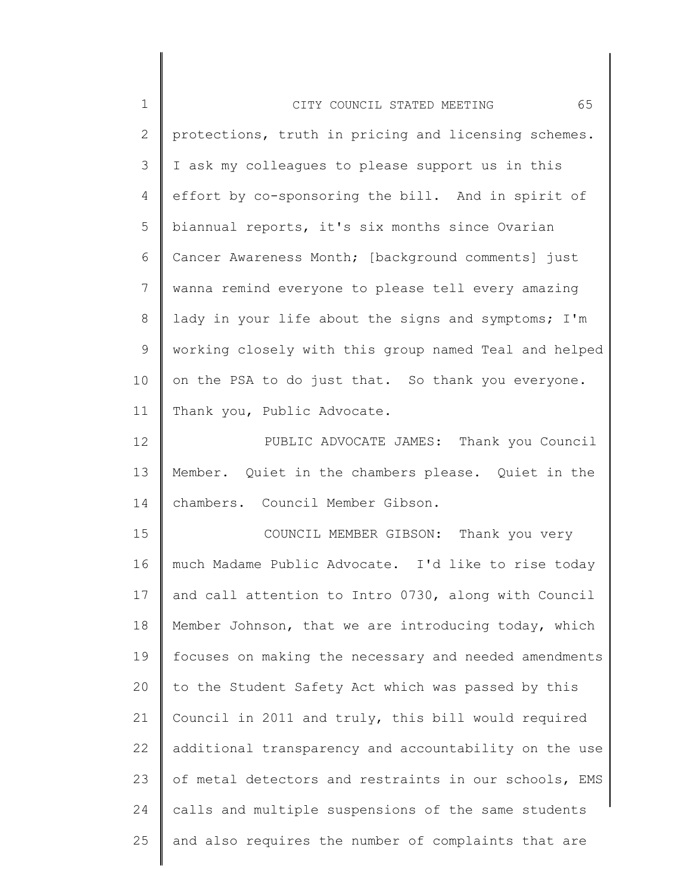| 1            | 65<br>CITY COUNCIL STATED MEETING                     |
|--------------|-------------------------------------------------------|
| $\mathbf{2}$ | protections, truth in pricing and licensing schemes.  |
| 3            | I ask my colleagues to please support us in this      |
| 4            | effort by co-sponsoring the bill. And in spirit of    |
| 5            | biannual reports, it's six months since Ovarian       |
| 6            | Cancer Awareness Month; [background comments] just    |
| 7            | wanna remind everyone to please tell every amazing    |
| 8            | lady in your life about the signs and symptoms; I'm   |
| 9            | working closely with this group named Teal and helped |
| 10           | on the PSA to do just that. So thank you everyone.    |
| 11           | Thank you, Public Advocate.                           |
| 12           | PUBLIC ADVOCATE JAMES: Thank you Council              |
| 13           | Member. Quiet in the chambers please. Quiet in the    |
| 14           | chambers. Council Member Gibson.                      |
| 15           | COUNCIL MEMBER GIBSON: Thank you very                 |
| 16           | much Madame Public Advocate. I'd like to rise today   |
| 17           | and call attention to Intro 0730, along with Council  |
| 18           | Member Johnson, that we are introducing today, which  |
| 19           | focuses on making the necessary and needed amendments |
| 20           | to the Student Safety Act which was passed by this    |
| 21           | Council in 2011 and truly, this bill would required   |
| 22           | additional transparency and accountability on the use |
| 23           | of metal detectors and restraints in our schools, EMS |
| 24           | calls and multiple suspensions of the same students   |
| 25           | and also requires the number of complaints that are   |
|              |                                                       |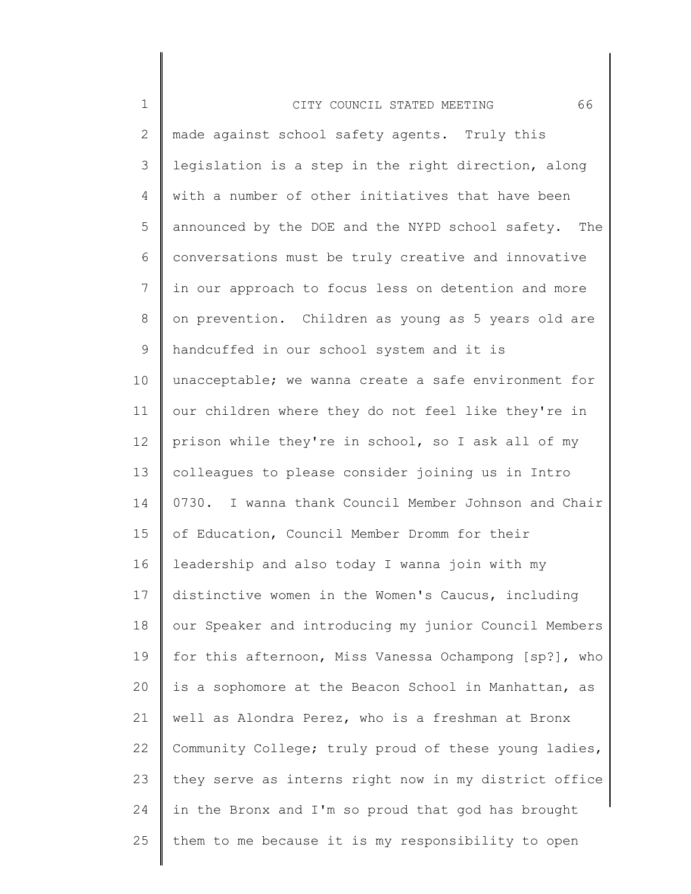| $\mathbf 1$     | 66<br>CITY COUNCIL STATED MEETING                     |
|-----------------|-------------------------------------------------------|
| $\overline{2}$  | made against school safety agents. Truly this         |
| 3               | legislation is a step in the right direction, along   |
| 4               | with a number of other initiatives that have been     |
| 5               | announced by the DOE and the NYPD school safety. The  |
| 6               | conversations must be truly creative and innovative   |
| $7\phantom{.0}$ | in our approach to focus less on detention and more   |
| 8               | on prevention. Children as young as 5 years old are   |
| 9               | handcuffed in our school system and it is             |
| 10              | unacceptable; we wanna create a safe environment for  |
| 11              | our children where they do not feel like they're in   |
| 12              | prison while they're in school, so I ask all of my    |
| 13              | colleagues to please consider joining us in Intro     |
| 14              | 0730. I wanna thank Council Member Johnson and Chair  |
| 15              | of Education, Council Member Dromm for their          |
| 16              | leadership and also today I wanna join with my        |
| 17              | distinctive women in the Women's Caucus, including    |
| 18              | our Speaker and introducing my junior Council Members |
| 19              | for this afternoon, Miss Vanessa Ochampong [sp?], who |
| 20              | is a sophomore at the Beacon School in Manhattan, as  |
| 21              | well as Alondra Perez, who is a freshman at Bronx     |
| 22              | Community College; truly proud of these young ladies, |
| 23              | they serve as interns right now in my district office |
| 24              | in the Bronx and I'm so proud that god has brought    |
| 25              | them to me because it is my responsibility to open    |
|                 |                                                       |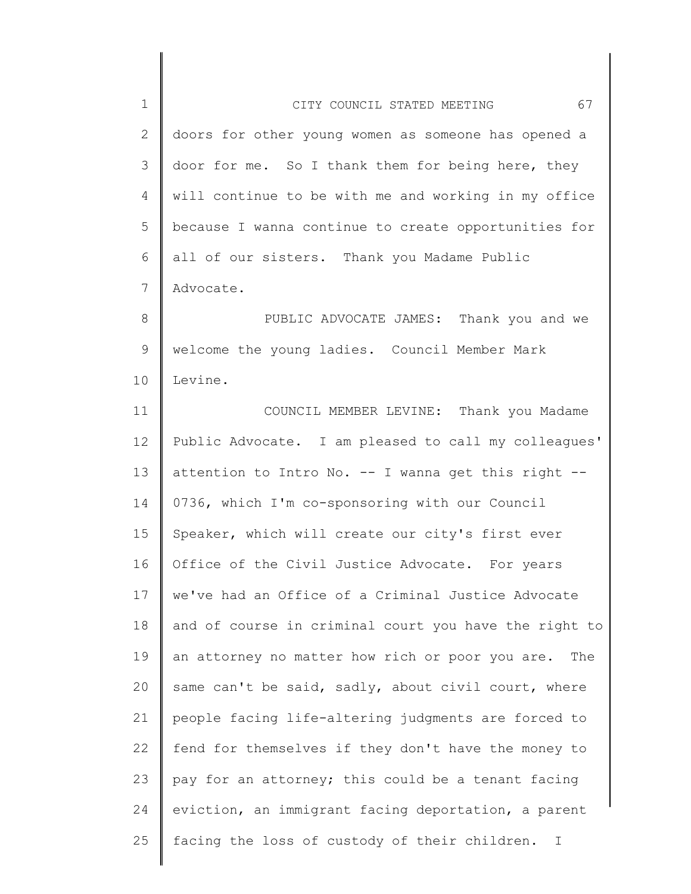| $\mathbf 1$ | 67<br>CITY COUNCIL STATED MEETING                            |
|-------------|--------------------------------------------------------------|
| 2           | doors for other young women as someone has opened a          |
| 3           | door for me. So I thank them for being here, they            |
| 4           | will continue to be with me and working in my office         |
| 5           | because I wanna continue to create opportunities for         |
| 6           | all of our sisters. Thank you Madame Public                  |
| 7           | Advocate.                                                    |
| 8           | PUBLIC ADVOCATE JAMES: Thank you and we                      |
| 9           | welcome the young ladies. Council Member Mark                |
| 10          | Levine.                                                      |
| 11          | COUNCIL MEMBER LEVINE: Thank you Madame                      |
| 12          | Public Advocate. I am pleased to call my colleagues'         |
| 13          | attention to Intro No. -- I wanna get this right --          |
| 14          | 0736, which I'm co-sponsoring with our Council               |
| 15          | Speaker, which will create our city's first ever             |
| 16          | Office of the Civil Justice Advocate. For years              |
| 17          | we've had an Office of a Criminal Justice Advocate           |
| 18          | and of course in criminal court you have the right to        |
| 19          | an attorney no matter how rich or poor you are.<br>The       |
| 20          | same can't be said, sadly, about civil court, where          |
| 21          | people facing life-altering judgments are forced to          |
| 22          | fend for themselves if they don't have the money to          |
| 23          | pay for an attorney; this could be a tenant facing           |
| 24          | eviction, an immigrant facing deportation, a parent          |
| 25          | facing the loss of custody of their children.<br>$\mathbf I$ |
|             |                                                              |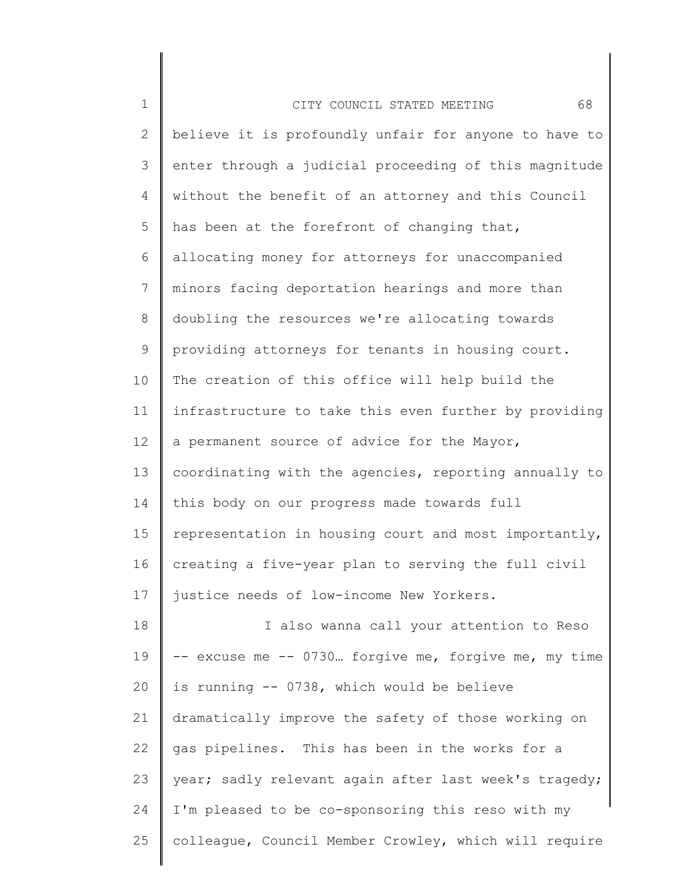| $\mathbf 1$  | 68<br>CITY COUNCIL STATED MEETING                     |
|--------------|-------------------------------------------------------|
| $\mathbf{2}$ | believe it is profoundly unfair for anyone to have to |
| 3            | enter through a judicial proceeding of this magnitude |
| 4            | without the benefit of an attorney and this Council   |
| 5            | has been at the forefront of changing that,           |
| 6            | allocating money for attorneys for unaccompanied      |
| 7            | minors facing deportation hearings and more than      |
| 8            | doubling the resources we're allocating towards       |
| 9            | providing attorneys for tenants in housing court.     |
| 10           | The creation of this office will help build the       |
| 11           | infrastructure to take this even further by providing |
| 12           | a permanent source of advice for the Mayor,           |
| 13           | coordinating with the agencies, reporting annually to |
| 14           | this body on our progress made towards full           |
| 15           | representation in housing court and most importantly, |
| 16           | creating a five-year plan to serving the full civil   |
| 17           | justice needs of low-income New Yorkers.              |
| 18           | I also wanna call your attention to Reso              |
| 19           | -- excuse me -- 0730 forgive me, forgive me, my time  |
| 20           | is running -- 0738, which would be believe            |
| 21           | dramatically improve the safety of those working on   |
| 22           | gas pipelines. This has been in the works for a       |
| 23           | year; sadly relevant again after last week's tragedy; |
| 24           | I'm pleased to be co-sponsoring this reso with my     |
| 25           | colleague, Council Member Crowley, which will require |
|              |                                                       |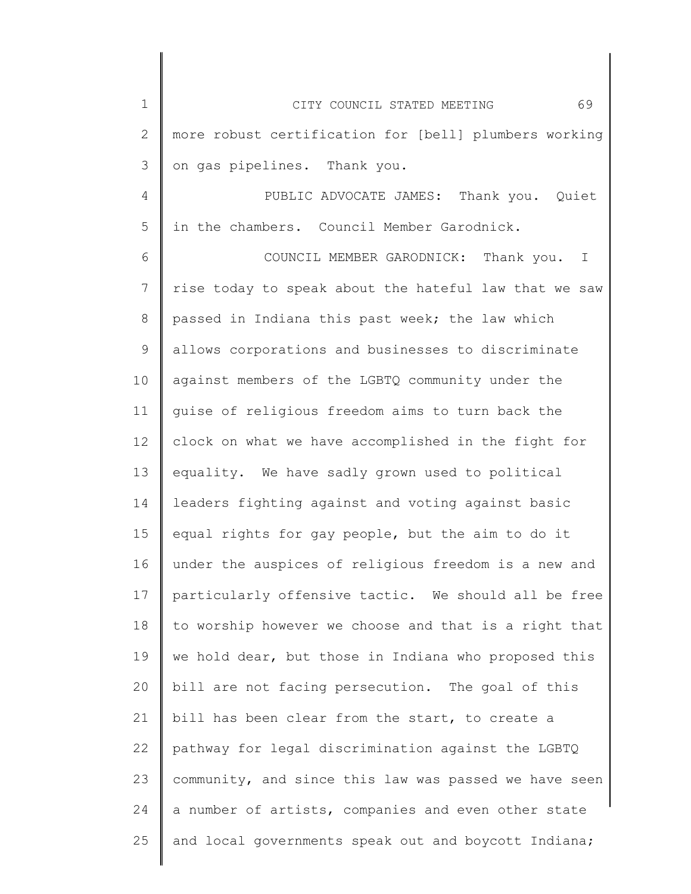| $\mathbf 1$    | 69<br>CITY COUNCIL STATED MEETING                     |
|----------------|-------------------------------------------------------|
| $\mathbf{2}$   | more robust certification for [bell] plumbers working |
| 3              | on gas pipelines. Thank you.                          |
| 4              | PUBLIC ADVOCATE JAMES: Thank you. Quiet               |
| 5              | in the chambers. Council Member Garodnick.            |
| 6              | COUNCIL MEMBER GARODNICK: Thank you. I                |
| $\overline{7}$ | rise today to speak about the hateful law that we saw |
| 8              | passed in Indiana this past week; the law which       |
| 9              | allows corporations and businesses to discriminate    |
| 10             | against members of the LGBTQ community under the      |
| 11             | quise of religious freedom aims to turn back the      |
| 12             | clock on what we have accomplished in the fight for   |
| 13             | equality. We have sadly grown used to political       |
| 14             | leaders fighting against and voting against basic     |
| 15             | equal rights for gay people, but the aim to do it     |
| 16             | under the auspices of religious freedom is a new and  |
| 17             | particularly offensive tactic. We should all be free  |
| 18             | to worship however we choose and that is a right that |
| 19             | we hold dear, but those in Indiana who proposed this  |
| 20             | bill are not facing persecution. The goal of this     |
| 21             | bill has been clear from the start, to create a       |
| 22             | pathway for legal discrimination against the LGBTQ    |
| 23             | community, and since this law was passed we have seen |
| 24             | a number of artists, companies and even other state   |
| 25             | and local governments speak out and boycott Indiana;  |
|                |                                                       |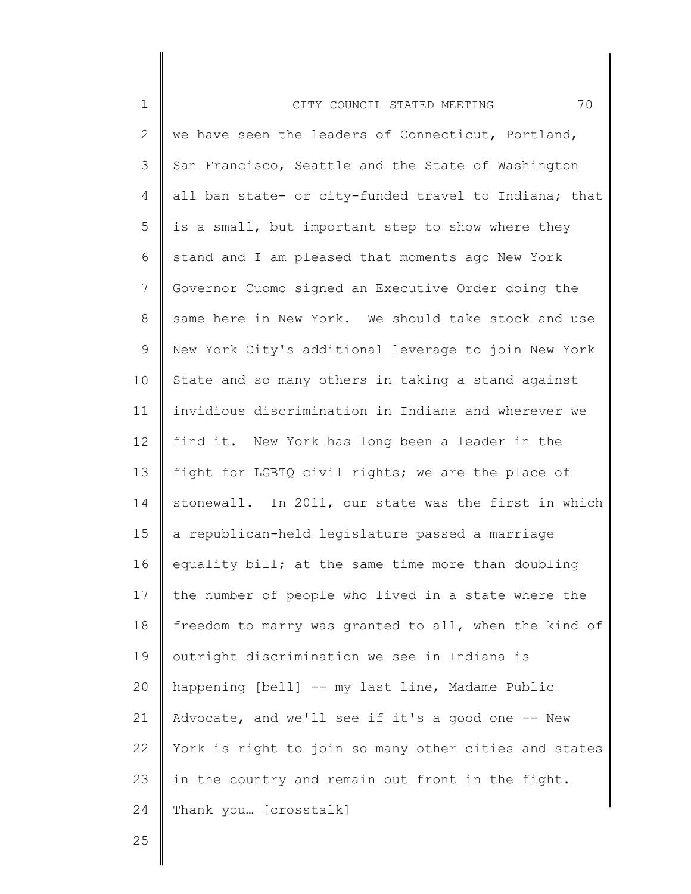| $\mathbf 1$     | 70<br>CITY COUNCIL STATED MEETING                     |
|-----------------|-------------------------------------------------------|
| $\mathbf{2}$    | we have seen the leaders of Connecticut, Portland,    |
| 3               | San Francisco, Seattle and the State of Washington    |
| 4               | all ban state- or city-funded travel to Indiana; that |
| 5               | is a small, but important step to show where they     |
| 6               | stand and I am pleased that moments ago New York      |
| $7\phantom{.0}$ | Governor Cuomo signed an Executive Order doing the    |
| 8               | same here in New York. We should take stock and use   |
| 9               | New York City's additional leverage to join New York  |
| 10              | State and so many others in taking a stand against    |
| 11              | invidious discrimination in Indiana and wherever we   |
| 12              | find it. New York has long been a leader in the       |
| 13              | fight for LGBTQ civil rights; we are the place of     |
| 14              | stonewall. In 2011, our state was the first in which  |
| 15 <sub>1</sub> | a republican-held legislature passed a marriage       |
| 16              | equality bill; at the same time more than doubling    |
| 17              | the number of people who lived in a state where the   |
| 18              | freedom to marry was granted to all, when the kind of |
| 19              | outright discrimination we see in Indiana is          |
| 20              | happening [bell] -- my last line, Madame Public       |
| 21              | Advocate, and we'll see if it's a good one -- New     |
| 22              | York is right to join so many other cities and states |
| 23              | in the country and remain out front in the fight.     |
| 24              | Thank you [crosstalk]                                 |
|                 |                                                       |

Ι

 $\mathsf I$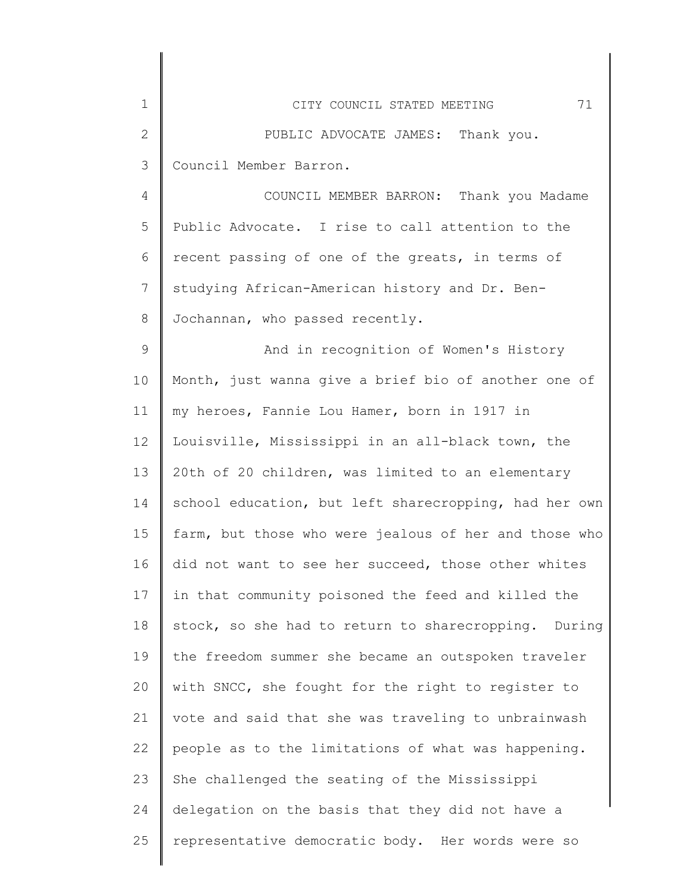| $\mathbf 1$  | 71<br>CITY COUNCIL STATED MEETING                     |
|--------------|-------------------------------------------------------|
| $\mathbf{2}$ | PUBLIC ADVOCATE JAMES: Thank you.                     |
| 3            | Council Member Barron.                                |
| 4            | COUNCIL MEMBER BARRON: Thank you Madame               |
| 5            | Public Advocate. I rise to call attention to the      |
| 6            | recent passing of one of the greats, in terms of      |
| 7            | studying African-American history and Dr. Ben-        |
| $8\,$        | Jochannan, who passed recently.                       |
| 9            | And in recognition of Women's History                 |
| 10           | Month, just wanna give a brief bio of another one of  |
| 11           | my heroes, Fannie Lou Hamer, born in 1917 in          |
| 12           | Louisville, Mississippi in an all-black town, the     |
| 13           | 20th of 20 children, was limited to an elementary     |
| 14           | school education, but left sharecropping, had her own |
| 15           | farm, but those who were jealous of her and those who |
| 16           | did not want to see her succeed, those other whites   |
| 17           | in that community poisoned the feed and killed the    |
| 18           | stock, so she had to return to sharecropping. During  |
| 19           | the freedom summer she became an outspoken traveler   |
| 20           | with SNCC, she fought for the right to register to    |
| 21           | vote and said that she was traveling to unbrainwash   |
| 22           | people as to the limitations of what was happening.   |
| 23           | She challenged the seating of the Mississippi         |
| 24           | delegation on the basis that they did not have a      |
| 25           | representative democratic body. Her words were so     |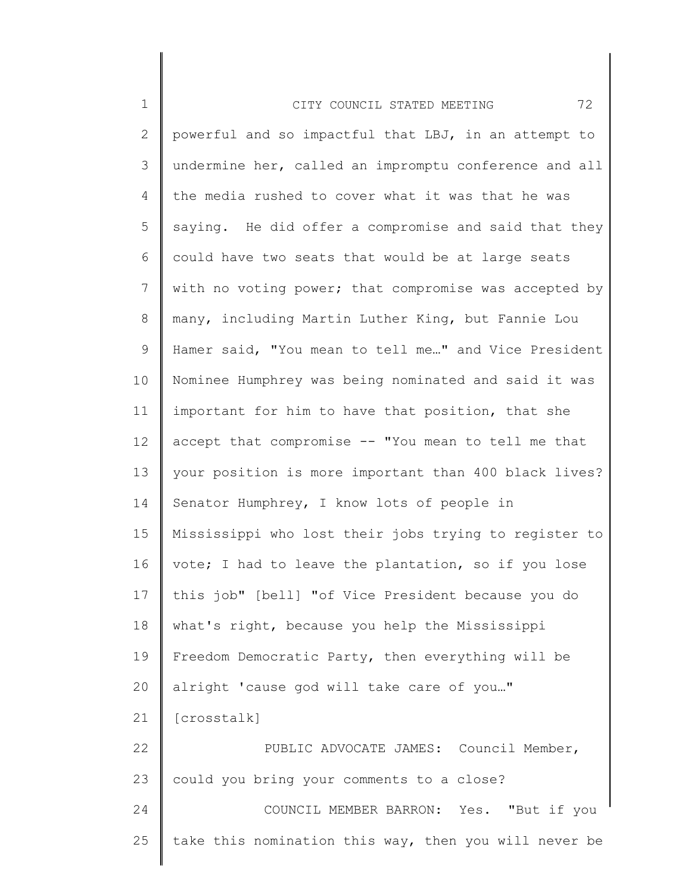| $\mathbf 1$     | 72<br>CITY COUNCIL STATED MEETING                     |
|-----------------|-------------------------------------------------------|
| 2               | powerful and so impactful that LBJ, in an attempt to  |
| 3               | undermine her, called an impromptu conference and all |
| $\overline{4}$  | the media rushed to cover what it was that he was     |
| 5               | saying. He did offer a compromise and said that they  |
| 6               | could have two seats that would be at large seats     |
| 7               | with no voting power; that compromise was accepted by |
| 8               | many, including Martin Luther King, but Fannie Lou    |
| 9               | Hamer said, "You mean to tell me" and Vice President  |
| 10              | Nominee Humphrey was being nominated and said it was  |
| 11              | important for him to have that position, that she     |
| 12              | accept that compromise -- "You mean to tell me that   |
| 13              | your position is more important than 400 black lives? |
| 14              | Senator Humphrey, I know lots of people in            |
| 15 <sub>1</sub> | Mississippi who lost their jobs trying to register to |
| 16              | vote; I had to leave the plantation, so if you lose   |
| 17              | this job" [bell] "of Vice President because you do    |
| 18              | what's right, because you help the Mississippi        |
| 19              | Freedom Democratic Party, then everything will be     |
| 20              | alright 'cause god will take care of you"             |
| 21              | [crosstalk]                                           |
| 22              | PUBLIC ADVOCATE JAMES: Council Member,                |
| 23              | could you bring your comments to a close?             |
| 24              | COUNCIL MEMBER BARRON: Yes. "But if you               |
| 25              | take this nomination this way, then you will never be |
|                 |                                                       |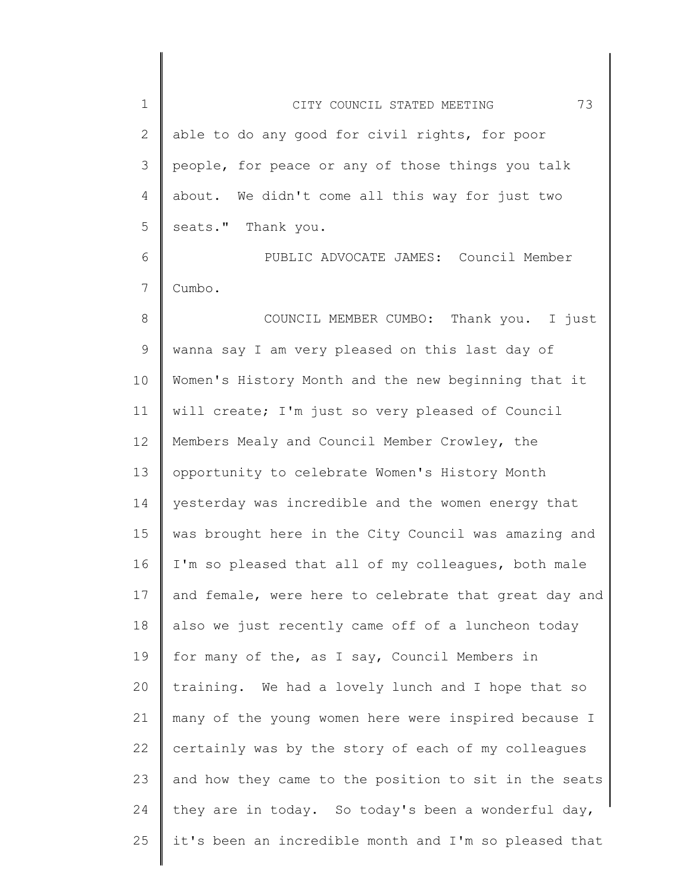| $\mathbf 1$    | 73<br>CITY COUNCIL STATED MEETING                     |
|----------------|-------------------------------------------------------|
| $\overline{2}$ | able to do any good for civil rights, for poor        |
| 3              | people, for peace or any of those things you talk     |
| 4              | about. We didn't come all this way for just two       |
| 5              | seats." Thank you.                                    |
| 6              | PUBLIC ADVOCATE JAMES: Council Member                 |
| 7              | Cumbo.                                                |
| 8              | COUNCIL MEMBER CUMBO: Thank you. I just               |
| 9              | wanna say I am very pleased on this last day of       |
| 10             | Women's History Month and the new beginning that it   |
| 11             | will create; I'm just so very pleased of Council      |
| 12             | Members Mealy and Council Member Crowley, the         |
| 13             | opportunity to celebrate Women's History Month        |
| 14             | yesterday was incredible and the women energy that    |
| 15             | was brought here in the City Council was amazing and  |
| 16             | I'm so pleased that all of my colleagues, both male   |
| 17             | and female, were here to celebrate that great day and |
| 18             | also we just recently came off of a luncheon today    |
| 19             | for many of the, as I say, Council Members in         |
| 20             | training. We had a lovely lunch and I hope that so    |
| 21             | many of the young women here were inspired because I  |
| 22             | certainly was by the story of each of my colleagues   |
| 23             | and how they came to the position to sit in the seats |
| 24             | they are in today. So today's been a wonderful day,   |
| 25             | it's been an incredible month and I'm so pleased that |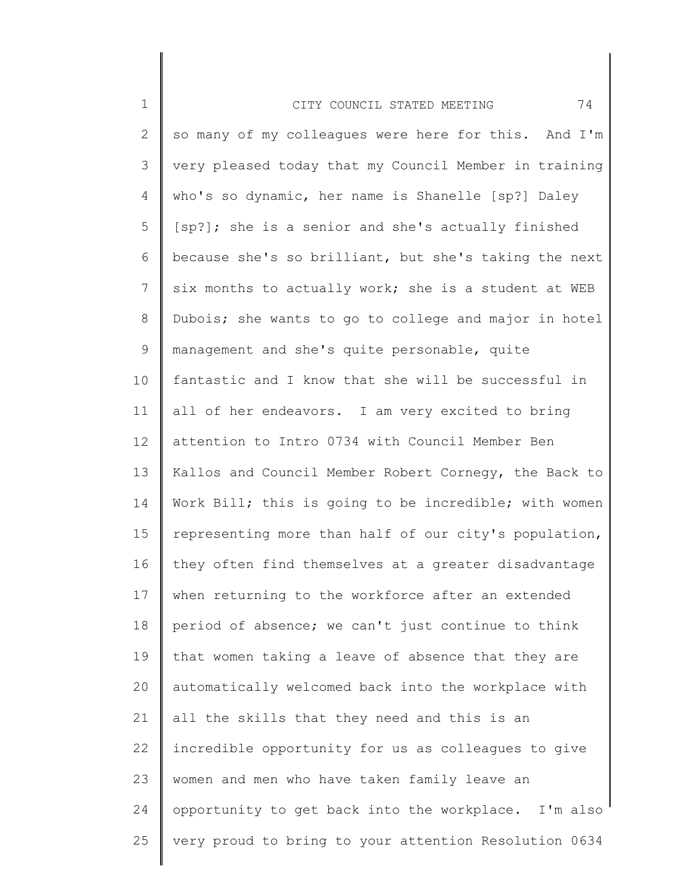| $1\,$        | 74<br>CITY COUNCIL STATED MEETING                     |
|--------------|-------------------------------------------------------|
| $\mathbf{2}$ | so many of my colleagues were here for this. And I'm  |
| 3            | very pleased today that my Council Member in training |
| 4            | who's so dynamic, her name is Shanelle [sp?] Daley    |
| 5            | [sp?]; she is a senior and she's actually finished    |
| 6            | because she's so brilliant, but she's taking the next |
| 7            | six months to actually work; she is a student at WEB  |
| $8\,$        | Dubois; she wants to go to college and major in hotel |
| $\mathsf 9$  | management and she's quite personable, quite          |
| 10           | fantastic and I know that she will be successful in   |
| 11           | all of her endeavors. I am very excited to bring      |
| 12           | attention to Intro 0734 with Council Member Ben       |
| 13           | Kallos and Council Member Robert Cornegy, the Back to |
| 14           | Work Bill; this is going to be incredible; with women |
| 15           | representing more than half of our city's population, |
| 16           | they often find themselves at a greater disadvantage  |
| 17           | when returning to the workforce after an extended     |
| 18           | period of absence; we can't just continue to think    |
| 19           | that women taking a leave of absence that they are    |
| 20           | automatically welcomed back into the workplace with   |
| 21           | all the skills that they need and this is an          |
| 22           | incredible opportunity for us as colleagues to give   |
| 23           | women and men who have taken family leave an          |
| 24           | opportunity to get back into the workplace. I'm also  |
| 25           | very proud to bring to your attention Resolution 0634 |
|              |                                                       |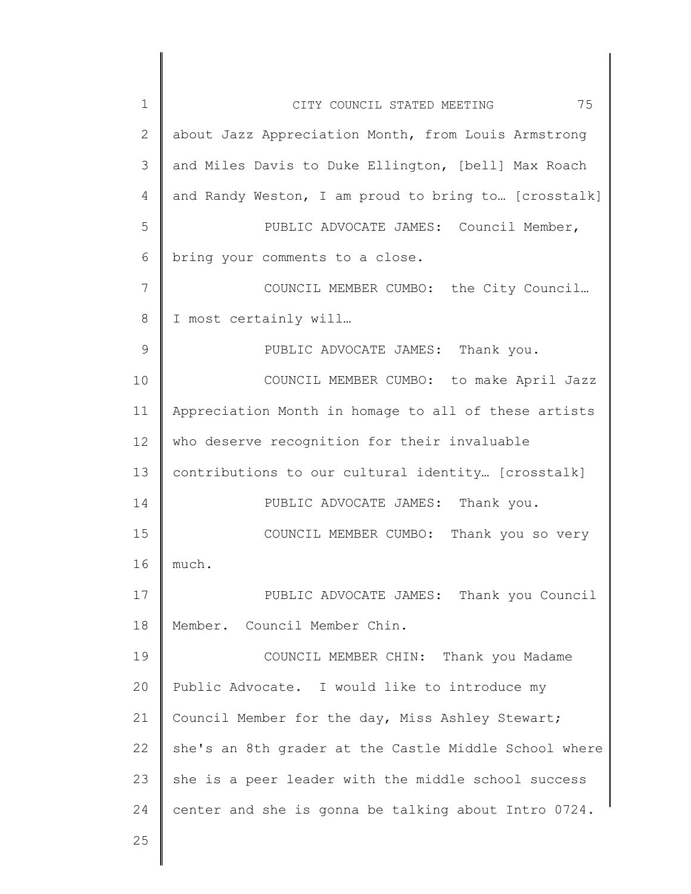| $\mathbf 1$  | 75<br>CITY COUNCIL STATED MEETING                     |
|--------------|-------------------------------------------------------|
| $\mathbf{2}$ | about Jazz Appreciation Month, from Louis Armstrong   |
| 3            | and Miles Davis to Duke Ellington, [bell] Max Roach   |
| 4            | and Randy Weston, I am proud to bring to [crosstalk]  |
| 5            | PUBLIC ADVOCATE JAMES: Council Member,                |
| 6            | bring your comments to a close.                       |
| 7            | COUNCIL MEMBER CUMBO: the City Council                |
| 8            | I most certainly will                                 |
| $\mathsf 9$  | PUBLIC ADVOCATE JAMES: Thank you.                     |
| 10           | COUNCIL MEMBER CUMBO: to make April Jazz              |
| 11           | Appreciation Month in homage to all of these artists  |
| 12           | who deserve recognition for their invaluable          |
| 13           | contributions to our cultural identity [crosstalk]    |
| 14           | PUBLIC ADVOCATE JAMES: Thank you.                     |
| 15           | Thank you so very<br>COUNCIL MEMBER CUMBO:            |
| 16           | much.                                                 |
| 17           | PUBLIC ADVOCATE JAMES: Thank you Council              |
| 18           | Member. Council Member Chin.                          |
| 19           | COUNCIL MEMBER CHIN: Thank you Madame                 |
| 20           | Public Advocate. I would like to introduce my         |
| 21           | Council Member for the day, Miss Ashley Stewart;      |
| 22           | she's an 8th grader at the Castle Middle School where |
| 23           | she is a peer leader with the middle school success   |
| 24           | center and she is gonna be talking about Intro 0724.  |
| 25           |                                                       |
|              |                                                       |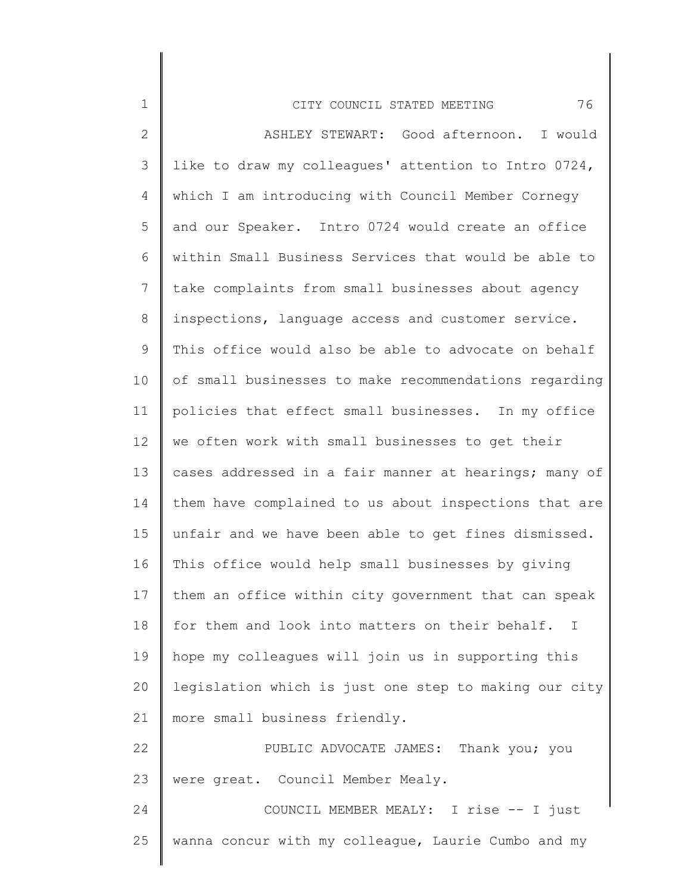| $\mathbf 1$  | 76<br>CITY COUNCIL STATED MEETING                     |
|--------------|-------------------------------------------------------|
| $\mathbf{2}$ | ASHLEY STEWART: Good afternoon. I would               |
| 3            | like to draw my colleagues' attention to Intro 0724,  |
| 4            | which I am introducing with Council Member Cornegy    |
| 5            | and our Speaker. Intro 0724 would create an office    |
| 6            | within Small Business Services that would be able to  |
| 7            | take complaints from small businesses about agency    |
| 8            | inspections, language access and customer service.    |
| $\mathsf 9$  | This office would also be able to advocate on behalf  |
| 10           | of small businesses to make recommendations regarding |
| 11           | policies that effect small businesses. In my office   |
| 12           | we often work with small businesses to get their      |
| 13           | cases addressed in a fair manner at hearings; many of |
| 14           | them have complained to us about inspections that are |
| 15           | unfair and we have been able to get fines dismissed.  |
| 16           | This office would help small businesses by giving     |
| 17           | them an office within city government that can speak  |
| 18           | for them and look into matters on their behalf. I     |
| 19           | hope my colleagues will join us in supporting this    |
| 20           | legislation which is just one step to making our city |
| 21           | more small business friendly.                         |
| 22           | PUBLIC ADVOCATE JAMES: Thank you; you                 |
| 23           | were great. Council Member Mealy.                     |
| 24           | COUNCIL MEMBER MEALY: I rise -- I just                |
| 25           | wanna concur with my colleague, Laurie Cumbo and my   |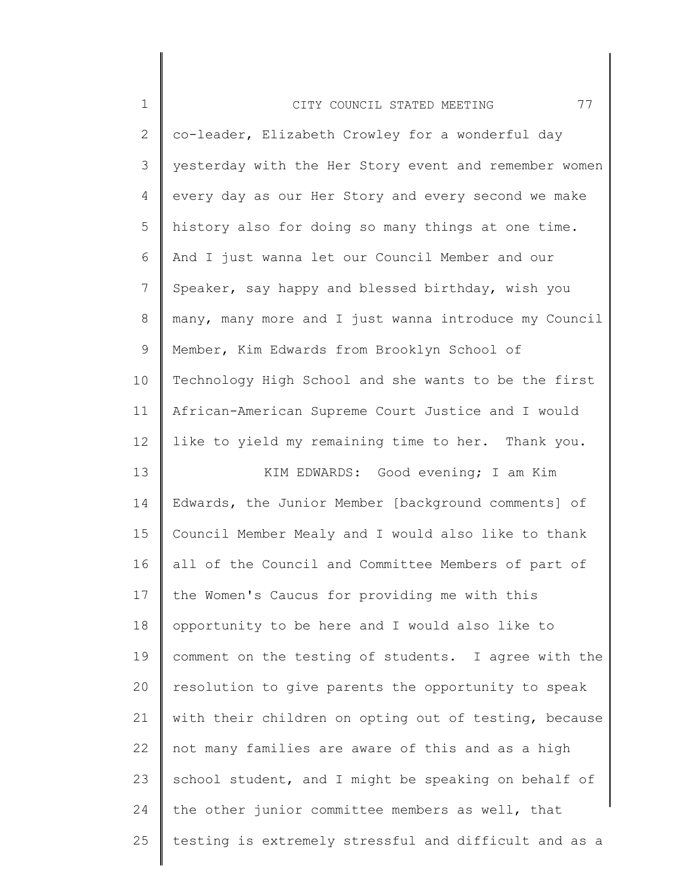| $\mathbf 1$    | 77<br>CITY COUNCIL STATED MEETING                     |
|----------------|-------------------------------------------------------|
| $\overline{2}$ | co-leader, Elizabeth Crowley for a wonderful day      |
| 3              | yesterday with the Her Story event and remember women |
| 4              | every day as our Her Story and every second we make   |
| 5              | history also for doing so many things at one time.    |
| 6              | And I just wanna let our Council Member and our       |
| $7\phantom{.}$ | Speaker, say happy and blessed birthday, wish you     |
| 8              | many, many more and I just wanna introduce my Council |
| 9              | Member, Kim Edwards from Brooklyn School of           |
| 10             | Technology High School and she wants to be the first  |
| 11             | African-American Supreme Court Justice and I would    |
| 12             | like to yield my remaining time to her. Thank you.    |
| 13             | KIM EDWARDS: Good evening; I am Kim                   |
| 14             | Edwards, the Junior Member [background comments] of   |
| 15             | Council Member Mealy and I would also like to thank   |
| 16             | all of the Council and Committee Members of part of   |
| 17             | the Women's Caucus for providing me with this         |
| 18             | opportunity to be here and I would also like to       |
| 19             | comment on the testing of students. I agree with the  |
| 20             | resolution to give parents the opportunity to speak   |
| 21             | with their children on opting out of testing, because |
| 22             | not many families are aware of this and as a high     |
| 23             | school student, and I might be speaking on behalf of  |
| 24             | the other junior committee members as well, that      |
| 25             | testing is extremely stressful and difficult and as a |
|                |                                                       |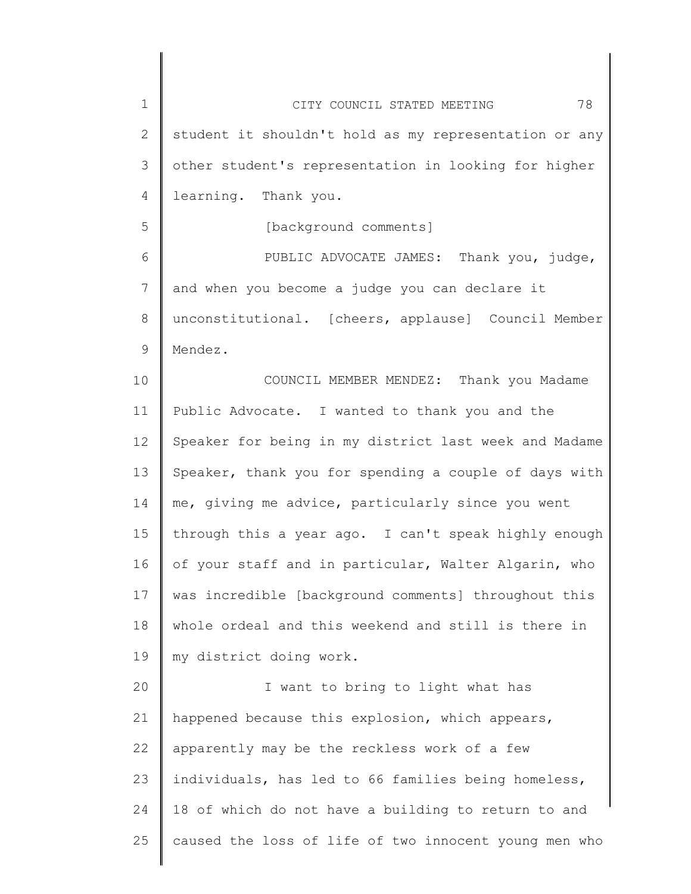| $\mathbf 1$    | 78<br>CITY COUNCIL STATED MEETING                     |
|----------------|-------------------------------------------------------|
| 2              | student it shouldn't hold as my representation or any |
| 3              | other student's representation in looking for higher  |
| $\overline{4}$ | learning. Thank you.                                  |
| 5              | [background comments]                                 |
| 6              | PUBLIC ADVOCATE JAMES: Thank you, judge,              |
| 7              | and when you become a judge you can declare it        |
| $8\,$          | unconstitutional. [cheers, applause] Council Member   |
| 9              | Mendez.                                               |
| 10             | COUNCIL MEMBER MENDEZ: Thank you Madame               |
| 11             | Public Advocate. I wanted to thank you and the        |
| 12             | Speaker for being in my district last week and Madame |
| 13             | Speaker, thank you for spending a couple of days with |
| 14             | me, giving me advice, particularly since you went     |
| 15             | through this a year ago. I can't speak highly enough  |
| 16             | of your staff and in particular, Walter Algarin, who  |
| 17             | was incredible [background comments] throughout this  |
| 18             | whole ordeal and this weekend and still is there in   |
| 19             | my district doing work.                               |
| 20             | I want to bring to light what has                     |
| 21             | happened because this explosion, which appears,       |
| 22             | apparently may be the reckless work of a few          |
| 23             | individuals, has led to 66 families being homeless,   |
| 24             | 18 of which do not have a building to return to and   |
| 25             | caused the loss of life of two innocent young men who |
|                |                                                       |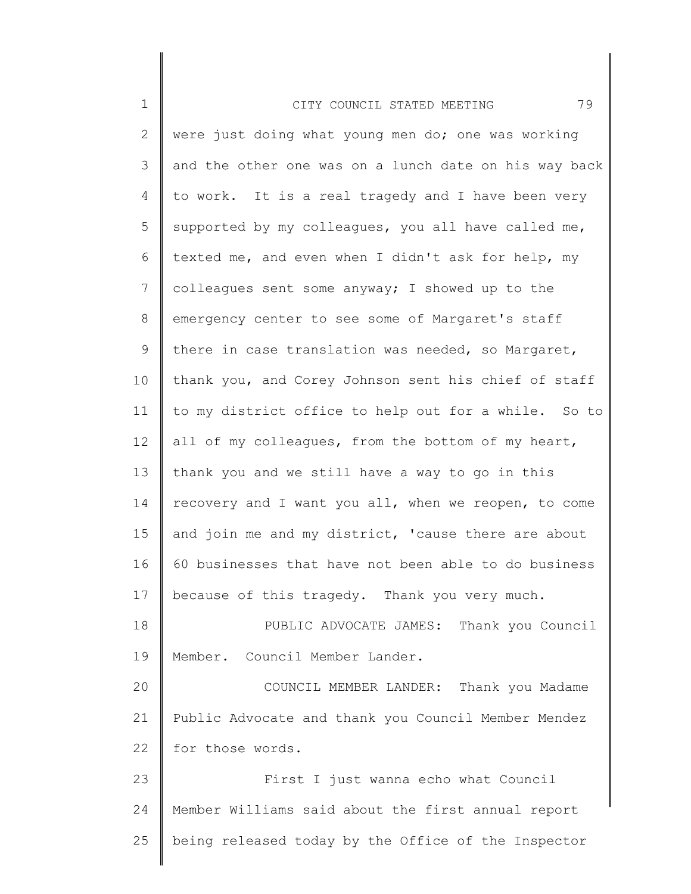| $\mathbf 1$ | 79<br>CITY COUNCIL STATED MEETING                     |
|-------------|-------------------------------------------------------|
| 2           | were just doing what young men do; one was working    |
| 3           | and the other one was on a lunch date on his way back |
| 4           | to work. It is a real tragedy and I have been very    |
| 5           | supported by my colleagues, you all have called me,   |
| 6           | texted me, and even when I didn't ask for help, my    |
| 7           | colleagues sent some anyway; I showed up to the       |
| 8           | emergency center to see some of Margaret's staff      |
| 9           | there in case translation was needed, so Margaret,    |
| 10          | thank you, and Corey Johnson sent his chief of staff  |
| 11          | to my district office to help out for a while. So to  |
| 12          | all of my colleagues, from the bottom of my heart,    |
| 13          | thank you and we still have a way to go in this       |
| 14          | recovery and I want you all, when we reopen, to come  |
| 15          | and join me and my district, 'cause there are about   |
| 16          | 60 businesses that have not been able to do business  |
| 17          | because of this tragedy. Thank you very much.         |
| 18          | PUBLIC ADVOCATE JAMES: Thank you Council              |
| 19          | Member. Council Member Lander.                        |
| 20          | COUNCIL MEMBER LANDER: Thank you Madame               |
| 21          | Public Advocate and thank you Council Member Mendez   |
| 22          | for those words.                                      |
| 23          | First I just wanna echo what Council                  |
| 24          | Member Williams said about the first annual report    |
| 25          | being released today by the Office of the Inspector   |
|             |                                                       |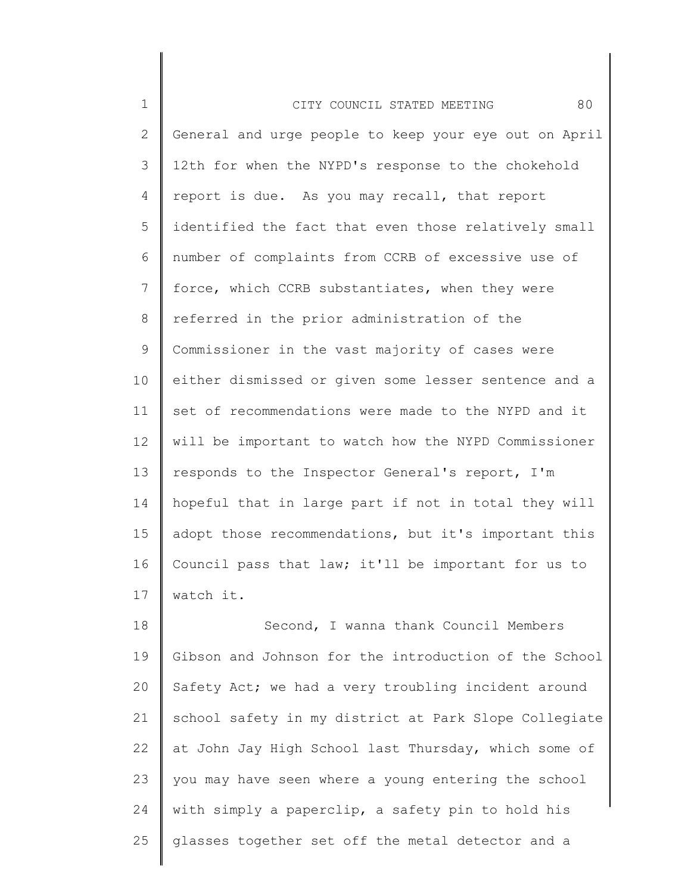| $\mathbf{1}$   | 80<br>CITY COUNCIL STATED MEETING                     |
|----------------|-------------------------------------------------------|
| 2              | General and urge people to keep your eye out on April |
| 3              | 12th for when the NYPD's response to the chokehold    |
| $\overline{4}$ | report is due. As you may recall, that report         |
| 5              | identified the fact that even those relatively small  |
| 6              | number of complaints from CCRB of excessive use of    |
| $7\phantom{.}$ | force, which CCRB substantiates, when they were       |
| 8              | referred in the prior administration of the           |
| 9              | Commissioner in the vast majority of cases were       |
| 10             | either dismissed or given some lesser sentence and a  |
| 11             | set of recommendations were made to the NYPD and it   |
| 12             | will be important to watch how the NYPD Commissioner  |
| 13             | responds to the Inspector General's report, I'm       |
| 14             | hopeful that in large part if not in total they will  |
| 15             | adopt those recommendations, but it's important this  |
| 16             | Council pass that law; it'll be important for us to   |
| 17             | watch it.                                             |
|                |                                                       |

18 19 20 21 22 23 24 25 Second, I wanna thank Council Members Gibson and Johnson for the introduction of the School Safety Act; we had a very troubling incident around school safety in my district at Park Slope Collegiate at John Jay High School last Thursday, which some of you may have seen where a young entering the school with simply a paperclip, a safety pin to hold his glasses together set off the metal detector and a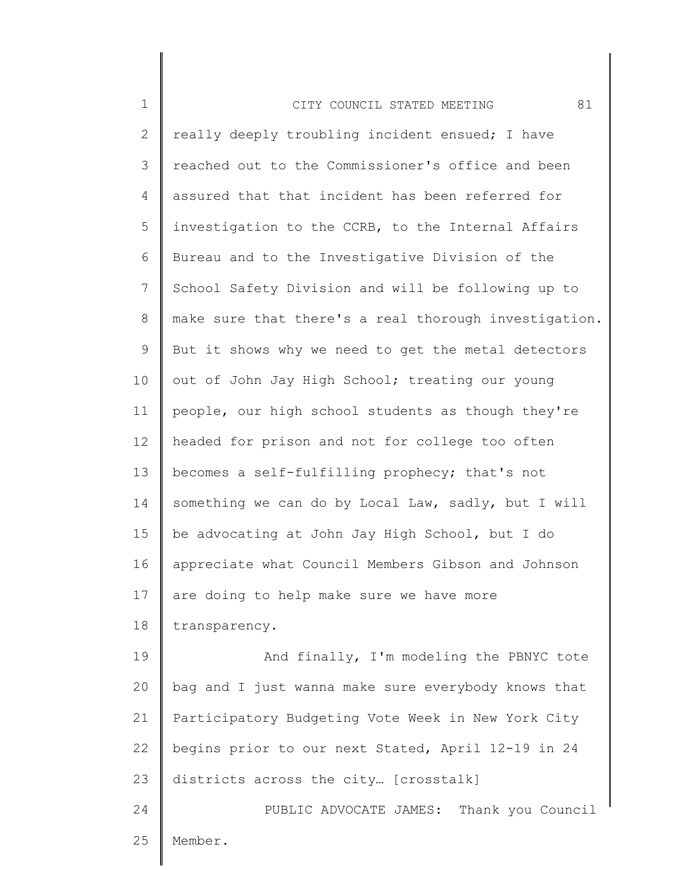| $\mathbf 1$ | 81<br>CITY COUNCIL STATED MEETING                     |
|-------------|-------------------------------------------------------|
| 2           | really deeply troubling incident ensued; I have       |
| 3           | reached out to the Commissioner's office and been     |
| 4           | assured that that incident has been referred for      |
| 5           | investigation to the CCRB, to the Internal Affairs    |
| 6           | Bureau and to the Investigative Division of the       |
| 7           | School Safety Division and will be following up to    |
| 8           | make sure that there's a real thorough investigation. |
| $\mathsf 9$ | But it shows why we need to get the metal detectors   |
| 10          | out of John Jay High School; treating our young       |
| 11          | people, our high school students as though they're    |
| 12          | headed for prison and not for college too often       |
| 13          | becomes a self-fulfilling prophecy; that's not        |
| 14          | something we can do by Local Law, sadly, but I will   |
| 15          | be advocating at John Jay High School, but I do       |
| 16          | appreciate what Council Members Gibson and Johnson    |
| 17          | are doing to help make sure we have more              |
| 18          | transparency.                                         |
| 19          | And finally, I'm modeling the PBNYC tote              |
| 20          | bag and I just wanna make sure everybody knows that   |
| 21          | Participatory Budgeting Vote Week in New York City    |
| 22          | begins prior to our next Stated, April 12-19 in 24    |
| 23          | districts across the city [crosstalk]                 |
| 24          | PUBLIC ADVOCATE JAMES: Thank you Council              |
| 25          | Member.                                               |
|             |                                                       |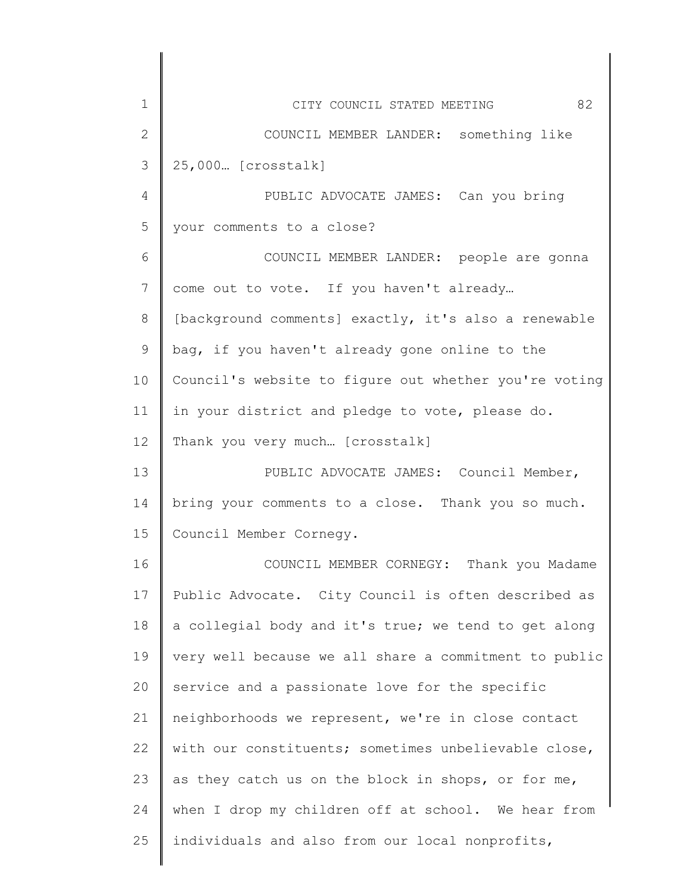| $\mathbf 1$     | 82<br>CITY COUNCIL STATED MEETING                     |
|-----------------|-------------------------------------------------------|
| $\mathbf{2}$    | COUNCIL MEMBER LANDER: something like                 |
| 3               | 25,000 [crosstalk]                                    |
| 4               | PUBLIC ADVOCATE JAMES: Can you bring                  |
| 5               | your comments to a close?                             |
| 6               | COUNCIL MEMBER LANDER: people are gonna               |
| $7\phantom{.}$  | come out to vote. If you haven't already              |
| 8               | [background comments] exactly, it's also a renewable  |
| $\mathcal{G}$   | bag, if you haven't already gone online to the        |
| 10              | Council's website to figure out whether you're voting |
| 11              | in your district and pledge to vote, please do.       |
| 12 <sup>°</sup> | Thank you very much [crosstalk]                       |
| 13              | PUBLIC ADVOCATE JAMES: Council Member,                |
| 14              | bring your comments to a close. Thank you so much.    |
| 15              | Council Member Cornegy.                               |
| 16              | COUNCIL MEMBER CORNEGY: Thank you Madame              |
| 17              | Public Advocate. City Council is often described as   |
| 18              | a collegial body and it's true; we tend to get along  |
| 19              | very well because we all share a commitment to public |
| 20              | service and a passionate love for the specific        |
| 21              | neighborhoods we represent, we're in close contact    |
| 22              | with our constituents; sometimes unbelievable close,  |
| 23              | as they catch us on the block in shops, or for me,    |
| 24              | when I drop my children off at school. We hear from   |
| 25              | individuals and also from our local nonprofits,       |
|                 |                                                       |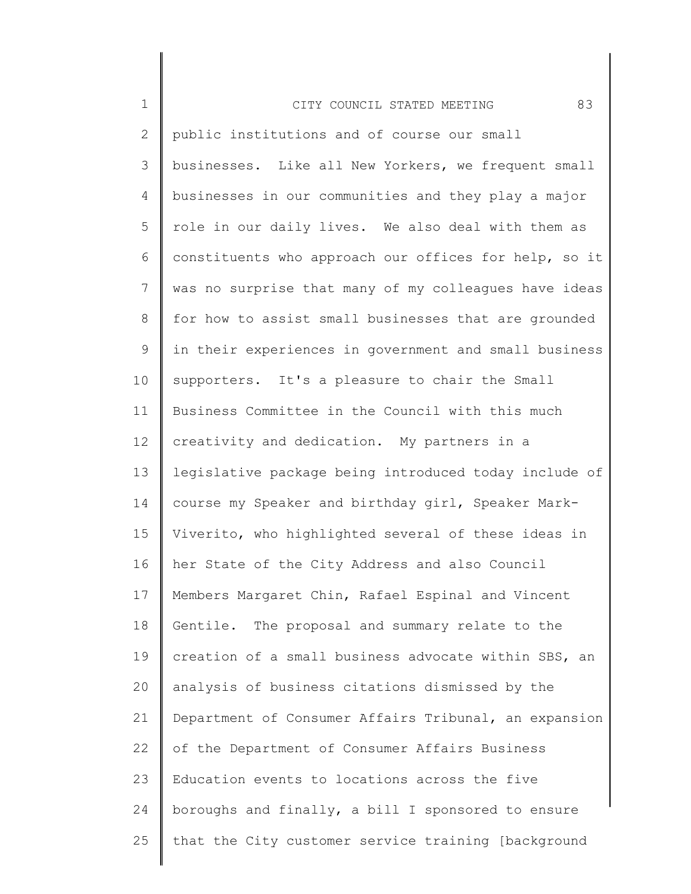| $\mathbf 1$    | 83<br>CITY COUNCIL STATED MEETING                     |
|----------------|-------------------------------------------------------|
| $\overline{2}$ | public institutions and of course our small           |
| 3              | businesses. Like all New Yorkers, we frequent small   |
| $\overline{4}$ | businesses in our communities and they play a major   |
| 5              | role in our daily lives. We also deal with them as    |
| 6              | constituents who approach our offices for help, so it |
| 7              | was no surprise that many of my colleagues have ideas |
| 8              | for how to assist small businesses that are grounded  |
| 9              | in their experiences in government and small business |
| 10             | supporters. It's a pleasure to chair the Small        |
| 11             | Business Committee in the Council with this much      |
| 12             | creativity and dedication. My partners in a           |
| 13             | legislative package being introduced today include of |
| 14             | course my Speaker and birthday girl, Speaker Mark-    |
| 15             | Viverito, who highlighted several of these ideas in   |
| 16             | her State of the City Address and also Council        |
| 17             | Members Margaret Chin, Rafael Espinal and Vincent     |
| 18             | Gentile. The proposal and summary relate to the       |
| 19             | creation of a small business advocate within SBS, an  |
| 20             | analysis of business citations dismissed by the       |
| 21             | Department of Consumer Affairs Tribunal, an expansion |
| 22             | of the Department of Consumer Affairs Business        |
| 23             | Education events to locations across the five         |
| 24             | boroughs and finally, a bill I sponsored to ensure    |
| 25             | that the City customer service training [background   |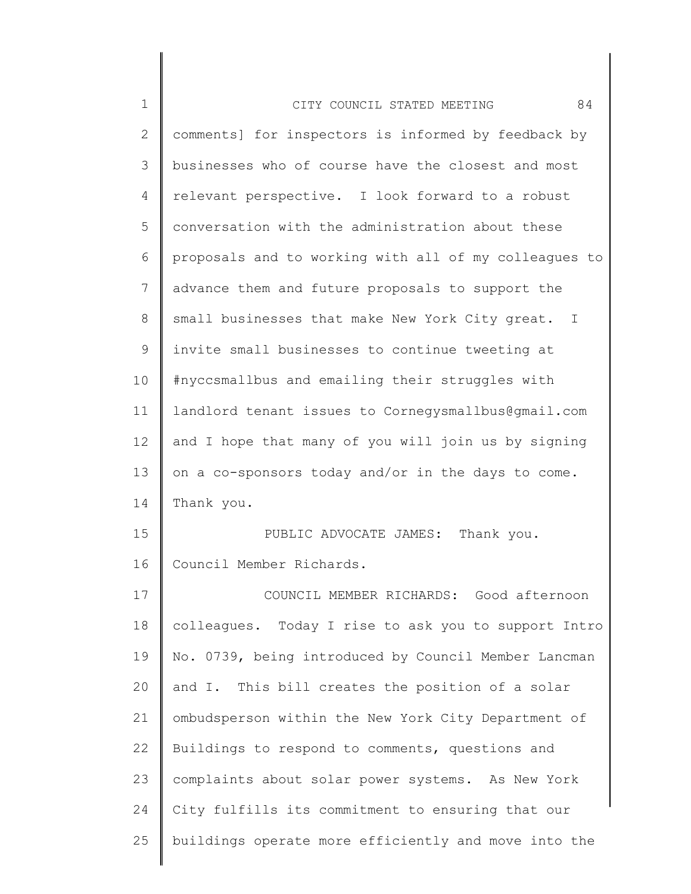| $\mathbf 1$ | 84<br>CITY COUNCIL STATED MEETING                     |
|-------------|-------------------------------------------------------|
| 2           | comments] for inspectors is informed by feedback by   |
| 3           | businesses who of course have the closest and most    |
| 4           | relevant perspective. I look forward to a robust      |
| 5           | conversation with the administration about these      |
| 6           | proposals and to working with all of my colleagues to |
| 7           | advance them and future proposals to support the      |
| $8\,$       | small businesses that make New York City great. I     |
| $\mathsf 9$ | invite small businesses to continue tweeting at       |
| 10          | #nyccsmallbus and emailing their struggles with       |
| 11          | landlord tenant issues to Cornegysmallbus@qmail.com   |
| 12          | and I hope that many of you will join us by signing   |
| 13          | on a co-sponsors today and/or in the days to come.    |
| 14          | Thank you.                                            |
| 15          | PUBLIC ADVOCATE JAMES: Thank you.                     |
| 16          | Council Member Richards.                              |
| 17          | COUNCIL MEMBER RICHARDS: Good afternoon               |
| 18          | colleagues. Today I rise to ask you to support Intro  |
| 19          | No. 0739, being introduced by Council Member Lancman  |
| 20          | and I. This bill creates the position of a solar      |
| 21          | ombudsperson within the New York City Department of   |
| 22          | Buildings to respond to comments, questions and       |
| 23          | complaints about solar power systems. As New York     |
| 24          | City fulfills its commitment to ensuring that our     |
| 25          | buildings operate more efficiently and move into the  |
|             |                                                       |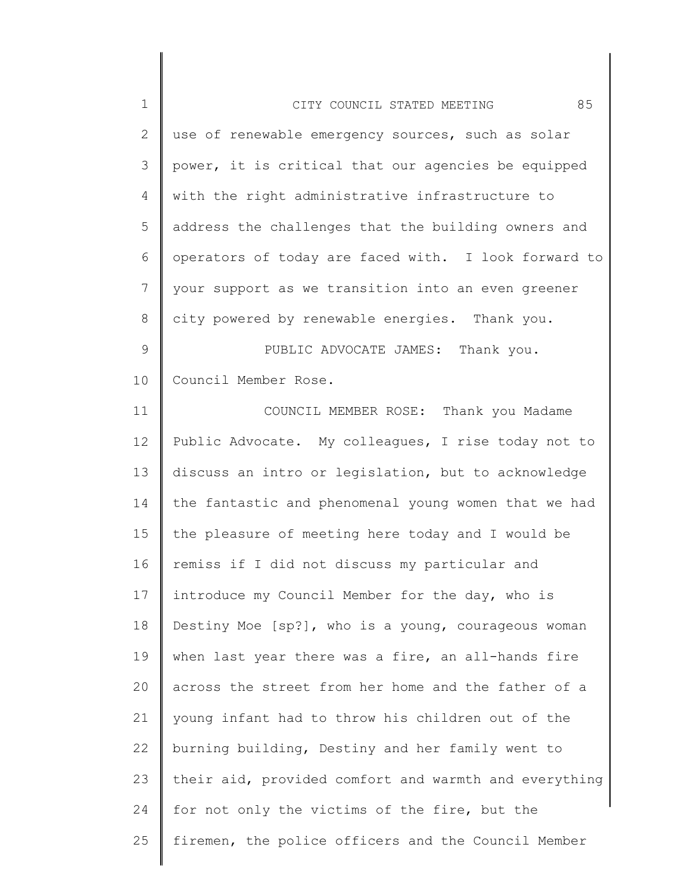| $\mathbf 1$    | 85<br>CITY COUNCIL STATED MEETING                     |
|----------------|-------------------------------------------------------|
| $\mathbf{2}$   | use of renewable emergency sources, such as solar     |
| 3              | power, it is critical that our agencies be equipped   |
| 4              | with the right administrative infrastructure to       |
| 5              | address the challenges that the building owners and   |
| 6              | operators of today are faced with. I look forward to  |
| $7\phantom{.}$ | your support as we transition into an even greener    |
| 8              | city powered by renewable energies. Thank you.        |
| $\mathsf 9$    | PUBLIC ADVOCATE JAMES: Thank you.                     |
| 10             | Council Member Rose.                                  |
| 11             | COUNCIL MEMBER ROSE: Thank you Madame                 |
| 12             | Public Advocate. My colleagues, I rise today not to   |
| 13             | discuss an intro or legislation, but to acknowledge   |
| 14             | the fantastic and phenomenal young women that we had  |
| 15             | the pleasure of meeting here today and I would be     |
| 16             | remiss if I did not discuss my particular and         |
| 17             | introduce my Council Member for the day, who is       |
| 18             | Destiny Moe [sp?], who is a young, courageous woman   |
| 19             | when last year there was a fire, an all-hands fire    |
| 20             | across the street from her home and the father of a   |
| 21             | young infant had to throw his children out of the     |
| 22             | burning building, Destiny and her family went to      |
| 23             | their aid, provided comfort and warmth and everything |
| 24             | for not only the victims of the fire, but the         |
| 25             | firemen, the police officers and the Council Member   |
|                |                                                       |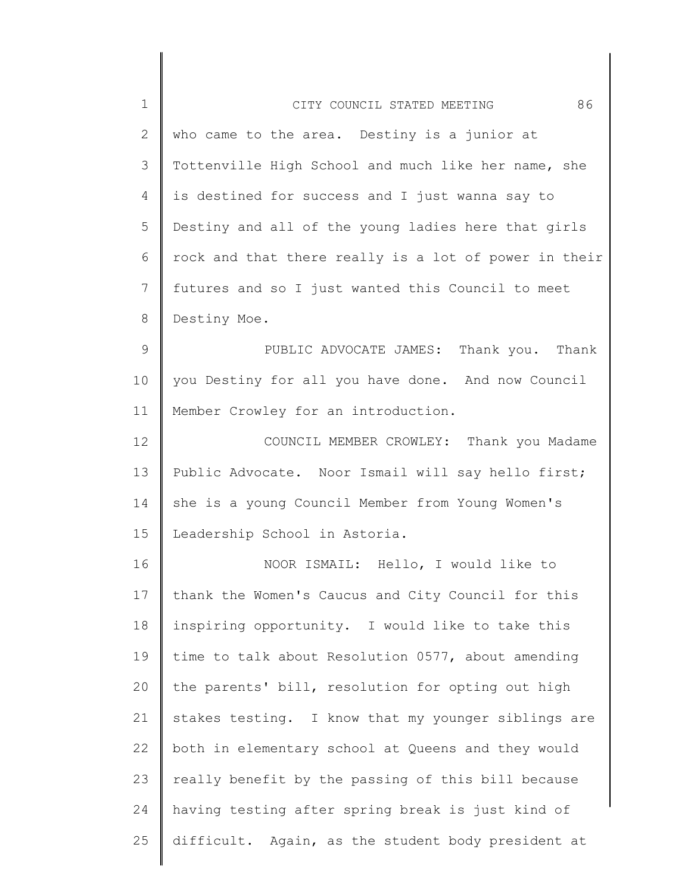| $\mathbf 1$ | 86<br>CITY COUNCIL STATED MEETING                     |
|-------------|-------------------------------------------------------|
| 2           | who came to the area. Destiny is a junior at          |
| 3           | Tottenville High School and much like her name, she   |
| 4           | is destined for success and I just wanna say to       |
| 5           | Destiny and all of the young ladies here that girls   |
| 6           | rock and that there really is a lot of power in their |
| 7           | futures and so I just wanted this Council to meet     |
| 8           | Destiny Moe.                                          |
| 9           | PUBLIC ADVOCATE JAMES: Thank you. Thank               |
| 10          | you Destiny for all you have done. And now Council    |
| 11          | Member Crowley for an introduction.                   |
| 12          | COUNCIL MEMBER CROWLEY: Thank you Madame              |
| 13          | Public Advocate. Noor Ismail will say hello first;    |
| 14          | she is a young Council Member from Young Women's      |
| 15          | Leadership School in Astoria.                         |
| 16          | NOOR ISMAIL: Hello, I would like to                   |
| 17          | thank the Women's Caucus and City Council for this    |
| 18          | inspiring opportunity. I would like to take this      |
| 19          | time to talk about Resolution 0577, about amending    |
| 20          | the parents' bill, resolution for opting out high     |
| 21          | stakes testing. I know that my younger siblings are   |
| 22          | both in elementary school at Queens and they would    |
| 23          | really benefit by the passing of this bill because    |
| 24          | having testing after spring break is just kind of     |
| 25          | difficult. Again, as the student body president at    |
|             |                                                       |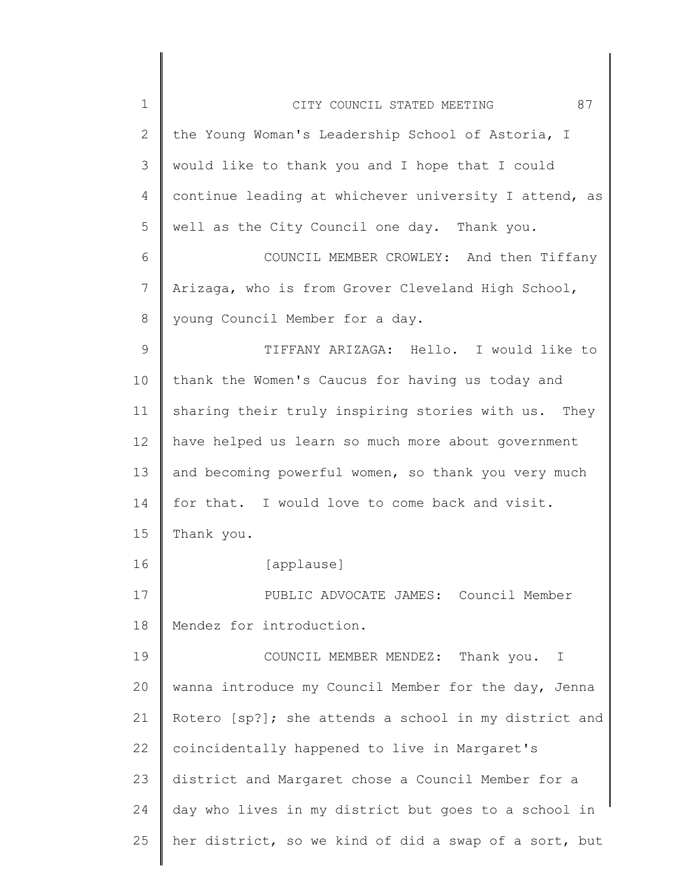| $\mathbf 1$    | 87<br>CITY COUNCIL STATED MEETING                     |
|----------------|-------------------------------------------------------|
| $\overline{2}$ | the Young Woman's Leadership School of Astoria, I     |
| 3              | would like to thank you and I hope that I could       |
| 4              | continue leading at whichever university I attend, as |
| 5              | well as the City Council one day. Thank you.          |
| 6              | COUNCIL MEMBER CROWLEY: And then Tiffany              |
| 7              | Arizaga, who is from Grover Cleveland High School,    |
| 8              | young Council Member for a day.                       |
| 9              | TIFFANY ARIZAGA: Hello. I would like to               |
| 10             | thank the Women's Caucus for having us today and      |
| 11             | sharing their truly inspiring stories with us. They   |
| 12             | have helped us learn so much more about government    |
| 13             | and becoming powerful women, so thank you very much   |
| 14             | for that. I would love to come back and visit.        |
| 15             | Thank you.                                            |
| 16             | [applause]                                            |
| 17             | PUBLIC ADVOCATE JAMES: Council Member                 |
| 18             | Mendez for introduction.                              |
| 19             | COUNCIL MEMBER MENDEZ: Thank you. I                   |
| 20             | wanna introduce my Council Member for the day, Jenna  |
| 21             | Rotero [sp?]; she attends a school in my district and |
| 22             | coincidentally happened to live in Margaret's         |
| 23             | district and Margaret chose a Council Member for a    |
| 24             | day who lives in my district but goes to a school in  |
| 25             | her district, so we kind of did a swap of a sort, but |
|                |                                                       |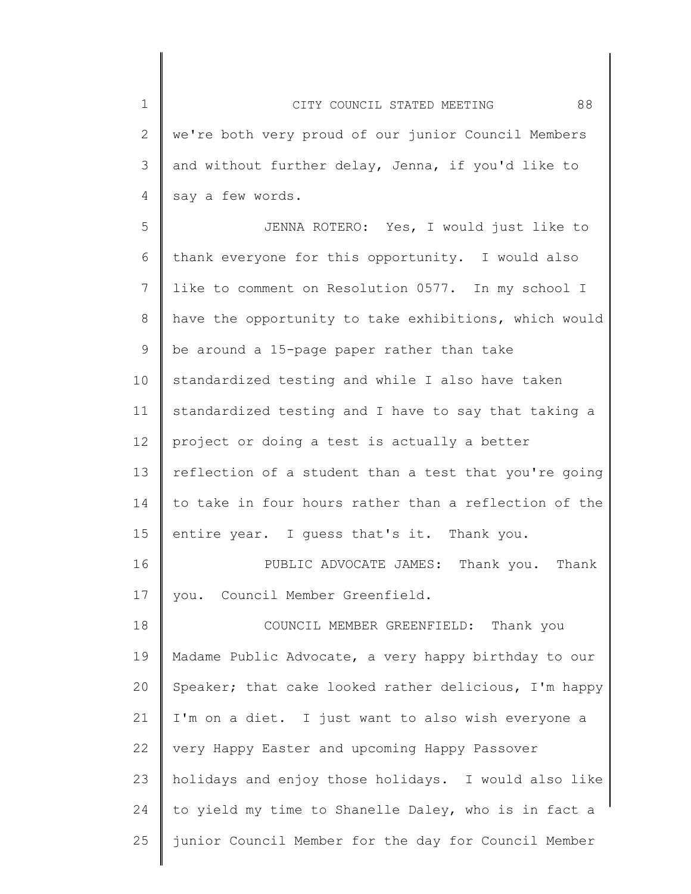1 2 3 4 5 6 7 8 9 10 11 12 13 14 15 16 17 18 19 20 21 22 23 24 25 CITY COUNCIL STATED MEETING 88 we're both very proud of our junior Council Members and without further delay, Jenna, if you'd like to say a few words. JENNA ROTERO: Yes, I would just like to thank everyone for this opportunity. I would also like to comment on Resolution 0577. In my school I have the opportunity to take exhibitions, which would be around a 15-page paper rather than take standardized testing and while I also have taken standardized testing and I have to say that taking a project or doing a test is actually a better reflection of a student than a test that you're going to take in four hours rather than a reflection of the entire year. I guess that's it. Thank you. PUBLIC ADVOCATE JAMES: Thank you. Thank you. Council Member Greenfield. COUNCIL MEMBER GREENFIELD: Thank you Madame Public Advocate, a very happy birthday to our Speaker; that cake looked rather delicious, I'm happy I'm on a diet. I just want to also wish everyone a very Happy Easter and upcoming Happy Passover holidays and enjoy those holidays. I would also like to yield my time to Shanelle Daley, who is in fact a junior Council Member for the day for Council Member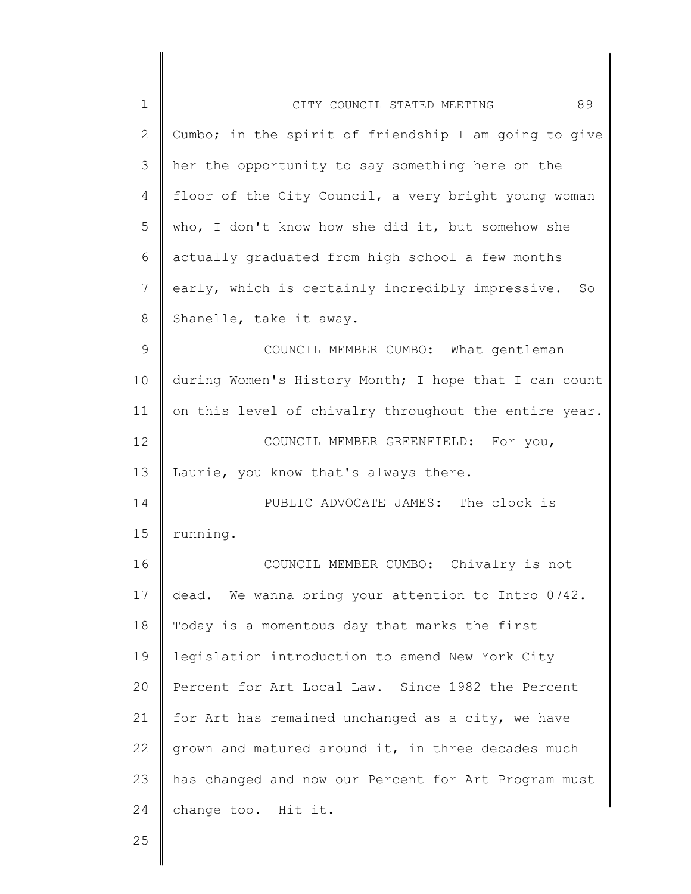| $\mathbf 1$  | 89<br>CITY COUNCIL STATED MEETING                      |
|--------------|--------------------------------------------------------|
| $\mathbf{2}$ | Cumbo; in the spirit of friendship I am going to give  |
| 3            | her the opportunity to say something here on the       |
| 4            | floor of the City Council, a very bright young woman   |
| 5            | who, I don't know how she did it, but somehow she      |
| 6            | actually graduated from high school a few months       |
| 7            | early, which is certainly incredibly impressive.<br>So |
| 8            | Shanelle, take it away.                                |
| $\mathsf 9$  | COUNCIL MEMBER CUMBO: What gentleman                   |
| 10           | during Women's History Month; I hope that I can count  |
| 11           | on this level of chivalry throughout the entire year.  |
| 12           | COUNCIL MEMBER GREENFIELD: For you,                    |
| 13           | Laurie, you know that's always there.                  |
| 14           | PUBLIC ADVOCATE JAMES: The clock is                    |
| 15           | running.                                               |
| 16           | COUNCIL MEMBER CUMBO: Chivalry is not                  |
| 17           | dead. We wanna bring your attention to Intro 0742.     |
| 18           | Today is a momentous day that marks the first          |
| 19           | legislation introduction to amend New York City        |
| 20           | Percent for Art Local Law. Since 1982 the Percent      |
| 21           | for Art has remained unchanged as a city, we have      |
| 22           | grown and matured around it, in three decades much     |
| 23           | has changed and now our Percent for Art Program must   |
| 24           | change too. Hit it.                                    |
|              |                                                        |

25

 $\parallel$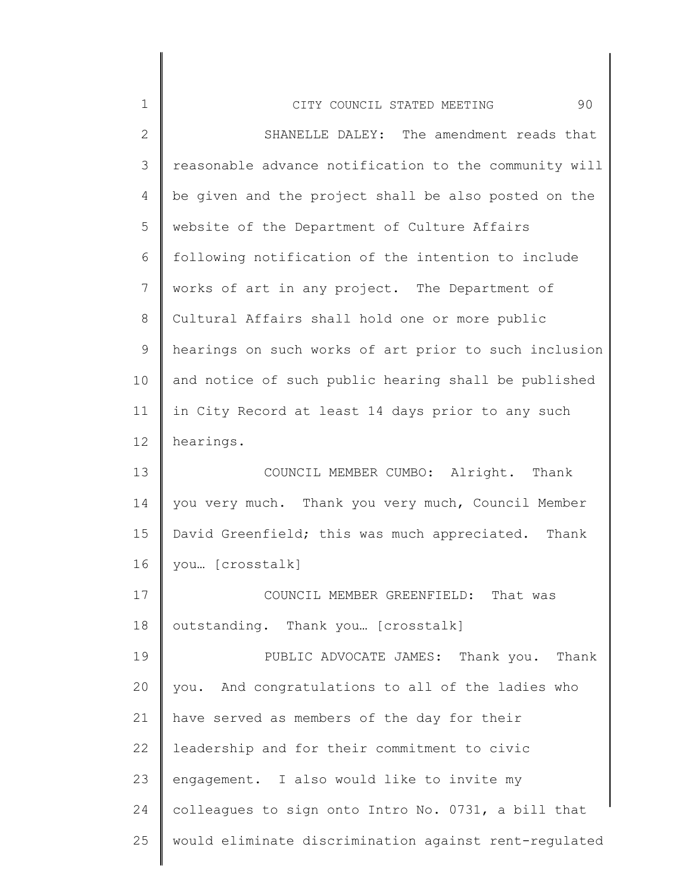| $\mathbf 1$  | 90<br>CITY COUNCIL STATED MEETING                     |
|--------------|-------------------------------------------------------|
| $\mathbf{2}$ | SHANELLE DALEY: The amendment reads that              |
| 3            | reasonable advance notification to the community will |
| 4            | be given and the project shall be also posted on the  |
| 5            | website of the Department of Culture Affairs          |
| 6            | following notification of the intention to include    |
| 7            | works of art in any project. The Department of        |
| $8\,$        | Cultural Affairs shall hold one or more public        |
| $\mathsf 9$  | hearings on such works of art prior to such inclusion |
| 10           | and notice of such public hearing shall be published  |
| 11           | in City Record at least 14 days prior to any such     |
| 12           | hearings.                                             |
| 13           | COUNCIL MEMBER CUMBO: Alright. Thank                  |
| 14           | you very much. Thank you very much, Council Member    |
| 15           | David Greenfield; this was much appreciated. Thank    |
| 16           | you [crosstalk]                                       |
| 17           | COUNCIL MEMBER GREENFIELD: That was                   |
| 18           | outstanding. Thank you [crosstalk]                    |
| 19           | PUBLIC ADVOCATE JAMES: Thank you. Thank               |
| 20           | you. And congratulations to all of the ladies who     |
| 21           | have served as members of the day for their           |
| 22           | leadership and for their commitment to civic          |
| 23           | engagement. I also would like to invite my            |
| 24           | colleagues to sign onto Intro No. 0731, a bill that   |
| 25           | would eliminate discrimination against rent-regulated |
|              |                                                       |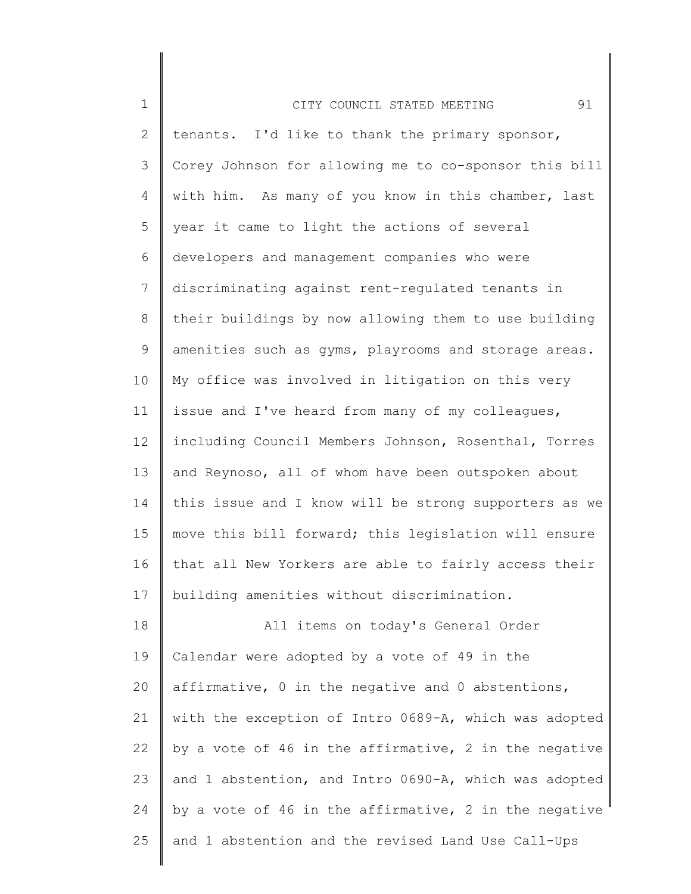| $\mathbf 1$     | 91<br>CITY COUNCIL STATED MEETING                     |
|-----------------|-------------------------------------------------------|
| $\mathbf{2}$    | tenants. I'd like to thank the primary sponsor,       |
| 3               | Corey Johnson for allowing me to co-sponsor this bill |
| 4               | with him. As many of you know in this chamber, last   |
| 5               | year it came to light the actions of several          |
| 6               | developers and management companies who were          |
| $7\phantom{.0}$ | discriminating against rent-regulated tenants in      |
| 8               | their buildings by now allowing them to use building  |
| 9               | amenities such as gyms, playrooms and storage areas.  |
| 10              | My office was involved in litigation on this very     |
| 11              | issue and I've heard from many of my colleagues,      |
| 12              | including Council Members Johnson, Rosenthal, Torres  |
| 13              | and Reynoso, all of whom have been outspoken about    |
| 14              | this issue and I know will be strong supporters as we |
| 15              | move this bill forward; this legislation will ensure  |
| 16              | that all New Yorkers are able to fairly access their  |
| 17              | building amenities without discrimination.            |
| 18              | All items on today's General Order                    |
| 19              | Calendar were adopted by a vote of 49 in the          |
| 20              | affirmative, 0 in the negative and 0 abstentions,     |
| 21              | with the exception of Intro 0689-A, which was adopted |
| 22              | by a vote of 46 in the affirmative, 2 in the negative |
| 23              | and 1 abstention, and Intro 0690-A, which was adopted |
| 24              | by a vote of 46 in the affirmative, 2 in the negative |
| 25              | and 1 abstention and the revised Land Use Call-Ups    |
|                 |                                                       |

∥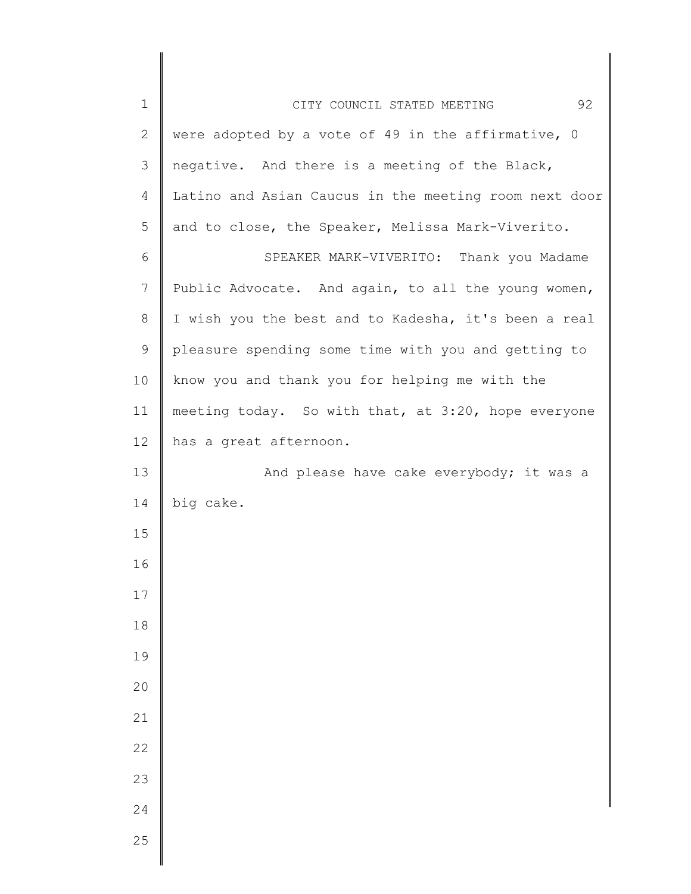| $1\,$        | 92<br>CITY COUNCIL STATED MEETING                     |
|--------------|-------------------------------------------------------|
| $\mathbf{2}$ | were adopted by a vote of 49 in the affirmative, 0    |
| 3            | negative. And there is a meeting of the Black,        |
| 4            | Latino and Asian Caucus in the meeting room next door |
| 5            | and to close, the Speaker, Melissa Mark-Viverito.     |
| 6            | SPEAKER MARK-VIVERITO: Thank you Madame               |
| 7            | Public Advocate. And again, to all the young women,   |
| 8            | I wish you the best and to Kadesha, it's been a real  |
| $\mathsf 9$  | pleasure spending some time with you and getting to   |
| 10           | know you and thank you for helping me with the        |
| 11           | meeting today. So with that, at 3:20, hope everyone   |
| 12           | has a great afternoon.                                |
| 13           | And please have cake everybody; it was a              |
| 14           | big cake.                                             |
| 15           |                                                       |
| 16           |                                                       |
| 17           |                                                       |
| 18           |                                                       |
| 19           |                                                       |
| 20           |                                                       |
| 21           |                                                       |
| 22           |                                                       |
| 23           |                                                       |
| 24           |                                                       |
| 25           |                                                       |
|              |                                                       |